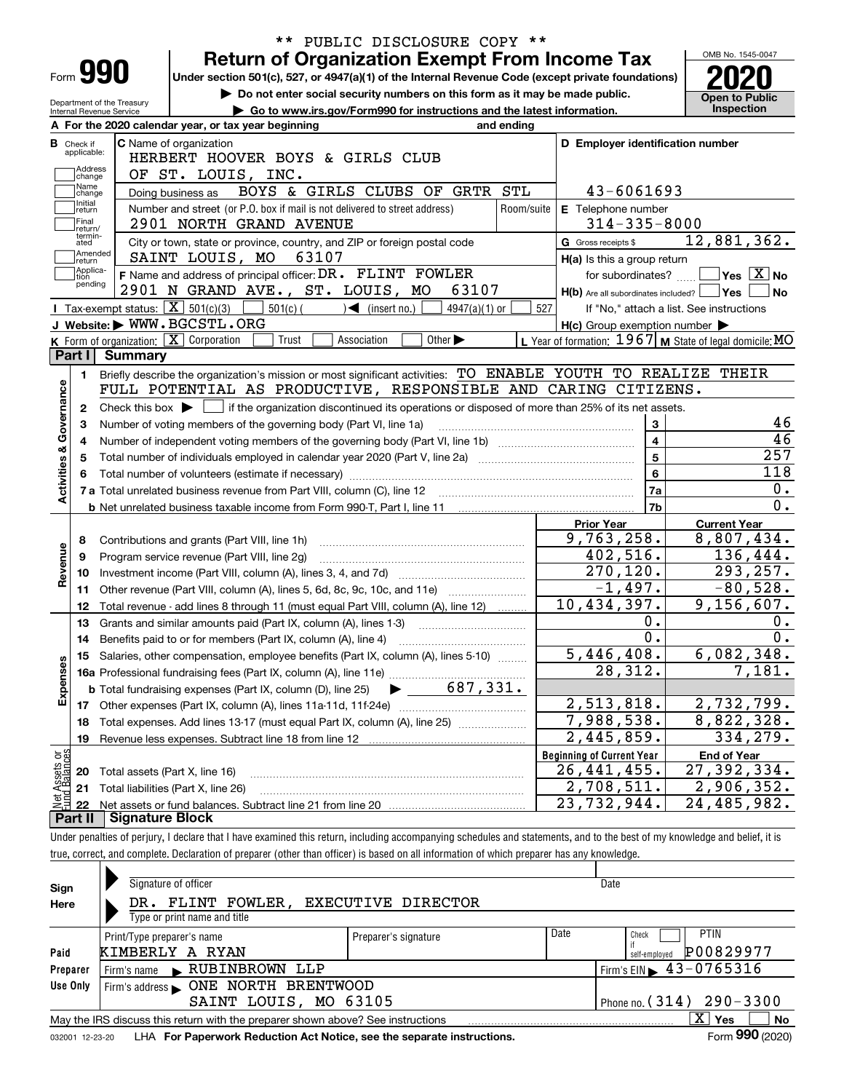|                                  | PUBLIC DISCLOSURE COPY **<br>$***$                                                                                                                                         |            |                                                                                                                |                                          |
|----------------------------------|----------------------------------------------------------------------------------------------------------------------------------------------------------------------------|------------|----------------------------------------------------------------------------------------------------------------|------------------------------------------|
|                                  | <b>Return of Organization Exempt From Income Tax</b>                                                                                                                       |            |                                                                                                                | OMB No. 1545-0047                        |
| Form 990                         | Under section 501(c), 527, or 4947(a)(1) of the Internal Revenue Code (except private foundations)                                                                         |            |                                                                                                                |                                          |
| Department of the Treasury       | Do not enter social security numbers on this form as it may be made public.                                                                                                |            |                                                                                                                | <b>Open to Public</b>                    |
| Internal Revenue Service         | Go to www.irs.gov/Form990 for instructions and the latest information.                                                                                                     |            |                                                                                                                | Inspection                               |
|                                  | A For the 2020 calendar year, or tax year beginning<br>and ending                                                                                                          |            |                                                                                                                |                                          |
| <b>B</b> Check if<br>applicable: | C Name of organization                                                                                                                                                     |            | D Employer identification number                                                                               |                                          |
| Address                          | HERBERT HOOVER BOYS & GIRLS CLUB                                                                                                                                           |            |                                                                                                                |                                          |
| change<br>Name                   | OF ST. LOUIS, INC.                                                                                                                                                         |            |                                                                                                                |                                          |
| change<br>Initial                | BOYS & GIRLS CLUBS OF GRTR STL<br>Doing business as                                                                                                                        |            | 43-6061693                                                                                                     |                                          |
| return<br>Final                  | Number and street (or P.O. box if mail is not delivered to street address)                                                                                                 | Room/suite | E Telephone number                                                                                             |                                          |
| return/<br>termin-               | 2901 NORTH GRAND AVENUE                                                                                                                                                    |            | $314 - 335 - 8000$                                                                                             |                                          |
| ated<br> Amended                 | City or town, state or province, country, and ZIP or foreign postal code                                                                                                   |            | G Gross receipts \$                                                                                            | 12,881,362.                              |
| return<br>Applica-               | 63107<br>SAINT LOUIS, MO                                                                                                                                                   |            | H(a) Is this a group return                                                                                    |                                          |
| tion<br>pending                  | F Name and address of principal officer: DR. FLINT FOWLER<br>63107                                                                                                         |            | for subordinates?                                                                                              | $\sqrt{}$ Yes $\sqrt{}$ X $\sqrt{}$ No   |
|                                  | 2901 N GRAND AVE., ST. LOUIS, MO<br><b>I</b> Tax-exempt status: $\overline{X}$ 501(c)(3)                                                                                   |            | $H(b)$ Are all subordinates included? $\Box$ Yes                                                               | <b>No</b>                                |
|                                  | $501(c)$ (<br>$\mathcal{A}$ (insert no.)<br>$4947(a)(1)$ or<br>J Website: WWW.BGCSTL.ORG                                                                                   | 527        |                                                                                                                | If "No," attach a list. See instructions |
|                                  | K Form of organization: $\boxed{\mathbf{X}}$ Corporation<br>Trust<br>Other $\blacktriangleright$<br>Association                                                            |            | $H(c)$ Group exemption number $\blacktriangleright$<br>L Year of formation: 1967 M State of legal domicile: MO |                                          |
| Part I                           | Summary                                                                                                                                                                    |            |                                                                                                                |                                          |
|                                  | Briefly describe the organization's mission or most significant activities: TO ENABLE YOUTH TO REALIZE THEIR                                                               |            |                                                                                                                |                                          |
| 1.                               | FULL POTENTIAL AS PRODUCTIVE, RESPONSIBLE AND CARING CITIZENS.                                                                                                             |            |                                                                                                                |                                          |
| 2                                | Check this box $\blacktriangleright$ $\Box$ if the organization discontinued its operations or disposed of more than 25% of its net assets.                                |            |                                                                                                                |                                          |
|                                  | Number of voting members of the governing body (Part VI, line 1a)                                                                                                          |            | 3                                                                                                              | 46                                       |
|                                  |                                                                                                                                                                            |            | $\overline{\mathbf{4}}$                                                                                        | 46                                       |
|                                  |                                                                                                                                                                            |            | $\overline{5}$                                                                                                 | 257                                      |
|                                  |                                                                                                                                                                            |            | 6                                                                                                              | 118                                      |
| Activities & Governance          |                                                                                                                                                                            |            | 7a                                                                                                             | 0.                                       |
|                                  |                                                                                                                                                                            |            | 7 <sub>b</sub>                                                                                                 | $\overline{0}$ .                         |
|                                  |                                                                                                                                                                            |            | <b>Prior Year</b>                                                                                              | <b>Current Year</b>                      |
| 8                                | Contributions and grants (Part VIII, line 1h)                                                                                                                              |            | 9,763,258.                                                                                                     | 8,807,434.                               |
| 9                                | Program service revenue (Part VIII, line 2g)                                                                                                                               |            | 402,516.                                                                                                       | 136,444.                                 |
| Revenue<br>10                    |                                                                                                                                                                            |            | 270,120.                                                                                                       | 293, 257.                                |
| 11                               | Other revenue (Part VIII, column (A), lines 5, 6d, 8c, 9c, 10c, and 11e)                                                                                                   |            | $-1,497.$                                                                                                      | $-80,528.$                               |
| 12                               | Total revenue - add lines 8 through 11 (must equal Part VIII, column (A), line 12)                                                                                         |            | 10,434,397.                                                                                                    | 9,156,607.                               |
| 13                               | Grants and similar amounts paid (Part IX, column (A), lines 1-3)                                                                                                           |            | 0.                                                                                                             | 0.                                       |
| 14                               | Benefits paid to or for members (Part IX, column (A), line 4)                                                                                                              |            | $\overline{0}$ .                                                                                               | $0$ .                                    |
|                                  | 15 Salaries, other compensation, employee benefits (Part IX, column (A), lines 5-10)                                                                                       |            | 5,446,408.                                                                                                     | 6,082,348.                               |
| Expenses                         |                                                                                                                                                                            |            | 28,312.                                                                                                        | 7,181.                                   |
|                                  |                                                                                                                                                                            |            |                                                                                                                |                                          |
|                                  |                                                                                                                                                                            |            | 2,513,818.                                                                                                     | 2,732,799.                               |
| 18                               | Total expenses. Add lines 13-17 (must equal Part IX, column (A), line 25)                                                                                                  |            | 7,988,538.                                                                                                     | 8,822,328.                               |
| 19                               | Revenue less expenses. Subtract line 18 from line 12                                                                                                                       |            | 2,445,859.                                                                                                     | 334,279.                                 |
|                                  |                                                                                                                                                                            |            | <b>Beginning of Current Year</b>                                                                               | <b>End of Year</b>                       |
| 20                               | Total assets (Part X, line 16)                                                                                                                                             |            | 26,441,455.                                                                                                    | 27, 392, 334.                            |
| : Assets or<br>d Balances<br>21  | Total liabilities (Part X, line 26)                                                                                                                                        |            | 2,708,511.                                                                                                     | 2,906,352.                               |
| 鲳<br>22                          |                                                                                                                                                                            |            | 23,732,944.                                                                                                    | 24,485,982.                              |
| Part II                          | <b>Signature Block</b>                                                                                                                                                     |            |                                                                                                                |                                          |
|                                  | Under penalties of perjury, I declare that I have examined this return, including accompanying schedules and statements, and to the best of my knowledge and belief, it is |            |                                                                                                                |                                          |
|                                  | true, correct, and complete. Declaration of preparer (other than officer) is based on all information of which preparer has any knowledge.                                 |            |                                                                                                                |                                          |
|                                  |                                                                                                                                                                            |            |                                                                                                                |                                          |

| Sign            | Signature of officer<br>Date                                                    |                      |      |                                                 |  |  |  |  |  |  |
|-----------------|---------------------------------------------------------------------------------|----------------------|------|-------------------------------------------------|--|--|--|--|--|--|
| Here            | DR. FLINT FOWLER,<br>EXECUTIVE DIRECTOR                                         |                      |      |                                                 |  |  |  |  |  |  |
|                 | Type or print name and title                                                    |                      |      |                                                 |  |  |  |  |  |  |
|                 | Print/Type preparer's name                                                      | Preparer's signature | Date | <b>PTIN</b><br>Check                            |  |  |  |  |  |  |
| Paid            | KIMBERLY A RYAN                                                                 |                      |      | P00829977<br>self-employed                      |  |  |  |  |  |  |
| Preparer        | RUBINBROWN LLP<br>Firm's name<br>$\blacksquare$                                 |                      |      | $1$ Firm's EIN $\blacktriangleright$ 43-0765316 |  |  |  |  |  |  |
| Use Only        |                                                                                 |                      |      |                                                 |  |  |  |  |  |  |
|                 | SAINT LOUIS, MO 63105                                                           |                      |      | Phone no. $(314)$ 290 - 3300                    |  |  |  |  |  |  |
|                 | May the IRS discuss this return with the preparer shown above? See instructions |                      |      | $\mathbf{X}$<br><b>No</b><br>Yes                |  |  |  |  |  |  |
| 032001 12-23-20 | LHA For Paperwork Reduction Act Notice, see the separate instructions.          |                      |      | Form 990 (2020)                                 |  |  |  |  |  |  |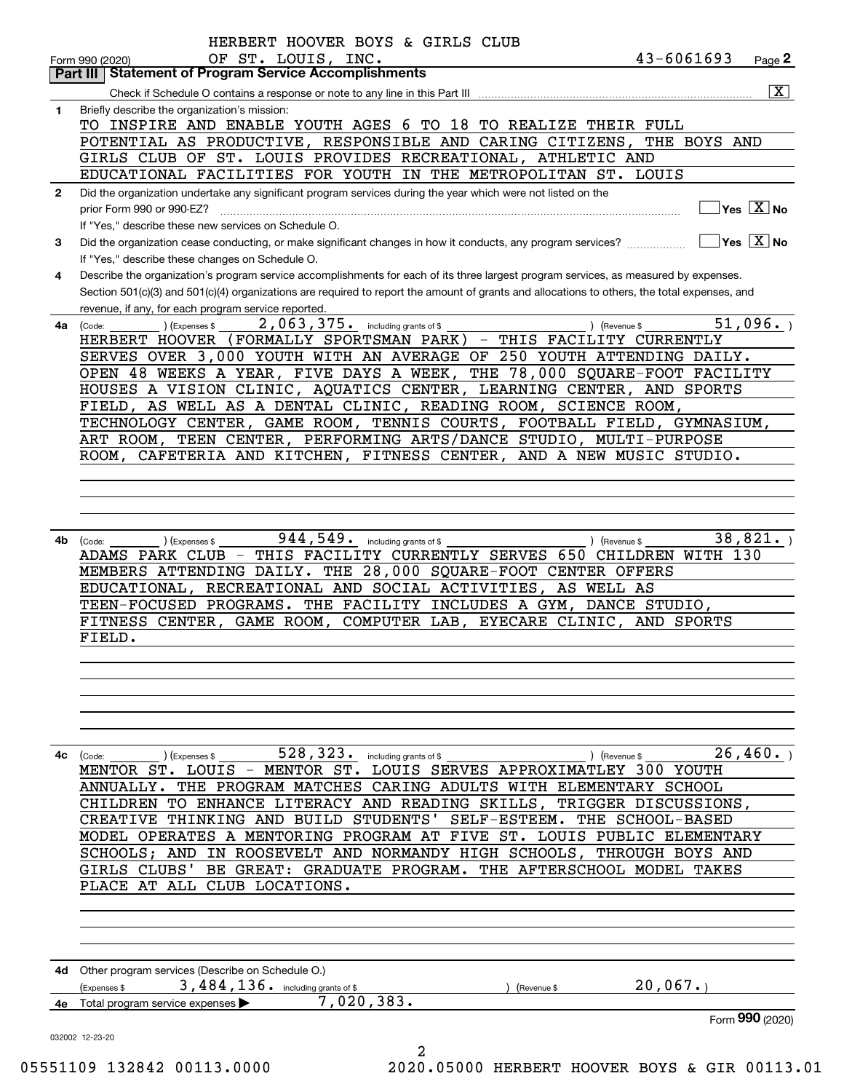| Form 990 (2020)<br>Part III I | <b>Statement of Program Service Accomplishments</b>                                                                                          |
|-------------------------------|----------------------------------------------------------------------------------------------------------------------------------------------|
|                               | $\overline{\mathbf{x}}$                                                                                                                      |
| 1                             | Briefly describe the organization's mission:                                                                                                 |
|                               | TO INSPIRE AND ENABLE YOUTH AGES 6 TO 18 TO REALIZE THEIR FULL                                                                               |
|                               | POTENTIAL AS PRODUCTIVE, RESPONSIBLE AND CARING CITIZENS, THE BOYS AND                                                                       |
|                               | GIRLS CLUB OF ST. LOUIS PROVIDES RECREATIONAL, ATHLETIC AND                                                                                  |
|                               | EDUCATIONAL FACILITIES FOR YOUTH IN THE METROPOLITAN ST. LOUIS                                                                               |
| $\mathbf{2}$                  | Did the organization undertake any significant program services during the year which were not listed on the                                 |
|                               | $\overline{\ }$ Yes $\overline{\phantom{a}X}$ No<br>prior Form 990 or 990-EZ?                                                                |
|                               | If "Yes," describe these new services on Schedule O.                                                                                         |
|                               | $\overline{\ }$ Yes $\overline{\ \ X}$ No                                                                                                    |
| 3                             | Did the organization cease conducting, or make significant changes in how it conducts, any program services?                                 |
|                               | If "Yes," describe these changes on Schedule O.                                                                                              |
| 4                             | Describe the organization's program service accomplishments for each of its three largest program services, as measured by expenses.         |
|                               | Section 501(c)(3) and 501(c)(4) organizations are required to report the amount of grants and allocations to others, the total expenses, and |
|                               | revenue, if any, for each program service reported.                                                                                          |
| 4a                            | 51,096.<br>2,063,375. including grants of \$<br>(Expenses \$<br>) (Revenue \$<br>(Code:                                                      |
|                               | (FORMALLY SPORTSMAN PARK) - THIS FACILITY CURRENTLY<br>HERBERT HOOVER                                                                        |
|                               | SERVES OVER 3,000 YOUTH WITH AN AVERAGE OF 250 YOUTH ATTENDING DAILY.                                                                        |
|                               | THE 78,000 SQUARE-FOOT FACILITY<br>OPEN 48 WEEKS A YEAR, FIVE DAYS A WEEK,                                                                   |
|                               | HOUSES A VISION CLINIC, AQUATICS CENTER, LEARNING CENTER, AND SPORTS                                                                         |
|                               | FIELD, AS WELL AS A DENTAL CLINIC, READING ROOM, SCIENCE ROOM,                                                                               |
|                               | GAME ROOM, TENNIS COURTS, FOOTBALL FIELD, GYMNASIUM,<br>TECHNOLOGY CENTER,                                                                   |
|                               | ART ROOM, TEEN CENTER, PERFORMING ARTS/DANCE STUDIO, MULTI-PURPOSE                                                                           |
|                               | ROOM, CAFETERIA AND KITCHEN, FITNESS CENTER, AND A NEW MUSIC STUDIO.                                                                         |
|                               |                                                                                                                                              |
|                               |                                                                                                                                              |
|                               | 944, 549. including grants of \$<br>38,821.<br>(Expenses \$<br>) (Revenue \$<br>(Code:                                                       |
|                               | THIS FACILITY CURRENTLY SERVES 650 CHILDREN WITH 130<br>ADAMS PARK CLUB -                                                                    |
|                               | MEMBERS ATTENDING DAILY. THE 28,000 SQUARE-FOOT CENTER OFFERS                                                                                |
|                               | EDUCATIONAL, RECREATIONAL AND SOCIAL ACTIVITIES, AS WELL AS                                                                                  |
|                               | TEEN-FOCUSED PROGRAMS. THE FACILITY INCLUDES A GYM, DANCE STUDIO,                                                                            |
|                               | FITNESS CENTER, GAME ROOM, COMPUTER LAB, EYECARE CLINIC, AND SPORTS                                                                          |
| 4b                            | FIELD.                                                                                                                                       |
|                               |                                                                                                                                              |
|                               |                                                                                                                                              |
|                               |                                                                                                                                              |
|                               |                                                                                                                                              |
|                               |                                                                                                                                              |
|                               |                                                                                                                                              |
|                               |                                                                                                                                              |
|                               | 26,460.<br>528, 323. including grants of \$<br>Expenses \$<br>) (Revenue \$<br>(Code:                                                        |
|                               | MENTOR ST. LOUIS - MENTOR ST. LOUIS SERVES APPROXIMATLEY 300 YOUTH                                                                           |
|                               | THE PROGRAM MATCHES CARING ADULTS WITH ELEMENTARY SCHOOL<br>ANNUALLY.                                                                        |
|                               | TO ENHANCE LITERACY AND READING SKILLS,<br>TRIGGER DISCUSSIONS,<br>CHILDREN                                                                  |
|                               | THINKING AND BUILD STUDENTS'<br>SELF-ESTEEM.<br>THE SCHOOL-BASED<br>CREATIVE                                                                 |
|                               | MODEL OPERATES A MENTORING PROGRAM AT FIVE ST. LOUIS PUBLIC ELEMENTARY                                                                       |
|                               | SCHOOLS; AND IN ROOSEVELT AND NORMANDY HIGH SCHOOLS, THROUGH BOYS AND                                                                        |
|                               | BE GREAT: GRADUATE PROGRAM.<br>THE AFTERSCHOOL MODEL TAKES<br>GIRLS CLUBS'                                                                   |
|                               | PLACE AT ALL CLUB LOCATIONS.                                                                                                                 |
|                               |                                                                                                                                              |
|                               |                                                                                                                                              |
|                               |                                                                                                                                              |
| 4c                            |                                                                                                                                              |
| 4d -                          | Other program services (Describe on Schedule O.)                                                                                             |
|                               | 3,484,136. including grants of \$<br>20,067.<br>(Expenses \$<br>(Revenue \$                                                                  |
|                               | 7,020,383.<br>Total program service expenses ▶                                                                                               |
|                               | Form 990 (2020)                                                                                                                              |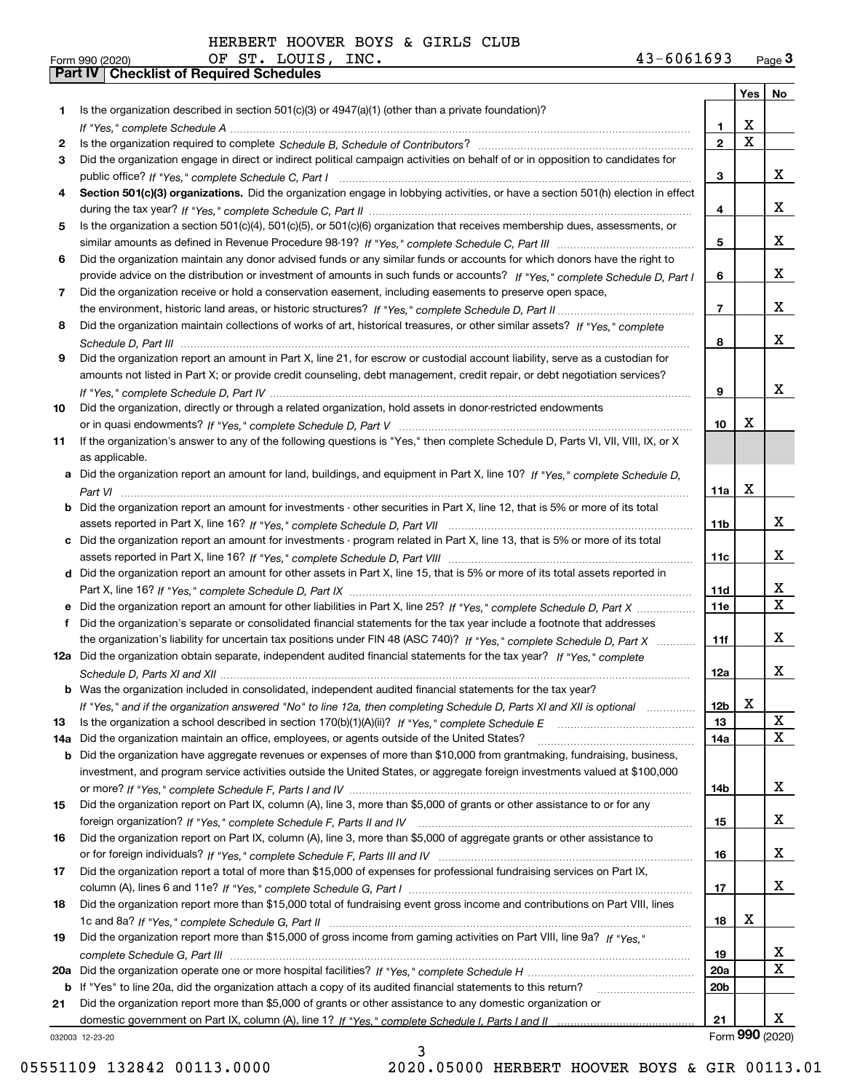|     |                                                                                                                                  |                 |             | Yes   No        |
|-----|----------------------------------------------------------------------------------------------------------------------------------|-----------------|-------------|-----------------|
| 1   | Is the organization described in section $501(c)(3)$ or $4947(a)(1)$ (other than a private foundation)?                          |                 |             |                 |
|     |                                                                                                                                  | 1               | x           |                 |
| 2   |                                                                                                                                  | $\mathbf{2}$    | $\mathbf X$ |                 |
| 3   | Did the organization engage in direct or indirect political campaign activities on behalf of or in opposition to candidates for  |                 |             |                 |
|     |                                                                                                                                  | 3               |             | x               |
| 4   | Section 501(c)(3) organizations. Did the organization engage in lobbying activities, or have a section 501(h) election in effect |                 |             |                 |
|     |                                                                                                                                  | 4               |             | x               |
| 5   | Is the organization a section 501(c)(4), 501(c)(5), or 501(c)(6) organization that receives membership dues, assessments, or     |                 |             |                 |
|     |                                                                                                                                  | 5               |             | x               |
| 6   | Did the organization maintain any donor advised funds or any similar funds or accounts for which donors have the right to        |                 |             |                 |
|     | provide advice on the distribution or investment of amounts in such funds or accounts? If "Yes," complete Schedule D, Part I     | 6               |             | x               |
| 7   | Did the organization receive or hold a conservation easement, including easements to preserve open space,                        |                 |             | x               |
|     |                                                                                                                                  | $\overline{7}$  |             |                 |
| 8   | Did the organization maintain collections of works of art, historical treasures, or other similar assets? If "Yes," complete     |                 |             | x               |
|     |                                                                                                                                  | 8               |             |                 |
| 9   | Did the organization report an amount in Part X, line 21, for escrow or custodial account liability, serve as a custodian for    |                 |             |                 |
|     | amounts not listed in Part X; or provide credit counseling, debt management, credit repair, or debt negotiation services?        |                 |             | x               |
|     |                                                                                                                                  | 9               |             |                 |
| 10  | Did the organization, directly or through a related organization, hold assets in donor-restricted endowments                     | 10              | х           |                 |
| 11  | If the organization's answer to any of the following questions is "Yes," then complete Schedule D, Parts VI, VII, VIII, IX, or X |                 |             |                 |
|     | as applicable.                                                                                                                   |                 |             |                 |
| a   | Did the organization report an amount for land, buildings, and equipment in Part X, line 10? If "Yes," complete Schedule D.      |                 |             |                 |
|     |                                                                                                                                  | 11a             | X           |                 |
|     | Did the organization report an amount for investments - other securities in Part X, line 12, that is 5% or more of its total     |                 |             |                 |
|     |                                                                                                                                  | 11 <sub>b</sub> |             | x               |
|     | Did the organization report an amount for investments - program related in Part X, line 13, that is 5% or more of its total      |                 |             |                 |
|     |                                                                                                                                  | 11c             |             | x               |
|     | d Did the organization report an amount for other assets in Part X, line 15, that is 5% or more of its total assets reported in  |                 |             |                 |
|     |                                                                                                                                  | 11d             |             | x               |
|     |                                                                                                                                  | <b>11e</b>      |             | $\mathbf X$     |
| f   | Did the organization's separate or consolidated financial statements for the tax year include a footnote that addresses          |                 |             |                 |
|     | the organization's liability for uncertain tax positions under FIN 48 (ASC 740)? If "Yes," complete Schedule D, Part X           | 11f             |             | x               |
|     | 12a Did the organization obtain separate, independent audited financial statements for the tax year? If "Yes." complete          |                 |             |                 |
|     |                                                                                                                                  | 12a             |             | x               |
|     | <b>b</b> Was the organization included in consolidated, independent audited financial statements for the tax year?               |                 |             |                 |
|     | If "Yes," and if the organization answered "No" to line 12a, then completing Schedule D, Parts XI and XII is optional            | 12 <sub>b</sub> | X           |                 |
| 13  | Is the organization a school described in section $170(b)(1)(A)(ii)?$ If "Yes," complete Schedule E                              | 13              |             | X               |
| 14a | Did the organization maintain an office, employees, or agents outside of the United States?                                      | 14a             |             | X               |
| b   | Did the organization have aggregate revenues or expenses of more than \$10,000 from grantmaking, fundraising, business,          |                 |             |                 |
|     | investment, and program service activities outside the United States, or aggregate foreign investments valued at \$100,000       |                 |             |                 |
|     |                                                                                                                                  | 14b             |             | x               |
| 15  | Did the organization report on Part IX, column (A), line 3, more than \$5,000 of grants or other assistance to or for any        |                 |             |                 |
|     |                                                                                                                                  | 15              |             | x               |
| 16  | Did the organization report on Part IX, column (A), line 3, more than \$5,000 of aggregate grants or other assistance to         |                 |             |                 |
|     |                                                                                                                                  | 16              |             | x               |
| 17  | Did the organization report a total of more than \$15,000 of expenses for professional fundraising services on Part IX,          |                 |             |                 |
|     |                                                                                                                                  | 17              |             | x               |
| 18  | Did the organization report more than \$15,000 total of fundraising event gross income and contributions on Part VIII, lines     |                 |             |                 |
|     |                                                                                                                                  | 18              | x           |                 |
| 19  | Did the organization report more than \$15,000 of gross income from gaming activities on Part VIII, line 9a? If "Yes."           |                 |             |                 |
|     |                                                                                                                                  | 19              |             | x               |
| 20a |                                                                                                                                  | <b>20a</b>      |             | X               |
|     | b If "Yes" to line 20a, did the organization attach a copy of its audited financial statements to this return?                   | 20 <sub>b</sub> |             |                 |
| 21  | Did the organization report more than \$5,000 of grants or other assistance to any domestic organization or                      |                 |             |                 |
|     |                                                                                                                                  | 21              |             | x               |
|     | 032003 12-23-20                                                                                                                  |                 |             | Form 990 (2020) |

032003 12-23-20

3 05551109 132842 00113.0000 2020.05000 HERBERT HOOVER BOYS & GIR 00113.01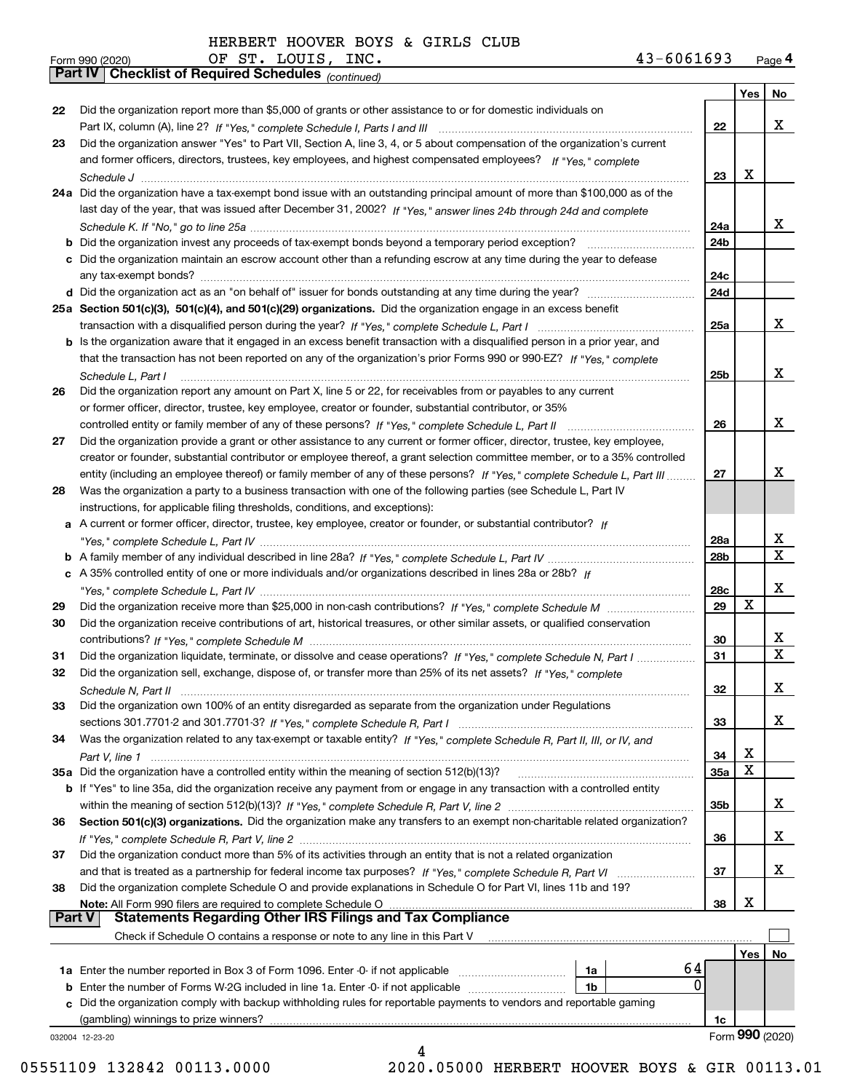|    | 43-6061693<br>OF ST. LOUIS, INC.<br>Form 990 (2020)                                                                                                                                                                        |                 |             | Page 4                  |
|----|----------------------------------------------------------------------------------------------------------------------------------------------------------------------------------------------------------------------------|-----------------|-------------|-------------------------|
|    | Part IV   Checklist of Required Schedules (continued)                                                                                                                                                                      |                 |             |                         |
|    |                                                                                                                                                                                                                            |                 |             | Yes   No                |
| 22 | Did the organization report more than \$5,000 of grants or other assistance to or for domestic individuals on                                                                                                              |                 |             |                         |
|    |                                                                                                                                                                                                                            | 22              |             | X                       |
| 23 | Did the organization answer "Yes" to Part VII, Section A, line 3, 4, or 5 about compensation of the organization's current                                                                                                 |                 |             |                         |
|    | and former officers, directors, trustees, key employees, and highest compensated employees? If "Yes," complete                                                                                                             | 23              | x           |                         |
|    | 24a Did the organization have a tax-exempt bond issue with an outstanding principal amount of more than \$100,000 as of the                                                                                                |                 |             |                         |
|    | last day of the year, that was issued after December 31, 2002? If "Yes," answer lines 24b through 24d and complete                                                                                                         |                 |             |                         |
|    |                                                                                                                                                                                                                            | 24a             |             | x                       |
|    |                                                                                                                                                                                                                            | 24 <sub>b</sub> |             |                         |
|    | c Did the organization maintain an escrow account other than a refunding escrow at any time during the year to defease                                                                                                     |                 |             |                         |
|    |                                                                                                                                                                                                                            | 24c             |             |                         |
|    |                                                                                                                                                                                                                            | 24d             |             |                         |
|    | 25a Section 501(c)(3), 501(c)(4), and 501(c)(29) organizations. Did the organization engage in an excess benefit                                                                                                           |                 |             |                         |
|    |                                                                                                                                                                                                                            | 25a             |             | X                       |
|    | b Is the organization aware that it engaged in an excess benefit transaction with a disqualified person in a prior year, and                                                                                               |                 |             |                         |
|    | that the transaction has not been reported on any of the organization's prior Forms 990 or 990-EZ? If "Yes," complete                                                                                                      |                 |             | x                       |
|    | Schedule L, Part I                                                                                                                                                                                                         | 25b             |             |                         |
| 26 | Did the organization report any amount on Part X, line 5 or 22, for receivables from or payables to any current<br>or former officer, director, trustee, key employee, creator or founder, substantial contributor, or 35% |                 |             |                         |
|    |                                                                                                                                                                                                                            | 26              |             | X                       |
| 27 | Did the organization provide a grant or other assistance to any current or former officer, director, trustee, key employee,                                                                                                |                 |             |                         |
|    | creator or founder, substantial contributor or employee thereof, a grant selection committee member, or to a 35% controlled                                                                                                |                 |             |                         |
|    | entity (including an employee thereof) or family member of any of these persons? If "Yes," complete Schedule L, Part III                                                                                                   | 27              |             | x                       |
| 28 | Was the organization a party to a business transaction with one of the following parties (see Schedule L, Part IV                                                                                                          |                 |             |                         |
|    | instructions, for applicable filing thresholds, conditions, and exceptions):                                                                                                                                               |                 |             |                         |
|    | a A current or former officer, director, trustee, key employee, creator or founder, or substantial contributor? If                                                                                                         |                 |             |                         |
|    |                                                                                                                                                                                                                            | 28a             |             | х                       |
|    |                                                                                                                                                                                                                            | 28b             |             | $\overline{\mathbf{X}}$ |
|    | c A 35% controlled entity of one or more individuals and/or organizations described in lines 28a or 28b? If                                                                                                                |                 |             | X                       |
| 29 |                                                                                                                                                                                                                            | 28c<br>29       | $\mathbf X$ |                         |
| 30 | Did the organization receive contributions of art, historical treasures, or other similar assets, or qualified conservation                                                                                                |                 |             |                         |
|    |                                                                                                                                                                                                                            | 30              |             | x                       |
| 31 | Did the organization liquidate, terminate, or dissolve and cease operations? If "Yes," complete Schedule N, Part I                                                                                                         | 31              |             | $\overline{\mathbf{x}}$ |
| 32 | Did the organization sell, exchange, dispose of, or transfer more than 25% of its net assets? If "Yes," complete                                                                                                           |                 |             |                         |
|    | Schedule N, Part II                                                                                                                                                                                                        | 32              |             | х                       |
| 33 | Did the organization own 100% of an entity disregarded as separate from the organization under Regulations                                                                                                                 |                 |             |                         |
|    |                                                                                                                                                                                                                            | 33              |             | x                       |
| 34 | Was the organization related to any tax-exempt or taxable entity? If "Yes," complete Schedule R, Part II, III, or IV, and                                                                                                  |                 |             |                         |
|    |                                                                                                                                                                                                                            | 34              | X<br>X      |                         |
|    | 35a Did the organization have a controlled entity within the meaning of section 512(b)(13)?                                                                                                                                | 35a             |             |                         |
|    | b If "Yes" to line 35a, did the organization receive any payment from or engage in any transaction with a controlled entity                                                                                                |                 |             | х                       |
| 36 | Section 501(c)(3) organizations. Did the organization make any transfers to an exempt non-charitable related organization?                                                                                                 | 35b             |             |                         |
|    |                                                                                                                                                                                                                            | 36              |             | х                       |
| 37 | Did the organization conduct more than 5% of its activities through an entity that is not a related organization                                                                                                           |                 |             |                         |
|    |                                                                                                                                                                                                                            | 37              |             | x                       |
| 38 | Did the organization complete Schedule O and provide explanations in Schedule O for Part VI, lines 11b and 19?                                                                                                             |                 |             |                         |
|    |                                                                                                                                                                                                                            | 38              | X           |                         |
|    | <b>Statements Regarding Other IRS Filings and Tax Compliance</b><br><b>Part V</b>                                                                                                                                          |                 |             |                         |
|    | Check if Schedule O contains a response or note to any line in this Part V                                                                                                                                                 |                 |             |                         |
|    |                                                                                                                                                                                                                            |                 | Yes∣        | No                      |
|    | 64<br>1a                                                                                                                                                                                                                   | $\Omega$        |             |                         |
|    | <b>b</b> Enter the number of Forms W-2G included in line 1a. Enter -0- if not applicable<br>1b<br>c Did the organization comply with backup withholding rules for reportable payments to vendors and reportable gaming     |                 |             |                         |
|    | (gambling) winnings to prize winners?                                                                                                                                                                                      | 1c              |             |                         |
|    | 032004 12-23-20                                                                                                                                                                                                            |                 |             | Form 990 (2020)         |
|    | 4                                                                                                                                                                                                                          |                 |             |                         |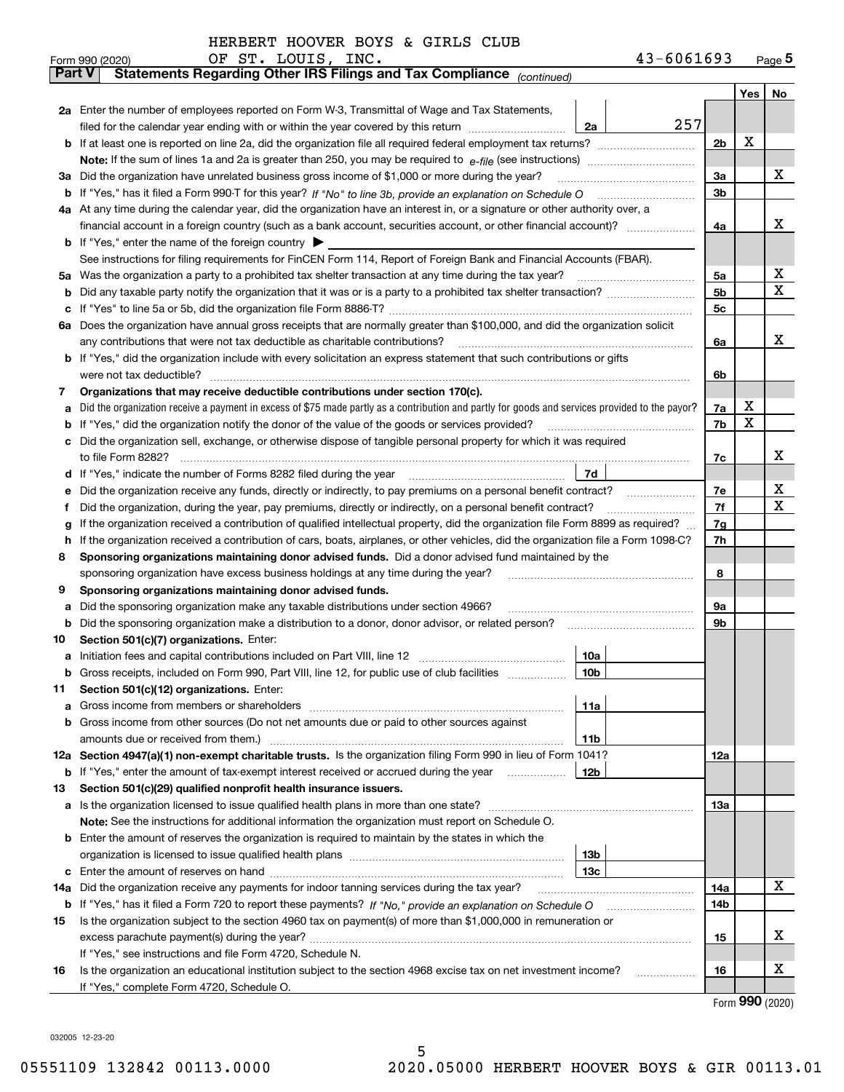| HERBERT HOOVER BOYS & GIRLS CLUB |  |  |  |
|----------------------------------|--|--|--|
|                                  |  |  |  |

|               | OF ST. LOUIS, INC.<br>43-6061693<br>Form 990 (2020)                                                                                                                                                                                  |                |   | Page <sub>5</sub> |  |  |  |  |  |  |  |
|---------------|--------------------------------------------------------------------------------------------------------------------------------------------------------------------------------------------------------------------------------------|----------------|---|-------------------|--|--|--|--|--|--|--|
| <b>Part V</b> | Statements Regarding Other IRS Filings and Tax Compliance (continued)                                                                                                                                                                |                |   |                   |  |  |  |  |  |  |  |
|               |                                                                                                                                                                                                                                      |                |   | Yes   No          |  |  |  |  |  |  |  |
|               | 2a Enter the number of employees reported on Form W-3, Transmittal of Wage and Tax Statements,                                                                                                                                       |                |   |                   |  |  |  |  |  |  |  |
|               | 257<br>filed for the calendar year ending with or within the year covered by this return<br>2a                                                                                                                                       |                |   |                   |  |  |  |  |  |  |  |
|               |                                                                                                                                                                                                                                      | 2 <sub>b</sub> | х |                   |  |  |  |  |  |  |  |
|               |                                                                                                                                                                                                                                      |                |   |                   |  |  |  |  |  |  |  |
|               | 3a Did the organization have unrelated business gross income of \$1,000 or more during the year?                                                                                                                                     |                |   |                   |  |  |  |  |  |  |  |
|               |                                                                                                                                                                                                                                      | 3 <sub>b</sub> |   |                   |  |  |  |  |  |  |  |
|               | 4a At any time during the calendar year, did the organization have an interest in, or a signature or other authority over, a                                                                                                         |                |   |                   |  |  |  |  |  |  |  |
|               |                                                                                                                                                                                                                                      |                |   |                   |  |  |  |  |  |  |  |
|               | <b>b</b> If "Yes," enter the name of the foreign country $\triangleright$                                                                                                                                                            |                |   |                   |  |  |  |  |  |  |  |
|               | See instructions for filing requirements for FinCEN Form 114, Report of Foreign Bank and Financial Accounts (FBAR).                                                                                                                  |                |   |                   |  |  |  |  |  |  |  |
|               |                                                                                                                                                                                                                                      | 5a             |   | х                 |  |  |  |  |  |  |  |
| b             |                                                                                                                                                                                                                                      | 5b             |   | х                 |  |  |  |  |  |  |  |
| с             |                                                                                                                                                                                                                                      | 5c             |   |                   |  |  |  |  |  |  |  |
|               | 6a Does the organization have annual gross receipts that are normally greater than \$100,000, and did the organization solicit                                                                                                       |                |   |                   |  |  |  |  |  |  |  |
|               |                                                                                                                                                                                                                                      | 6a             |   | х                 |  |  |  |  |  |  |  |
|               | <b>b</b> If "Yes," did the organization include with every solicitation an express statement that such contributions or gifts                                                                                                        |                |   |                   |  |  |  |  |  |  |  |
|               | were not tax deductible?                                                                                                                                                                                                             | 6b             |   |                   |  |  |  |  |  |  |  |
| 7             | Organizations that may receive deductible contributions under section 170(c).                                                                                                                                                        |                |   |                   |  |  |  |  |  |  |  |
| a             | Did the organization receive a payment in excess of \$75 made partly as a contribution and partly for goods and services provided to the payor?                                                                                      | 7a             | х |                   |  |  |  |  |  |  |  |
|               | <b>b</b> If "Yes," did the organization notify the donor of the value of the goods or services provided?                                                                                                                             | 7b             | х |                   |  |  |  |  |  |  |  |
|               | c Did the organization sell, exchange, or otherwise dispose of tangible personal property for which it was required                                                                                                                  |                |   |                   |  |  |  |  |  |  |  |
|               |                                                                                                                                                                                                                                      | 7c             |   | х                 |  |  |  |  |  |  |  |
|               | 7d<br>d If "Yes," indicate the number of Forms 8282 filed during the year [11] [11] No. 2010 [12] Henry Marian Marian Marian Marian Marian Marian Marian Marian Marian Marian Marian Marian Marian Marian Marian Marian Marian Maria |                |   |                   |  |  |  |  |  |  |  |
| е             | Did the organization receive any funds, directly or indirectly, to pay premiums on a personal benefit contract?                                                                                                                      | 7e             |   | х                 |  |  |  |  |  |  |  |
| f             | Did the organization, during the year, pay premiums, directly or indirectly, on a personal benefit contract?                                                                                                                         | 7f             |   | х                 |  |  |  |  |  |  |  |
| g             | If the organization received a contribution of qualified intellectual property, did the organization file Form 8899 as required?                                                                                                     |                |   |                   |  |  |  |  |  |  |  |
| h.            | If the organization received a contribution of cars, boats, airplanes, or other vehicles, did the organization file a Form 1098-C?                                                                                                   | 7h             |   |                   |  |  |  |  |  |  |  |
| 8             | Sponsoring organizations maintaining donor advised funds. Did a donor advised fund maintained by the                                                                                                                                 |                |   |                   |  |  |  |  |  |  |  |
|               | sponsoring organization have excess business holdings at any time during the year?                                                                                                                                                   | 8              |   |                   |  |  |  |  |  |  |  |
| 9             | Sponsoring organizations maintaining donor advised funds.                                                                                                                                                                            |                |   |                   |  |  |  |  |  |  |  |
| а             | Did the sponsoring organization make any taxable distributions under section 4966?                                                                                                                                                   | 9a             |   |                   |  |  |  |  |  |  |  |
| b             | Did the sponsoring organization make a distribution to a donor, donor advisor, or related person?                                                                                                                                    | 9b             |   |                   |  |  |  |  |  |  |  |
| 10            | Section 501(c)(7) organizations. Enter:                                                                                                                                                                                              |                |   |                   |  |  |  |  |  |  |  |
|               | 10a                                                                                                                                                                                                                                  |                |   |                   |  |  |  |  |  |  |  |
|               | 10b <br>Gross receipts, included on Form 990, Part VIII, line 12, for public use of club facilities                                                                                                                                  |                |   |                   |  |  |  |  |  |  |  |
| 11            | Section 501(c)(12) organizations. Enter:                                                                                                                                                                                             |                |   |                   |  |  |  |  |  |  |  |
| a             | 11a                                                                                                                                                                                                                                  |                |   |                   |  |  |  |  |  |  |  |
|               | b Gross income from other sources (Do not net amounts due or paid to other sources against                                                                                                                                           |                |   |                   |  |  |  |  |  |  |  |
|               | 11b                                                                                                                                                                                                                                  |                |   |                   |  |  |  |  |  |  |  |
|               | 12a Section 4947(a)(1) non-exempt charitable trusts. Is the organization filing Form 990 in lieu of Form 1041?                                                                                                                       | 12a            |   |                   |  |  |  |  |  |  |  |
|               | 12b<br><b>b</b> If "Yes," enter the amount of tax-exempt interest received or accrued during the year                                                                                                                                |                |   |                   |  |  |  |  |  |  |  |
| 13            | Section 501(c)(29) qualified nonprofit health insurance issuers.                                                                                                                                                                     |                |   |                   |  |  |  |  |  |  |  |
|               | <b>a</b> Is the organization licensed to issue qualified health plans in more than one state?                                                                                                                                        | 13a            |   |                   |  |  |  |  |  |  |  |
|               | Note: See the instructions for additional information the organization must report on Schedule O.<br><b>b</b> Enter the amount of reserves the organization is required to maintain by the states in which the                       |                |   |                   |  |  |  |  |  |  |  |
|               | 13b                                                                                                                                                                                                                                  |                |   |                   |  |  |  |  |  |  |  |
|               | 13с                                                                                                                                                                                                                                  |                |   |                   |  |  |  |  |  |  |  |
| 14a           | Did the organization receive any payments for indoor tanning services during the tax year?                                                                                                                                           | 14a            |   | x                 |  |  |  |  |  |  |  |
|               | <b>b</b> If "Yes," has it filed a Form 720 to report these payments? If "No," provide an explanation on Schedule O                                                                                                                   | 14b            |   |                   |  |  |  |  |  |  |  |
| 15            | Is the organization subject to the section 4960 tax on payment(s) of more than \$1,000,000 in remuneration or                                                                                                                        |                |   |                   |  |  |  |  |  |  |  |
|               |                                                                                                                                                                                                                                      | 15             |   | X                 |  |  |  |  |  |  |  |
|               | If "Yes," see instructions and file Form 4720, Schedule N.                                                                                                                                                                           |                |   |                   |  |  |  |  |  |  |  |
| 16            | Is the organization an educational institution subject to the section 4968 excise tax on net investment income?                                                                                                                      | 16             |   | х                 |  |  |  |  |  |  |  |
|               | If "Yes," complete Form 4720, Schedule O.                                                                                                                                                                                            |                |   |                   |  |  |  |  |  |  |  |
|               |                                                                                                                                                                                                                                      |                |   |                   |  |  |  |  |  |  |  |

5

Form (2020) **990**

032005 12-23-20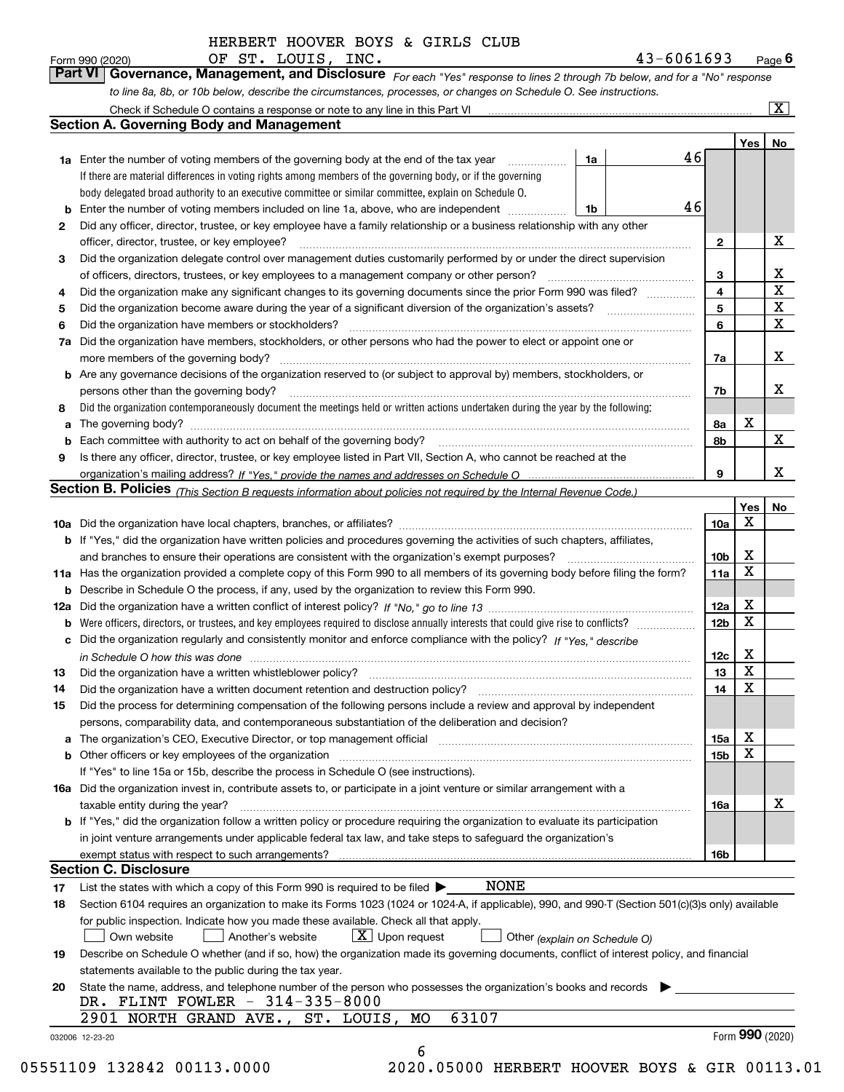*For each "Yes" response to lines 2 through 7b below, and for a "No" response to line 8a, 8b, or 10b below, describe the circumstances, processes, or changes on Schedule O. See instructions.* Form 990 (2020) **CHECT. LOUIS, INC.** Page 6<br>**Part VI Governance, Management, and Disclosure** For each "Yes" response to lines 2 through 7b below, and for a "No" response

|     | <b>Section A. Governing Body and Management</b>                                                                                                                            |    |  |                 |                  |                                                    |  |  |  |  |  |
|-----|----------------------------------------------------------------------------------------------------------------------------------------------------------------------------|----|--|-----------------|------------------|----------------------------------------------------|--|--|--|--|--|
|     |                                                                                                                                                                            |    |  | 46              | Yes <sub>1</sub> | No                                                 |  |  |  |  |  |
|     | <b>1a</b> Enter the number of voting members of the governing body at the end of the tax year<br>.                                                                         | 1a |  |                 |                  |                                                    |  |  |  |  |  |
|     | If there are material differences in voting rights among members of the governing body, or if the governing                                                                |    |  |                 |                  |                                                    |  |  |  |  |  |
|     | body delegated broad authority to an executive committee or similar committee, explain on Schedule O.                                                                      |    |  |                 |                  |                                                    |  |  |  |  |  |
|     | <b>b</b> Enter the number of voting members included on line 1a, above, who are independent <i>manumum</i>                                                                 | 1b |  | 46              |                  |                                                    |  |  |  |  |  |
| 2   | Did any officer, director, trustee, or key employee have a family relationship or a business relationship with any other                                                   |    |  |                 |                  |                                                    |  |  |  |  |  |
|     | officer, director, trustee, or key employee?                                                                                                                               |    |  | $\mathbf{2}$    |                  | X                                                  |  |  |  |  |  |
| 3   | Did the organization delegate control over management duties customarily performed by or under the direct supervision                                                      |    |  |                 |                  |                                                    |  |  |  |  |  |
|     |                                                                                                                                                                            |    |  | 3               |                  | х                                                  |  |  |  |  |  |
| 4   | Did the organization make any significant changes to its governing documents since the prior Form 990 was filed?                                                           |    |  | 4<br>5          |                  | $\overline{\texttt{x}}$<br>$\overline{\mathbf{x}}$ |  |  |  |  |  |
| 5   |                                                                                                                                                                            |    |  |                 |                  |                                                    |  |  |  |  |  |
| 6   | Did the organization have members or stockholders?                                                                                                                         |    |  |                 |                  |                                                    |  |  |  |  |  |
| 7a  | Did the organization have members, stockholders, or other persons who had the power to elect or appoint one or                                                             |    |  |                 |                  |                                                    |  |  |  |  |  |
|     |                                                                                                                                                                            |    |  | 7a              |                  | X                                                  |  |  |  |  |  |
|     | <b>b</b> Are any governance decisions of the organization reserved to (or subject to approval by) members, stockholders, or                                                |    |  |                 |                  |                                                    |  |  |  |  |  |
|     | persons other than the governing body?                                                                                                                                     |    |  | 7b              |                  | х                                                  |  |  |  |  |  |
| 8   | Did the organization contemporaneously document the meetings held or written actions undertaken during the year by the following:                                          |    |  |                 |                  |                                                    |  |  |  |  |  |
| a   |                                                                                                                                                                            |    |  | 8a              | x                |                                                    |  |  |  |  |  |
|     |                                                                                                                                                                            |    |  | 8b              |                  | $\mathbf X$                                        |  |  |  |  |  |
| 9   | Is there any officer, director, trustee, or key employee listed in Part VII, Section A, who cannot be reached at the                                                       |    |  |                 |                  |                                                    |  |  |  |  |  |
|     |                                                                                                                                                                            |    |  | 9               |                  | x                                                  |  |  |  |  |  |
|     | Section B. Policies (This Section B requests information about policies not required by the Internal Revenue Code.)                                                        |    |  |                 |                  |                                                    |  |  |  |  |  |
|     |                                                                                                                                                                            |    |  |                 | Yes              | No                                                 |  |  |  |  |  |
|     |                                                                                                                                                                            |    |  | 10a             | Χ                |                                                    |  |  |  |  |  |
|     | <b>b</b> If "Yes," did the organization have written policies and procedures governing the activities of such chapters, affiliates,                                        |    |  |                 |                  |                                                    |  |  |  |  |  |
|     |                                                                                                                                                                            |    |  |                 |                  |                                                    |  |  |  |  |  |
|     | 11a Has the organization provided a complete copy of this Form 990 to all members of its governing body before filing the form?                                            |    |  | 10b<br>11a      | х<br>$\mathbf X$ |                                                    |  |  |  |  |  |
|     | <b>b</b> Describe in Schedule O the process, if any, used by the organization to review this Form 990.                                                                     |    |  |                 |                  |                                                    |  |  |  |  |  |
| 12a |                                                                                                                                                                            |    |  | 12a             | х                |                                                    |  |  |  |  |  |
| b   |                                                                                                                                                                            |    |  | 12 <sub>b</sub> | $\mathbf X$      |                                                    |  |  |  |  |  |
|     | c Did the organization regularly and consistently monitor and enforce compliance with the policy? If "Yes," describe                                                       |    |  |                 |                  |                                                    |  |  |  |  |  |
|     | in Schedule O how this was done www.communication.com/www.communications.com/www.communications.com/                                                                       |    |  | 12c             | х                |                                                    |  |  |  |  |  |
| 13  |                                                                                                                                                                            |    |  | 13              | X                |                                                    |  |  |  |  |  |
| 14  | Did the organization have a written document retention and destruction policy? manufactured and the organization have a written document retention and destruction policy? |    |  | 14              | $\mathbf X$      |                                                    |  |  |  |  |  |
|     | Did the process for determining compensation of the following persons include a review and approval by independent                                                         |    |  |                 |                  |                                                    |  |  |  |  |  |
| 15  |                                                                                                                                                                            |    |  |                 |                  |                                                    |  |  |  |  |  |
|     | persons, comparability data, and contemporaneous substantiation of the deliberation and decision?                                                                          |    |  |                 | х                |                                                    |  |  |  |  |  |
|     |                                                                                                                                                                            |    |  | 15a             | $\mathbf X$      |                                                    |  |  |  |  |  |
|     | <b>b</b> Other officers or key employees of the organization                                                                                                               |    |  | 15 <sub>b</sub> |                  |                                                    |  |  |  |  |  |
|     | If "Yes" to line 15a or 15b, describe the process in Schedule O (see instructions).                                                                                        |    |  |                 |                  |                                                    |  |  |  |  |  |
|     | 16a Did the organization invest in, contribute assets to, or participate in a joint venture or similar arrangement with a                                                  |    |  |                 |                  |                                                    |  |  |  |  |  |
|     | taxable entity during the year?                                                                                                                                            |    |  | 16a             |                  | х                                                  |  |  |  |  |  |
|     | <b>b</b> If "Yes," did the organization follow a written policy or procedure requiring the organization to evaluate its participation                                      |    |  |                 |                  |                                                    |  |  |  |  |  |
|     | in joint venture arrangements under applicable federal tax law, and take steps to safequard the organization's                                                             |    |  |                 |                  |                                                    |  |  |  |  |  |
|     | exempt status with respect to such arrangements?                                                                                                                           |    |  | 16b             |                  |                                                    |  |  |  |  |  |
|     | <b>Section C. Disclosure</b>                                                                                                                                               |    |  |                 |                  |                                                    |  |  |  |  |  |
| 17  | NONE<br>List the states with which a copy of this Form 990 is required to be filed $\blacktriangleright$                                                                   |    |  |                 |                  |                                                    |  |  |  |  |  |
| 18  | Section 6104 requires an organization to make its Forms 1023 (1024 or 1024-A, if applicable), 990, and 990-T (Section 501(c)(3)s only) available                           |    |  |                 |                  |                                                    |  |  |  |  |  |
|     | for public inspection. Indicate how you made these available. Check all that apply.                                                                                        |    |  |                 |                  |                                                    |  |  |  |  |  |
|     | $X$ Upon request<br>Own website<br>Another's website<br>Other (explain on Schedule O)                                                                                      |    |  |                 |                  |                                                    |  |  |  |  |  |
| 19  | Describe on Schedule O whether (and if so, how) the organization made its governing documents, conflict of interest policy, and financial                                  |    |  |                 |                  |                                                    |  |  |  |  |  |
|     | statements available to the public during the tax year.                                                                                                                    |    |  |                 |                  |                                                    |  |  |  |  |  |
| 20  | State the name, address, and telephone number of the person who possesses the organization's books and records                                                             |    |  |                 |                  |                                                    |  |  |  |  |  |
|     | DR. FLINT FOWLER - 314-335-8000                                                                                                                                            |    |  |                 |                  |                                                    |  |  |  |  |  |
|     | 63107<br>2901 NORTH GRAND AVE., ST. LOUIS, MO                                                                                                                              |    |  |                 |                  |                                                    |  |  |  |  |  |
|     |                                                                                                                                                                            |    |  |                 |                  | Form 990 (2020)                                    |  |  |  |  |  |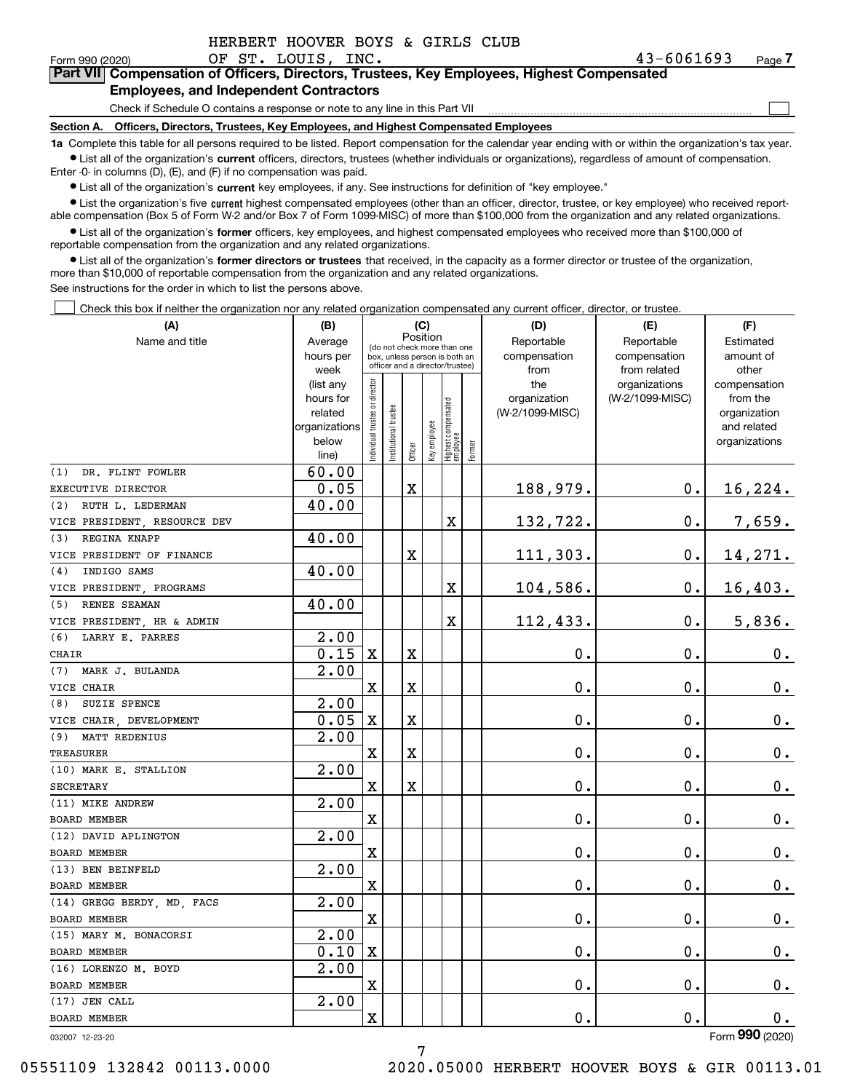| HERBERT HOOVER BOYS & GIRLS CLUB |  |  |  |
|----------------------------------|--|--|--|
|                                  |  |  |  |

 $\mathcal{L}^{\text{max}}$ 

### Form 990 (2020) OF ST. LOUIS, INC. 43-6061693 Page **7Part VII Compensation of Officers, Directors, Trustees, Key Employees, Highest Compensated Employees, and Independent Contractors**

Check if Schedule O contains a response or note to any line in this Part VII

**Section A. Officers, Directors, Trustees, Key Employees, and Highest Compensated Employees**

**1a**  Complete this table for all persons required to be listed. Report compensation for the calendar year ending with or within the organization's tax year. **•** List all of the organization's current officers, directors, trustees (whether individuals or organizations), regardless of amount of compensation.

Enter -0- in columns (D), (E), and (F) if no compensation was paid.

 $\bullet$  List all of the organization's  $\,$ current key employees, if any. See instructions for definition of "key employee."

**•** List the organization's five current highest compensated employees (other than an officer, director, trustee, or key employee) who received reportable compensation (Box 5 of Form W-2 and/or Box 7 of Form 1099-MISC) of more than \$100,000 from the organization and any related organizations.

**•** List all of the organization's former officers, key employees, and highest compensated employees who received more than \$100,000 of reportable compensation from the organization and any related organizations.

**former directors or trustees**  ¥ List all of the organization's that received, in the capacity as a former director or trustee of the organization, more than \$10,000 of reportable compensation from the organization and any related organizations.

See instructions for the order in which to list the persons above.

Check this box if neither the organization nor any related organization compensated any current officer, director, or trustee.  $\mathcal{L}^{\text{max}}$ 

| (A)                          | (B)                    |                               |                                                                  | (C)         |              |                                  |        | (D)                             | (E)             | (F)                            |
|------------------------------|------------------------|-------------------------------|------------------------------------------------------------------|-------------|--------------|----------------------------------|--------|---------------------------------|-----------------|--------------------------------|
| Name and title               | Average                |                               | (do not check more than one                                      |             | Position     |                                  |        | Reportable                      | Reportable      | Estimated                      |
|                              | hours per              |                               | box, unless person is both an<br>officer and a director/trustee) |             |              |                                  |        | compensation                    | compensation    | amount of                      |
|                              | week                   |                               |                                                                  |             |              |                                  |        | from                            | from related    | other                          |
|                              | (list any<br>hours for |                               |                                                                  |             |              |                                  |        | the                             | organizations   | compensation                   |
|                              | related                |                               |                                                                  |             |              |                                  |        | organization<br>(W-2/1099-MISC) | (W-2/1099-MISC) | from the<br>organization       |
|                              | organizations          |                               |                                                                  |             |              |                                  |        |                                 |                 | and related                    |
|                              | below                  | ndividual trustee or director | nstitutional trustee                                             |             | Key employee |                                  |        |                                 |                 | organizations                  |
|                              | line)                  |                               |                                                                  | Officer     |              | Highest compensated<br> employee | Former |                                 |                 |                                |
| DR. FLINT FOWLER<br>(1)      | 60.00                  |                               |                                                                  |             |              |                                  |        |                                 |                 |                                |
| EXECUTIVE DIRECTOR           | 0.05                   |                               |                                                                  | $\mathbf X$ |              |                                  |        | 188,979.                        | 0.              | 16,224.                        |
| RUTH L. LEDERMAN<br>(2)      | 40.00                  |                               |                                                                  |             |              |                                  |        |                                 |                 |                                |
| VICE PRESIDENT, RESOURCE DEV |                        |                               |                                                                  |             |              | X                                |        | 132,722.                        | $\mathbf{0}$ .  | 7,659.                         |
| REGINA KNAPP<br>(3)          | 40.00                  |                               |                                                                  |             |              |                                  |        |                                 |                 |                                |
| VICE PRESIDENT OF FINANCE    |                        |                               |                                                                  | $\mathbf X$ |              |                                  |        | 111,303.                        | $\mathbf 0$ .   | 14,271.                        |
| INDIGO SAMS<br>(4)           | 40.00                  |                               |                                                                  |             |              |                                  |        |                                 |                 |                                |
| VICE PRESIDENT, PROGRAMS     |                        |                               |                                                                  |             |              | X                                |        | 104,586.                        | $\mathbf 0$ .   | 16,403.                        |
| (5)<br>RENEE SEAMAN          | 40.00                  |                               |                                                                  |             |              |                                  |        |                                 |                 |                                |
| VICE PRESIDENT, HR & ADMIN   |                        |                               |                                                                  |             |              | X                                |        | 112,433.                        | $\mathbf{0}$ .  | 5,836.                         |
| LARRY E. PARRES<br>(6)       | 2.00                   |                               |                                                                  |             |              |                                  |        |                                 |                 |                                |
| CHAIR                        | 0.15                   | $\mathbf x$                   |                                                                  | $\mathbf X$ |              |                                  |        | 0.                              | 0.              | $\mathbf 0$ .                  |
| MARK J. BULANDA<br>(7)       | 2.00                   |                               |                                                                  |             |              |                                  |        |                                 |                 |                                |
| VICE CHAIR                   |                        | $\rm X$                       |                                                                  | $\mathbf X$ |              |                                  |        | 0.                              | 0.              | $\mathbf 0$ .                  |
| SUZIE SPENCE<br>(8)          | 2.00                   |                               |                                                                  |             |              |                                  |        |                                 |                 |                                |
| VICE CHAIR, DEVELOPMENT      | 0.05                   | $\mathbf X$                   |                                                                  | $\mathbf X$ |              |                                  |        | 0.                              | $\mathbf 0$ .   | $0_{.}$                        |
| (9) MATT REDENIUS            | 2.00                   |                               |                                                                  |             |              |                                  |        |                                 |                 |                                |
| <b>TREASURER</b>             |                        | X                             |                                                                  | X           |              |                                  |        | 0.                              | $\mathbf 0$ .   | $\mathbf 0$ .                  |
| (10) MARK E. STALLION        | 2.00                   |                               |                                                                  |             |              |                                  |        |                                 |                 |                                |
| <b>SECRETARY</b>             |                        | $\mathbf X$                   |                                                                  | $\mathbf X$ |              |                                  |        | 0.                              | 0.              | $\mathbf 0$ .                  |
| (11) MIKE ANDREW             | 2.00                   |                               |                                                                  |             |              |                                  |        |                                 |                 |                                |
| <b>BOARD MEMBER</b>          |                        | X                             |                                                                  |             |              |                                  |        | 0.                              | $\mathbf 0$ .   | $0_{.}$                        |
| (12) DAVID APLINGTON         | $\overline{2.00}$      |                               |                                                                  |             |              |                                  |        |                                 |                 |                                |
| <b>BOARD MEMBER</b>          |                        | $\rm X$                       |                                                                  |             |              |                                  |        | 0.                              | $\mathbf{0}$ .  | $\mathbf 0$ .                  |
| (13) BEN BEINFELD            | $\overline{2.00}$      |                               |                                                                  |             |              |                                  |        |                                 |                 |                                |
| <b>BOARD MEMBER</b>          |                        | X                             |                                                                  |             |              |                                  |        | 0.                              | 0.              | $\mathbf 0$ .                  |
| (14) GREGG BERDY, MD, FACS   | 2.00                   |                               |                                                                  |             |              |                                  |        |                                 |                 |                                |
| BOARD MEMBER                 |                        | $\mathbf X$                   |                                                                  |             |              |                                  |        | 0.                              | $\mathbf 0$ .   | $\mathbf 0$ .                  |
| (15) MARY M. BONACORSI       | 2.00                   |                               |                                                                  |             |              |                                  |        |                                 |                 |                                |
| BOARD MEMBER                 | 0.10                   | $\mathbf X$                   |                                                                  |             |              |                                  |        | 0.                              | $\mathbf 0$ .   | $\mathbf 0$ .                  |
| (16) LORENZO M. BOYD         | $\overline{2.00}$      |                               |                                                                  |             |              |                                  |        |                                 |                 |                                |
| BOARD MEMBER                 |                        | $\rm X$                       |                                                                  |             |              |                                  |        | 0.                              | 0.              | $\mathbf 0$ .                  |
| (17) JEN CALL                | 2.00                   |                               |                                                                  |             |              |                                  |        |                                 |                 |                                |
| BOARD MEMBER                 |                        | $\overline{\mathbf{X}}$       |                                                                  |             |              |                                  |        | 0.                              | $\mathbf 0$ .   | 0.<br>$\overline{\mathsf{on}}$ |

032007 12-23-20

Form (2020) **990**

05551109 132842 00113.0000 2020.05000 HERBERT HOOVER BOYS & GIR 00113.01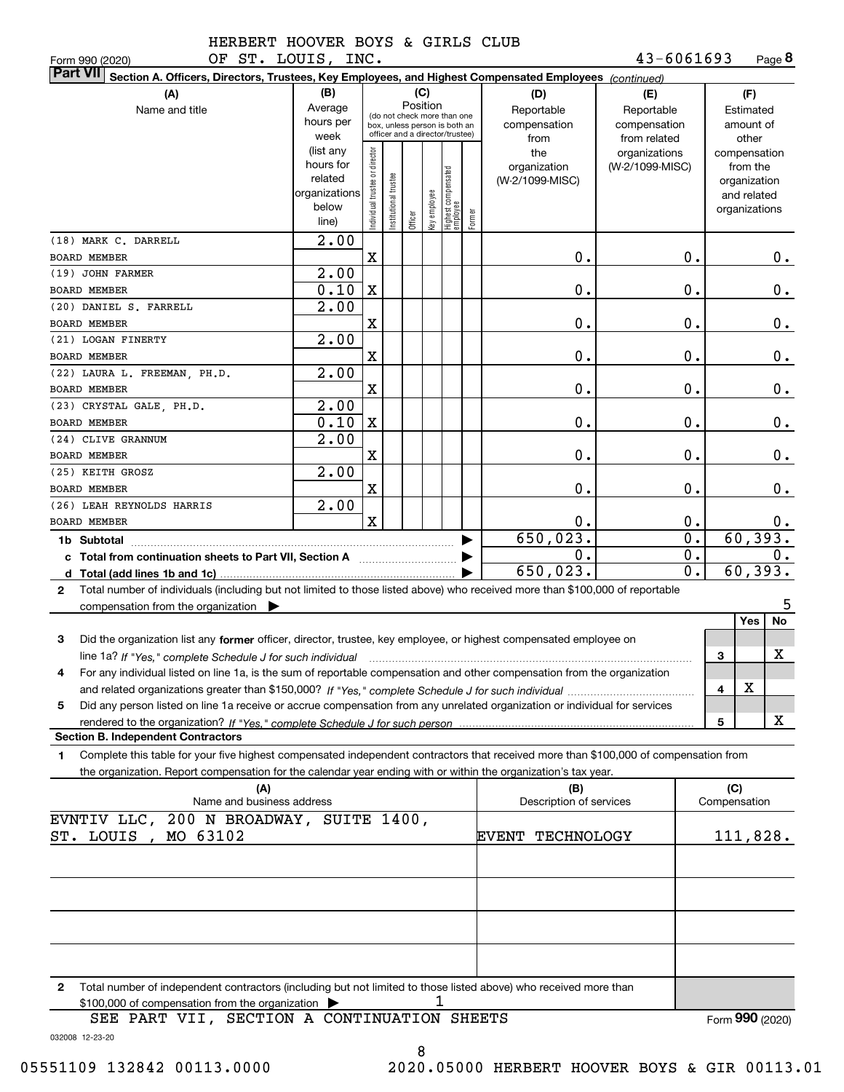**8**43-6061693

| OF ST. LOUIS,<br>Form 990 (2020)                                                                                                                     |                                                                                                    | INC.                          |                                                                                                                         |          |                     |                                  |        |                                                                                     | 43-6061693                                                                            |                  |              | Page 8                                                                                                             |
|------------------------------------------------------------------------------------------------------------------------------------------------------|----------------------------------------------------------------------------------------------------|-------------------------------|-------------------------------------------------------------------------------------------------------------------------|----------|---------------------|----------------------------------|--------|-------------------------------------------------------------------------------------|---------------------------------------------------------------------------------------|------------------|--------------|--------------------------------------------------------------------------------------------------------------------|
| <b>Part VII</b><br>Section A. Officers, Directors, Trustees, Key Employees, and Highest Compensated Employees (continued)                            |                                                                                                    |                               |                                                                                                                         |          |                     |                                  |        |                                                                                     |                                                                                       |                  |              |                                                                                                                    |
| (A)<br>Name and title                                                                                                                                | (B)<br>Average<br>hours per<br>week<br>(list any<br>hours for<br>related<br>organizations<br>below | ndividual trustee or director | (do not check more than one<br>box, unless person is both an<br>officer and a director/trustee)<br>nstitutional trustee | Position | (C)<br>əə/olduə /əy | Highest compensated<br> employee |        | (D)<br>Reportable<br>compensation<br>from<br>the<br>organization<br>(W-2/1099-MISC) | (E)<br>Reportable<br>compensation<br>from related<br>organizations<br>(W-2/1099-MISC) |                  |              | (F)<br>Estimated<br>amount of<br>other<br>compensation<br>from the<br>organization<br>and related<br>organizations |
|                                                                                                                                                      | line)                                                                                              |                               |                                                                                                                         | Officer  |                     |                                  | Former |                                                                                     |                                                                                       |                  |              |                                                                                                                    |
| (18) MARK C. DARRELL                                                                                                                                 | 2.00                                                                                               |                               |                                                                                                                         |          |                     |                                  |        |                                                                                     |                                                                                       |                  |              |                                                                                                                    |
| <b>BOARD MEMBER</b>                                                                                                                                  |                                                                                                    | X                             |                                                                                                                         |          |                     |                                  |        | 0.                                                                                  |                                                                                       | 0.               |              | $0$ .                                                                                                              |
| (19) JOHN FARMER                                                                                                                                     | 2.00                                                                                               |                               |                                                                                                                         |          |                     |                                  |        |                                                                                     |                                                                                       |                  |              |                                                                                                                    |
| BOARD MEMBER                                                                                                                                         | 0.10                                                                                               | X                             |                                                                                                                         |          |                     |                                  |        | 0.                                                                                  |                                                                                       | 0.               |              | 0.                                                                                                                 |
| (20) DANIEL S. FARRELL                                                                                                                               | 2.00                                                                                               |                               |                                                                                                                         |          |                     |                                  |        |                                                                                     |                                                                                       |                  |              |                                                                                                                    |
| <b>BOARD MEMBER</b>                                                                                                                                  |                                                                                                    | X                             |                                                                                                                         |          |                     |                                  |        | 0.                                                                                  |                                                                                       | 0.               |              | 0.                                                                                                                 |
| (21) LOGAN FINERTY                                                                                                                                   | 2.00                                                                                               |                               |                                                                                                                         |          |                     |                                  |        |                                                                                     |                                                                                       |                  |              |                                                                                                                    |
| BOARD MEMBER<br>(22) LAURA L. FREEMAN, PH.D.                                                                                                         | 2.00                                                                                               | X                             |                                                                                                                         |          |                     |                                  |        | 0.                                                                                  |                                                                                       | 0.               |              | 0.                                                                                                                 |
| BOARD MEMBER                                                                                                                                         |                                                                                                    | X                             |                                                                                                                         |          |                     |                                  |        | 0.                                                                                  |                                                                                       | 0.               |              | 0.                                                                                                                 |
| (23) CRYSTAL GALE, PH.D.                                                                                                                             | 2.00                                                                                               |                               |                                                                                                                         |          |                     |                                  |        |                                                                                     |                                                                                       |                  |              |                                                                                                                    |
| BOARD MEMBER                                                                                                                                         | 0.10                                                                                               | X                             |                                                                                                                         |          |                     |                                  |        | 0.                                                                                  |                                                                                       | 0.               |              | 0.                                                                                                                 |
| (24) CLIVE GRANNUM                                                                                                                                   | $\overline{2.00}$                                                                                  |                               |                                                                                                                         |          |                     |                                  |        |                                                                                     |                                                                                       |                  |              |                                                                                                                    |
| BOARD MEMBER                                                                                                                                         |                                                                                                    | X                             |                                                                                                                         |          |                     |                                  |        | 0.                                                                                  |                                                                                       | 0.               |              | 0.                                                                                                                 |
| (25) KEITH GROSZ                                                                                                                                     | 2.00                                                                                               |                               |                                                                                                                         |          |                     |                                  |        |                                                                                     |                                                                                       |                  |              |                                                                                                                    |
| <b>BOARD MEMBER</b>                                                                                                                                  |                                                                                                    | X                             |                                                                                                                         |          |                     |                                  |        | 0.                                                                                  |                                                                                       | 0.               |              | 0.                                                                                                                 |
| (26) LEAH REYNOLDS HARRIS                                                                                                                            | 2.00                                                                                               |                               |                                                                                                                         |          |                     |                                  |        |                                                                                     |                                                                                       |                  |              |                                                                                                                    |
| <b>BOARD MEMBER</b>                                                                                                                                  |                                                                                                    | $\mathbf X$                   |                                                                                                                         |          |                     |                                  |        | 0.                                                                                  |                                                                                       | 0.               |              | $0$ .                                                                                                              |
| 1b Subtotal                                                                                                                                          |                                                                                                    |                               |                                                                                                                         |          |                     |                                  |        | 650,023.                                                                            |                                                                                       | $\overline{0}$ . |              | 60,393.                                                                                                            |
| c Total from continuation sheets to Part VII, Section A <b>Constant Contact Part</b>                                                                 |                                                                                                    |                               |                                                                                                                         |          |                     |                                  |        | $\mathbf 0$ .                                                                       |                                                                                       | 0.               |              | 0.                                                                                                                 |
|                                                                                                                                                      |                                                                                                    |                               |                                                                                                                         |          |                     |                                  |        | 650,023.                                                                            |                                                                                       | 0.               |              | 60, 393.                                                                                                           |
| Total number of individuals (including but not limited to those listed above) who received more than \$100,000 of reportable<br>$\mathbf{2}$         |                                                                                                    |                               |                                                                                                                         |          |                     |                                  |        |                                                                                     |                                                                                       |                  |              |                                                                                                                    |
| compensation from the organization $\blacktriangleright$                                                                                             |                                                                                                    |                               |                                                                                                                         |          |                     |                                  |        |                                                                                     |                                                                                       |                  |              | 5                                                                                                                  |
|                                                                                                                                                      |                                                                                                    |                               |                                                                                                                         |          |                     |                                  |        |                                                                                     |                                                                                       |                  |              | No<br>Yes                                                                                                          |
| 3<br>Did the organization list any former officer, director, trustee, key employee, or highest compensated employee on                               |                                                                                                    |                               |                                                                                                                         |          |                     |                                  |        |                                                                                     |                                                                                       |                  |              |                                                                                                                    |
| line 1a? If "Yes," complete Schedule J for such individual manufactured contained and the line 1a? If "Yes," complete Schedule J for such individual |                                                                                                    |                               |                                                                                                                         |          |                     |                                  |        |                                                                                     |                                                                                       |                  | 3            | x                                                                                                                  |
| For any individual listed on line 1a, is the sum of reportable compensation and other compensation from the organization                             |                                                                                                    |                               |                                                                                                                         |          |                     |                                  |        |                                                                                     |                                                                                       |                  |              |                                                                                                                    |
|                                                                                                                                                      |                                                                                                    |                               |                                                                                                                         |          |                     |                                  |        |                                                                                     |                                                                                       |                  | 4            | х                                                                                                                  |
| Did any person listed on line 1a receive or accrue compensation from any unrelated organization or individual for services<br>5                      |                                                                                                    |                               |                                                                                                                         |          |                     |                                  |        |                                                                                     |                                                                                       |                  |              |                                                                                                                    |
| <b>Section B. Independent Contractors</b>                                                                                                            |                                                                                                    |                               |                                                                                                                         |          |                     |                                  |        |                                                                                     |                                                                                       |                  | 5            | x                                                                                                                  |
| Complete this table for your five highest compensated independent contractors that received more than \$100,000 of compensation from                 |                                                                                                    |                               |                                                                                                                         |          |                     |                                  |        |                                                                                     |                                                                                       |                  |              |                                                                                                                    |
| 1<br>the organization. Report compensation for the calendar year ending with or within the organization's tax year.                                  |                                                                                                    |                               |                                                                                                                         |          |                     |                                  |        |                                                                                     |                                                                                       |                  |              |                                                                                                                    |
| (A)                                                                                                                                                  |                                                                                                    |                               |                                                                                                                         |          |                     |                                  |        | (B)                                                                                 |                                                                                       |                  | (C)          |                                                                                                                    |
| Name and business address                                                                                                                            |                                                                                                    |                               |                                                                                                                         |          |                     |                                  |        | Description of services                                                             |                                                                                       |                  | Compensation |                                                                                                                    |
| EVNTIV LLC, 200 N BROADWAY, SUITE 1400,                                                                                                              |                                                                                                    |                               |                                                                                                                         |          |                     |                                  |        |                                                                                     |                                                                                       |                  |              |                                                                                                                    |
| MO 63102<br>ST. LOUIS ,                                                                                                                              |                                                                                                    |                               |                                                                                                                         |          |                     |                                  |        | <b>EVENT TECHNOLOGY</b>                                                             |                                                                                       |                  |              | 111,828.                                                                                                           |
|                                                                                                                                                      |                                                                                                    |                               |                                                                                                                         |          |                     |                                  |        |                                                                                     |                                                                                       |                  |              |                                                                                                                    |
|                                                                                                                                                      |                                                                                                    |                               |                                                                                                                         |          |                     |                                  |        |                                                                                     |                                                                                       |                  |              |                                                                                                                    |
|                                                                                                                                                      |                                                                                                    |                               |                                                                                                                         |          |                     |                                  |        |                                                                                     |                                                                                       |                  |              |                                                                                                                    |
|                                                                                                                                                      |                                                                                                    |                               |                                                                                                                         |          |                     |                                  |        |                                                                                     |                                                                                       |                  |              |                                                                                                                    |
|                                                                                                                                                      |                                                                                                    |                               |                                                                                                                         |          |                     |                                  |        |                                                                                     |                                                                                       |                  |              |                                                                                                                    |
|                                                                                                                                                      |                                                                                                    |                               |                                                                                                                         |          |                     |                                  |        |                                                                                     |                                                                                       |                  |              |                                                                                                                    |
|                                                                                                                                                      |                                                                                                    |                               |                                                                                                                         |          |                     |                                  |        |                                                                                     |                                                                                       |                  |              |                                                                                                                    |
|                                                                                                                                                      |                                                                                                    |                               |                                                                                                                         |          |                     |                                  |        |                                                                                     |                                                                                       |                  |              |                                                                                                                    |
| Total number of independent contractors (including but not limited to those listed above) who received more than<br>2                                |                                                                                                    |                               |                                                                                                                         |          |                     |                                  |        |                                                                                     |                                                                                       |                  |              |                                                                                                                    |
| \$100,000 of compensation from the organization<br>SEE PART VII, SECTION A CONTINUATION SHEETS                                                       |                                                                                                    |                               |                                                                                                                         |          |                     |                                  |        |                                                                                     |                                                                                       |                  |              | Form 990 (2020)                                                                                                    |
|                                                                                                                                                      |                                                                                                    |                               |                                                                                                                         |          |                     |                                  |        |                                                                                     |                                                                                       |                  |              |                                                                                                                    |

032008 12-23-20 SEE PART VII, SECTION A CONTINUATION SHEETS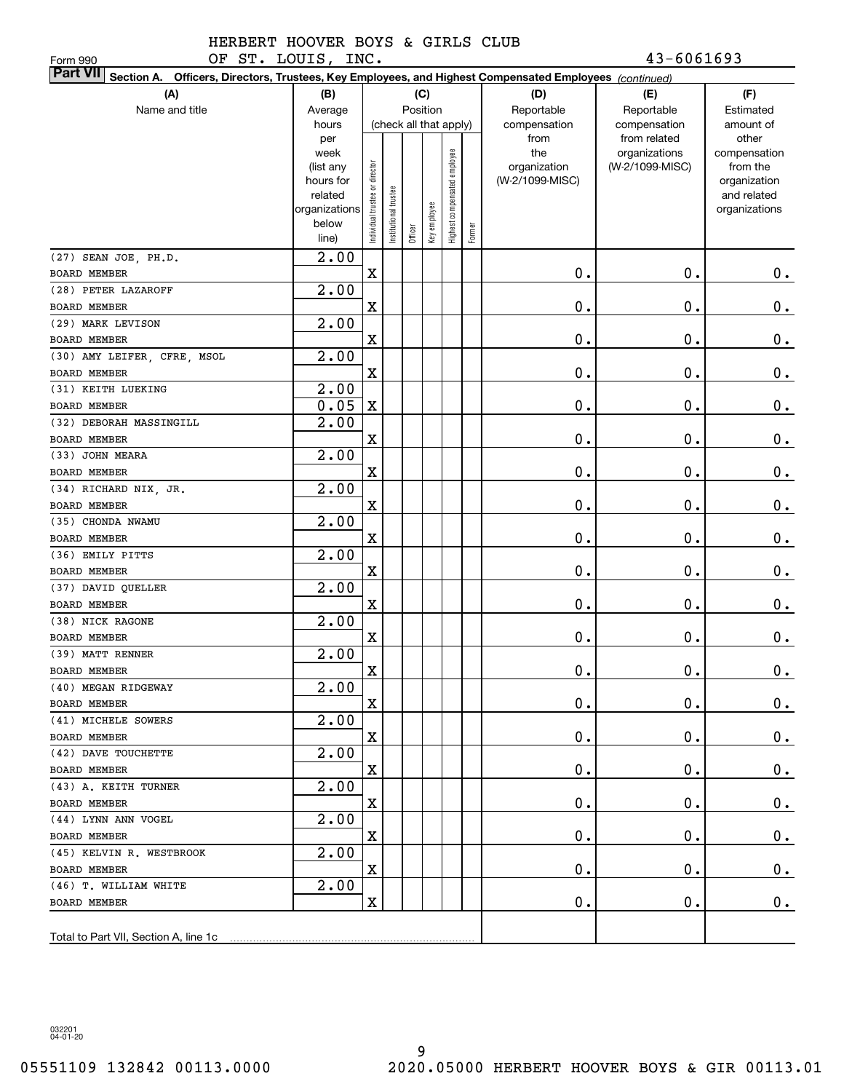OF ST. LOUIS, INC. 43-6061693

| Form 990                                                                                                                  | OF ST. LOUIS, INC.   |                                |                       |                        |              |                              |        |                 | $43 - 6061693$  |                             |
|---------------------------------------------------------------------------------------------------------------------------|----------------------|--------------------------------|-----------------------|------------------------|--------------|------------------------------|--------|-----------------|-----------------|-----------------------------|
| <b>Part VII</b><br>Section A. Officers, Directors, Trustees, Key Employees, and Highest Compensated Employees (continued) |                      |                                |                       |                        |              |                              |        |                 |                 |                             |
| (A)                                                                                                                       | (B)                  |                                |                       |                        | (C)          |                              |        | (D)             | (E)             | (F)                         |
| Name and title                                                                                                            | Average              |                                |                       | Position               |              |                              |        | Reportable      | Reportable      | Estimated                   |
|                                                                                                                           | hours                |                                |                       | (check all that apply) |              |                              |        | compensation    | compensation    | amount of                   |
|                                                                                                                           | per                  |                                |                       |                        |              |                              |        | from            | from related    | other                       |
|                                                                                                                           | week                 |                                |                       |                        |              |                              |        | the             | organizations   | compensation                |
|                                                                                                                           | (list any            |                                |                       |                        |              |                              |        | organization    | (W-2/1099-MISC) | from the                    |
|                                                                                                                           | hours for<br>related |                                |                       |                        |              |                              |        | (W-2/1099-MISC) |                 | organization<br>and related |
|                                                                                                                           | organizations        |                                |                       |                        |              |                              |        |                 |                 | organizations               |
|                                                                                                                           | below                | Individual trustee or director | Institutional trustee |                        |              | Highest compensated employee |        |                 |                 |                             |
|                                                                                                                           | line)                |                                |                       | Officer                | Key employee |                              | Former |                 |                 |                             |
| (27) SEAN JOE, PH.D.                                                                                                      | 2.00                 |                                |                       |                        |              |                              |        |                 |                 |                             |
| <b>BOARD MEMBER</b>                                                                                                       |                      | $\mathbf X$                    |                       |                        |              |                              |        | 0.              | 0.              | 0.                          |
| (28) PETER LAZAROFF                                                                                                       | 2.00                 |                                |                       |                        |              |                              |        |                 |                 |                             |
| BOARD MEMBER                                                                                                              |                      | X                              |                       |                        |              |                              |        | 0.              | 0.              | $\mathbf 0$ .               |
| (29) MARK LEVISON                                                                                                         | 2.00                 |                                |                       |                        |              |                              |        |                 |                 |                             |
| BOARD MEMBER                                                                                                              |                      | $\mathbf X$                    |                       |                        |              |                              |        | 0.              | 0.              | $0$ .                       |
| (30) AMY LEIFER, CFRE, MSOL                                                                                               | 2.00                 |                                |                       |                        |              |                              |        |                 |                 |                             |
| BOARD MEMBER                                                                                                              |                      | $\mathbf X$                    |                       |                        |              |                              |        | 0.              | 0.              | $\mathbf 0$ .               |
| (31) KEITH LUEKING                                                                                                        | 2.00                 |                                |                       |                        |              |                              |        |                 |                 |                             |
| <b>BOARD MEMBER</b>                                                                                                       | 0.05                 | $\mathbf X$                    |                       |                        |              |                              |        | 0.              | 0.              | $\mathbf 0$ .               |
| (32) DEBORAH MASSINGILL                                                                                                   | 2.00                 |                                |                       |                        |              |                              |        |                 |                 |                             |
| <b>BOARD MEMBER</b>                                                                                                       |                      | X                              |                       |                        |              |                              |        | 0.              | 0.              | $\mathbf 0$ .               |
| (33) JOHN MEARA                                                                                                           | 2.00                 |                                |                       |                        |              |                              |        |                 |                 |                             |
| BOARD MEMBER                                                                                                              |                      | X                              |                       |                        |              |                              |        | 0.              | 0.              | $0$ .                       |
| (34) RICHARD NIX, JR.                                                                                                     | 2.00                 |                                |                       |                        |              |                              |        |                 |                 |                             |
| <b>BOARD MEMBER</b>                                                                                                       |                      | $\mathbf X$                    |                       |                        |              |                              |        | 0.              | 0.              | $0$ .                       |
| (35) CHONDA NWAMU                                                                                                         | 2.00                 |                                |                       |                        |              |                              |        |                 |                 |                             |
| BOARD MEMBER                                                                                                              |                      | $\mathbf X$                    |                       |                        |              |                              |        | 0.              | 0.              | $0$ .                       |
| (36) EMILY PITTS                                                                                                          | 2.00                 |                                |                       |                        |              |                              |        |                 |                 |                             |
| BOARD MEMBER                                                                                                              |                      | X                              |                       |                        |              |                              |        | 0.              | 0.              | $0$ .                       |
| (37) DAVID QUELLER                                                                                                        | 2.00                 |                                |                       |                        |              |                              |        |                 |                 |                             |
| BOARD MEMBER                                                                                                              |                      | $\mathbf x$                    |                       |                        |              |                              |        | 0.              | 0.              | 0.                          |
| (38) NICK RAGONE                                                                                                          | 2.00                 |                                |                       |                        |              |                              |        |                 |                 |                             |
| <b>BOARD MEMBER</b>                                                                                                       |                      | X                              |                       |                        |              |                              |        | 0.              | 0.              | $0$ .                       |
| (39) MATT RENNER                                                                                                          | 2.00                 |                                |                       |                        |              |                              |        |                 |                 |                             |
| BOARD MEMBER                                                                                                              |                      | X                              |                       |                        |              |                              |        | $\mathbf 0$ .   | $\mathbf 0$ .   | $\mathbf 0$ .               |
| (40) MEGAN RIDGEWAY                                                                                                       | 2.00                 |                                |                       |                        |              |                              |        |                 |                 |                             |
| BOARD MEMBER                                                                                                              |                      | X                              |                       |                        |              |                              |        | $\mathbf 0$ .   | 0.              | 0.                          |
| (41) MICHELE SOWERS                                                                                                       | 2.00                 |                                |                       |                        |              |                              |        |                 |                 |                             |
| BOARD MEMBER                                                                                                              |                      | $\mathbf X$                    |                       |                        |              |                              |        | $\mathbf 0$ .   | 0.              | 0.                          |
| (42) DAVE TOUCHETTE                                                                                                       | 2.00                 |                                |                       |                        |              |                              |        |                 |                 |                             |
| BOARD MEMBER                                                                                                              |                      | X                              |                       |                        |              |                              |        | $\mathbf 0$ .   | 0.              | 0.                          |
| (43) A. KEITH TURNER                                                                                                      | 2.00                 |                                |                       |                        |              |                              |        |                 |                 |                             |
| BOARD MEMBER                                                                                                              |                      | X                              |                       |                        |              |                              |        | $\mathbf 0$ .   | 0.              | $0_{.}$                     |
| (44) LYNN ANN VOGEL                                                                                                       | 2.00                 |                                |                       |                        |              |                              |        |                 |                 |                             |
| BOARD MEMBER                                                                                                              |                      | X                              |                       |                        |              |                              |        | $\mathbf 0$ .   | 0.              | $0_{.}$                     |
| (45) KELVIN R. WESTBROOK                                                                                                  | 2.00                 | X                              |                       |                        |              |                              |        | $\mathbf 0$ .   |                 |                             |
| BOARD MEMBER<br>(46) T. WILLIAM WHITE                                                                                     | 2.00                 |                                |                       |                        |              |                              |        |                 | 0.              | $0_{.}$                     |
| BOARD MEMBER                                                                                                              |                      | X                              |                       |                        |              |                              |        | 0.              | 0.              | $0$ .                       |
|                                                                                                                           |                      |                                |                       |                        |              |                              |        |                 |                 |                             |
|                                                                                                                           |                      |                                |                       |                        |              |                              |        |                 |                 |                             |
|                                                                                                                           |                      |                                |                       |                        |              |                              |        |                 |                 |                             |

032201 04-01-20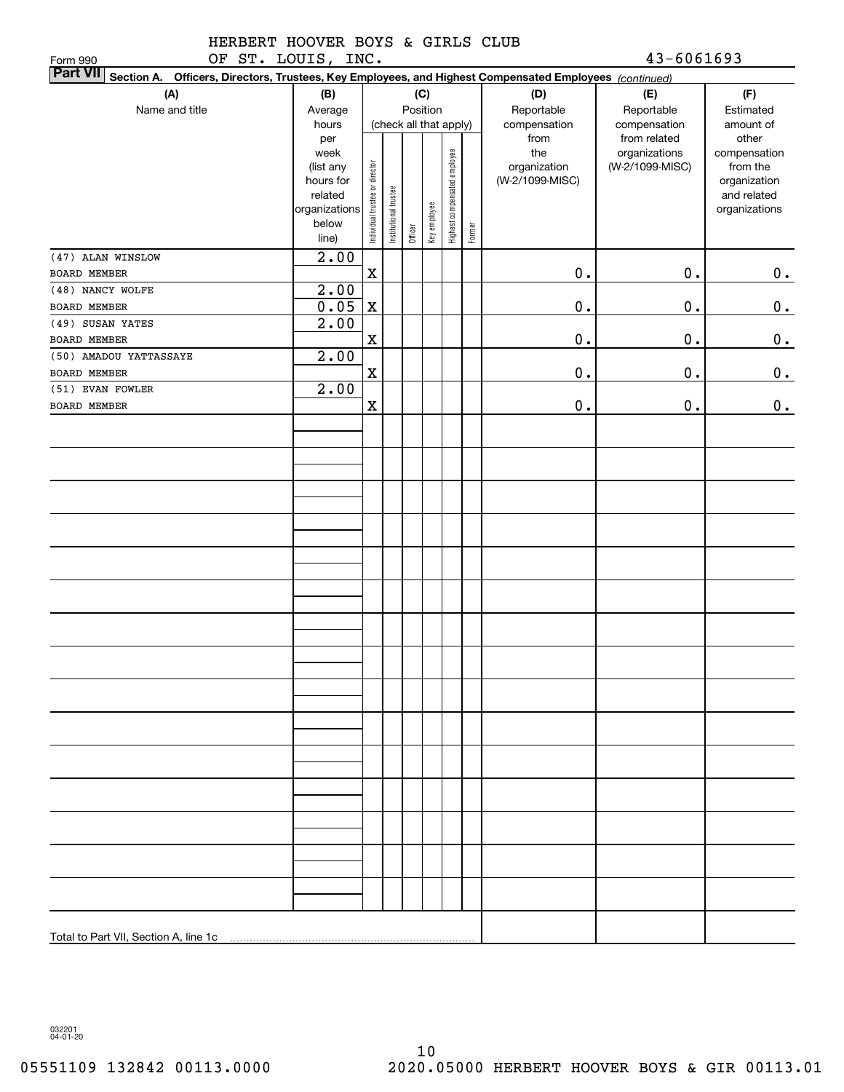| HERBERT HOOVER BOYS & GIRLS CLUB |  |  |            |
|----------------------------------|--|--|------------|
| OF ST. LOUIS, INC.               |  |  | 43-6061693 |

| OF ST. LOUIS, INC.<br>Form 990                                                                                            |                      |                                |                       |         |              |                              |        |                 | $43 - 6061693$  |                             |
|---------------------------------------------------------------------------------------------------------------------------|----------------------|--------------------------------|-----------------------|---------|--------------|------------------------------|--------|-----------------|-----------------|-----------------------------|
| <b>Part VII</b><br>Section A. Officers, Directors, Trustees, Key Employees, and Highest Compensated Employees (continued) |                      |                                |                       |         |              |                              |        |                 |                 |                             |
| (A)                                                                                                                       | (B)                  |                                |                       |         | (C)          |                              |        | (D)             | (E)             | (F)                         |
| Name and title                                                                                                            | Average              |                                |                       |         | Position     |                              |        | Reportable      | Reportable      | Estimated                   |
|                                                                                                                           | hours                |                                |                       |         |              | (check all that apply)       |        | compensation    | compensation    | amount of                   |
|                                                                                                                           | per                  |                                |                       |         |              |                              |        | from            | from related    | other                       |
|                                                                                                                           | week                 |                                |                       |         |              |                              |        | the             | organizations   | compensation                |
|                                                                                                                           | (list any            |                                |                       |         |              |                              |        | organization    | (W-2/1099-MISC) | from the                    |
|                                                                                                                           | hours for<br>related |                                |                       |         |              |                              |        | (W-2/1099-MISC) |                 | organization<br>and related |
|                                                                                                                           | organizations        | Individual trustee or director | Institutional trustee |         |              |                              |        |                 |                 | organizations               |
|                                                                                                                           | below                |                                |                       |         |              |                              |        |                 |                 |                             |
|                                                                                                                           | line)                |                                |                       | Officer | Key employee | Highest compensated employee | Former |                 |                 |                             |
| (47) ALAN WINSLOW                                                                                                         | 2.00                 |                                |                       |         |              |                              |        |                 |                 |                             |
| BOARD MEMBER                                                                                                              |                      | $\mathbf X$                    |                       |         |              |                              |        | $0$ .           | $0$ .           | 0.                          |
| (48) NANCY WOLFE                                                                                                          | 2.00                 |                                |                       |         |              |                              |        |                 |                 |                             |
| BOARD MEMBER                                                                                                              | 0.05                 | $\mathbf X$                    |                       |         |              |                              |        | $0$ .           | $\mathbf 0$ .   | $0_{.}$                     |
| (49) SUSAN YATES                                                                                                          | 2.00                 |                                |                       |         |              |                              |        |                 |                 |                             |
| <b>BOARD MEMBER</b>                                                                                                       |                      | $\mathbf X$                    |                       |         |              |                              |        | $0$ .           | $\mathbf 0$ .   | 0.                          |
| (50) AMADOU YATTASSAYE                                                                                                    | 2.00                 |                                |                       |         |              |                              |        |                 |                 |                             |
| <b>BOARD MEMBER</b>                                                                                                       |                      | X                              |                       |         |              |                              |        | $0$ .           | $\mathbf 0$ .   | 0.                          |
| (51) EVAN FOWLER                                                                                                          | 2.00                 |                                |                       |         |              |                              |        |                 |                 |                             |
| <b>BOARD MEMBER</b>                                                                                                       |                      | $\mathbf X$                    |                       |         |              |                              |        | $\mathbf 0$ .   | $\mathbf 0$ .   | $\mathbf 0$ .               |
|                                                                                                                           |                      |                                |                       |         |              |                              |        |                 |                 |                             |
|                                                                                                                           |                      |                                |                       |         |              |                              |        |                 |                 |                             |
|                                                                                                                           |                      |                                |                       |         |              |                              |        |                 |                 |                             |
|                                                                                                                           |                      |                                |                       |         |              |                              |        |                 |                 |                             |
|                                                                                                                           |                      |                                |                       |         |              |                              |        |                 |                 |                             |
|                                                                                                                           |                      |                                |                       |         |              |                              |        |                 |                 |                             |
|                                                                                                                           |                      |                                |                       |         |              |                              |        |                 |                 |                             |
|                                                                                                                           |                      |                                |                       |         |              |                              |        |                 |                 |                             |
|                                                                                                                           |                      |                                |                       |         |              |                              |        |                 |                 |                             |
|                                                                                                                           |                      |                                |                       |         |              |                              |        |                 |                 |                             |
|                                                                                                                           |                      |                                |                       |         |              |                              |        |                 |                 |                             |
|                                                                                                                           |                      |                                |                       |         |              |                              |        |                 |                 |                             |
|                                                                                                                           |                      |                                |                       |         |              |                              |        |                 |                 |                             |
|                                                                                                                           |                      |                                |                       |         |              |                              |        |                 |                 |                             |
|                                                                                                                           |                      |                                |                       |         |              |                              |        |                 |                 |                             |
|                                                                                                                           |                      |                                |                       |         |              |                              |        |                 |                 |                             |
|                                                                                                                           |                      |                                |                       |         |              |                              |        |                 |                 |                             |
|                                                                                                                           |                      |                                |                       |         |              |                              |        |                 |                 |                             |
|                                                                                                                           |                      |                                |                       |         |              |                              |        |                 |                 |                             |
|                                                                                                                           |                      |                                |                       |         |              |                              |        |                 |                 |                             |
|                                                                                                                           |                      |                                |                       |         |              |                              |        |                 |                 |                             |
|                                                                                                                           |                      |                                |                       |         |              |                              |        |                 |                 |                             |
|                                                                                                                           |                      |                                |                       |         |              |                              |        |                 |                 |                             |
|                                                                                                                           |                      |                                |                       |         |              |                              |        |                 |                 |                             |
|                                                                                                                           |                      |                                |                       |         |              |                              |        |                 |                 |                             |
|                                                                                                                           |                      |                                |                       |         |              |                              |        |                 |                 |                             |
|                                                                                                                           |                      |                                |                       |         |              |                              |        |                 |                 |                             |
|                                                                                                                           |                      |                                |                       |         |              |                              |        |                 |                 |                             |
|                                                                                                                           |                      |                                |                       |         |              |                              |        |                 |                 |                             |
|                                                                                                                           |                      |                                |                       |         |              |                              |        |                 |                 |                             |

032201 04-01-20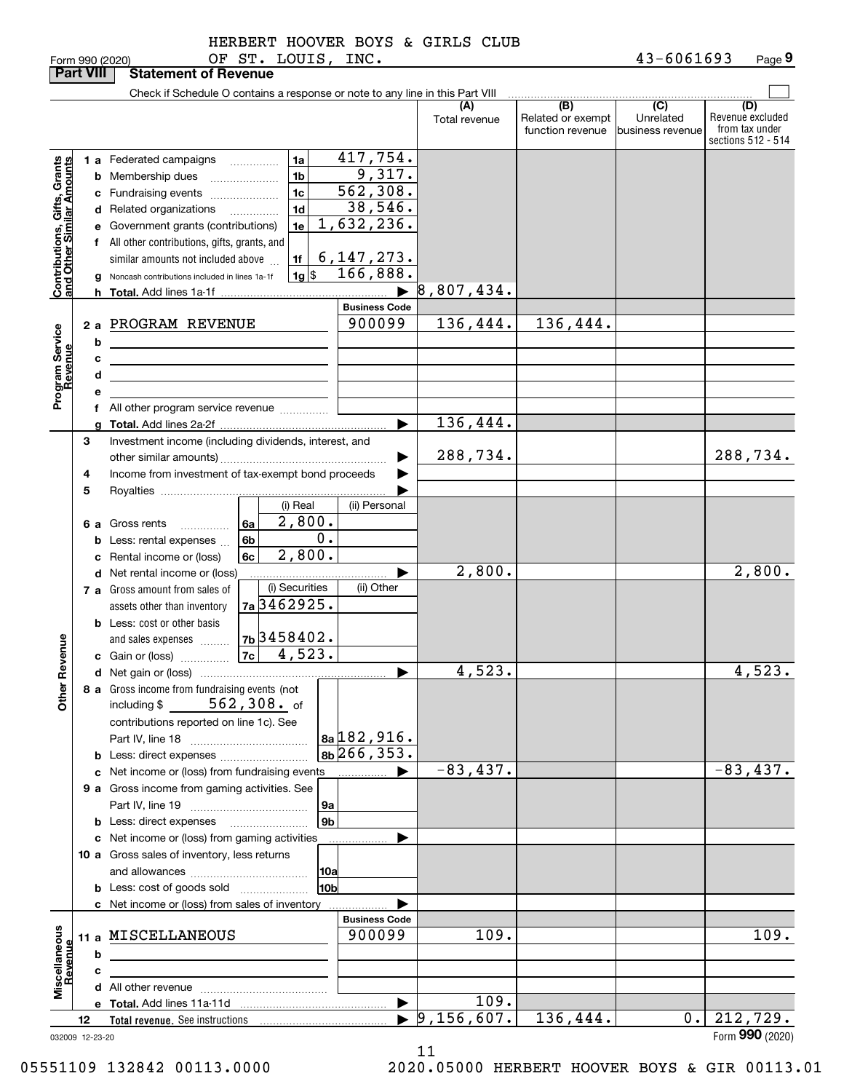|  | HLKBLKT. | HU) |
|--|----------|-----|
|  |          |     |

|                                                           | <b>Part VIII</b> |   | <b>Statement of Revenue</b>                                                                                           |                                      |                                  |                               |                                  |                                                           |                                                 |                                                                 |
|-----------------------------------------------------------|------------------|---|-----------------------------------------------------------------------------------------------------------------------|--------------------------------------|----------------------------------|-------------------------------|----------------------------------|-----------------------------------------------------------|-------------------------------------------------|-----------------------------------------------------------------|
|                                                           |                  |   | Check if Schedule O contains a response or note to any line in this Part VIII                                         |                                      |                                  |                               |                                  |                                                           |                                                 |                                                                 |
|                                                           |                  |   |                                                                                                                       |                                      |                                  |                               | (A)<br>Total revenue             | $\overline{(B)}$<br>Related or exempt<br>function revenue | $\overline{C}$<br>Unrelated<br>business revenue | (D)<br>Revenue excluded<br>from tax under<br>sections 512 - 514 |
|                                                           |                  |   | 1 a Federated campaigns                                                                                               |                                      | 1a                               | 417,754.                      |                                  |                                                           |                                                 |                                                                 |
| Contributions, Gifts, Grants<br>and Other Similar Amounts |                  |   | <b>b</b> Membership dues                                                                                              | $\ldots \ldots \ldots \ldots \ldots$ | 1 <sub>b</sub>                   | 9,317.                        |                                  |                                                           |                                                 |                                                                 |
|                                                           |                  |   | c Fundraising events                                                                                                  |                                      | 1 <sub>c</sub>                   | 562,308.                      |                                  |                                                           |                                                 |                                                                 |
|                                                           |                  |   | d Related organizations                                                                                               |                                      | 1 <sub>d</sub>                   | 38,546.                       |                                  |                                                           |                                                 |                                                                 |
|                                                           |                  |   | e Government grants (contributions)                                                                                   |                                      | 1e                               | 1,632,236.                    |                                  |                                                           |                                                 |                                                                 |
|                                                           |                  |   | f All other contributions, gifts, grants, and                                                                         |                                      |                                  |                               |                                  |                                                           |                                                 |                                                                 |
|                                                           |                  |   | similar amounts not included above                                                                                    |                                      | 1f                               |                               |                                  |                                                           |                                                 |                                                                 |
|                                                           |                  |   | g Noncash contributions included in lines 1a-1f                                                                       |                                      | $1g$ \$                          | $\frac{6,147,273.}{166,888.}$ |                                  |                                                           |                                                 |                                                                 |
|                                                           |                  |   |                                                                                                                       |                                      |                                  | $\blacktriangleright$         | 8,807,434.                       |                                                           |                                                 |                                                                 |
|                                                           |                  |   |                                                                                                                       |                                      |                                  | <b>Business Code</b>          |                                  |                                                           |                                                 |                                                                 |
|                                                           |                  |   | 2 a PROGRAM REVENUE                                                                                                   |                                      |                                  | 900099                        | 136,444.                         | 136,444.                                                  |                                                 |                                                                 |
| Program Service<br>Revenue                                |                  | b | <u> 1989 - Johann Barn, mars ann an t-Amhain Aonaich an t-Aonaich an t-Aonaich ann an t-Aonaich ann an t-Aonaich</u>  |                                      |                                  |                               |                                  |                                                           |                                                 |                                                                 |
|                                                           |                  | с | the contract of the contract of the contract of the contract of the contract of                                       |                                      |                                  |                               |                                  |                                                           |                                                 |                                                                 |
|                                                           |                  | d | <u> 1989 - Johann Barbara, martin amerikan basar dan berasal dalam basar dalam basar dalam basar dalam basar dala</u> |                                      |                                  |                               |                                  |                                                           |                                                 |                                                                 |
|                                                           |                  | e |                                                                                                                       |                                      |                                  |                               |                                  |                                                           |                                                 |                                                                 |
|                                                           |                  |   | f All other program service revenue                                                                                   |                                      |                                  |                               |                                  |                                                           |                                                 |                                                                 |
|                                                           |                  |   |                                                                                                                       |                                      |                                  | ▶                             | 136,444.                         |                                                           |                                                 |                                                                 |
|                                                           | 3                |   | Investment income (including dividends, interest, and                                                                 |                                      |                                  |                               |                                  |                                                           |                                                 |                                                                 |
|                                                           |                  |   |                                                                                                                       |                                      |                                  |                               | 288,734.                         |                                                           |                                                 | 288,734.                                                        |
|                                                           | 4                |   | Income from investment of tax-exempt bond proceeds                                                                    |                                      |                                  |                               |                                  |                                                           |                                                 |                                                                 |
|                                                           | 5                |   |                                                                                                                       |                                      |                                  |                               |                                  |                                                           |                                                 |                                                                 |
|                                                           |                  |   |                                                                                                                       |                                      | (i) Real<br>$\overline{2,800}$ . | (ii) Personal                 |                                  |                                                           |                                                 |                                                                 |
|                                                           |                  |   | 6 a Gross rents                                                                                                       | 6a                                   | 0.                               |                               |                                  |                                                           |                                                 |                                                                 |
|                                                           |                  |   | <b>b</b> Less: rental expenses                                                                                        | 6 <sub>b</sub><br>6c                 | 2,800.                           |                               |                                  |                                                           |                                                 |                                                                 |
|                                                           |                  |   | c Rental income or (loss)<br><b>d</b> Net rental income or (loss)                                                     |                                      |                                  |                               | 2,800.                           |                                                           |                                                 | 2,800.                                                          |
|                                                           |                  |   | 7 a Gross amount from sales of                                                                                        |                                      | (i) Securities                   | (ii) Other                    |                                  |                                                           |                                                 |                                                                 |
|                                                           |                  |   | assets other than inventory                                                                                           | 7a 3462925.                          |                                  |                               |                                  |                                                           |                                                 |                                                                 |
|                                                           |                  |   | <b>b</b> Less: cost or other basis                                                                                    |                                      |                                  |                               |                                  |                                                           |                                                 |                                                                 |
|                                                           |                  |   | and sales expenses                                                                                                    | 7b 3458402.                          |                                  |                               |                                  |                                                           |                                                 |                                                                 |
|                                                           |                  |   |                                                                                                                       |                                      |                                  |                               |                                  |                                                           |                                                 |                                                                 |
| Revenue                                                   |                  |   |                                                                                                                       |                                      |                                  | ▶                             | 4,523.                           |                                                           |                                                 | 4,523.                                                          |
|                                                           |                  |   | 8 a Gross income from fundraising events (not                                                                         |                                      |                                  |                               |                                  |                                                           |                                                 |                                                                 |
| <b>Othe</b>                                               |                  |   | $562,308$ . of<br>including \$                                                                                        |                                      |                                  |                               |                                  |                                                           |                                                 |                                                                 |
|                                                           |                  |   | contributions reported on line 1c). See                                                                               |                                      |                                  |                               |                                  |                                                           |                                                 |                                                                 |
|                                                           |                  |   |                                                                                                                       |                                      |                                  | 8a 182,916.                   |                                  |                                                           |                                                 |                                                                 |
|                                                           |                  |   |                                                                                                                       |                                      |                                  | $8b\overline{266, 353}$ .     |                                  |                                                           |                                                 |                                                                 |
|                                                           |                  |   | c Net income or (loss) from fundraising events                                                                        |                                      |                                  | ▶<br>.                        | $-83, 437.$                      |                                                           |                                                 | $-83,437.$                                                      |
|                                                           |                  |   | 9 a Gross income from gaming activities. See                                                                          |                                      |                                  |                               |                                  |                                                           |                                                 |                                                                 |
|                                                           |                  |   |                                                                                                                       |                                      | 9a                               |                               |                                  |                                                           |                                                 |                                                                 |
|                                                           |                  |   |                                                                                                                       |                                      | 9 <sub>b</sub>                   |                               |                                  |                                                           |                                                 |                                                                 |
|                                                           |                  |   | c Net income or (loss) from gaming activities                                                                         |                                      |                                  |                               |                                  |                                                           |                                                 |                                                                 |
|                                                           |                  |   | 10 a Gross sales of inventory, less returns                                                                           |                                      |                                  |                               |                                  |                                                           |                                                 |                                                                 |
|                                                           |                  |   |                                                                                                                       |                                      | 10a                              |                               |                                  |                                                           |                                                 |                                                                 |
|                                                           |                  |   | <b>b</b> Less: cost of goods sold                                                                                     |                                      | 10 <sub>b</sub>                  |                               |                                  |                                                           |                                                 |                                                                 |
|                                                           |                  |   | c Net income or (loss) from sales of inventory                                                                        |                                      |                                  | <b>Business Code</b>          |                                  |                                                           |                                                 |                                                                 |
|                                                           |                  |   | 11 a MISCELLANEOUS                                                                                                    |                                      |                                  | 900099                        | 109.                             |                                                           |                                                 | 109.                                                            |
|                                                           |                  | b | the control of the control of the control of                                                                          |                                      |                                  |                               |                                  |                                                           |                                                 |                                                                 |
|                                                           |                  | c |                                                                                                                       |                                      |                                  |                               |                                  |                                                           |                                                 |                                                                 |
| Miscellaneous<br>Revenue                                  |                  |   |                                                                                                                       |                                      |                                  |                               |                                  |                                                           |                                                 |                                                                 |
|                                                           |                  |   |                                                                                                                       |                                      |                                  | $\blacktriangleright$         | 109.                             |                                                           |                                                 |                                                                 |
|                                                           | 12               |   |                                                                                                                       |                                      |                                  |                               | $\blacktriangleright$ 9,156,607. | 136,444.                                                  | $0$ .                                           | 212,729.                                                        |
| 032009 12-23-20                                           |                  |   |                                                                                                                       |                                      |                                  |                               |                                  |                                                           |                                                 | Form 990 (2020)                                                 |

032009 12-23-20

11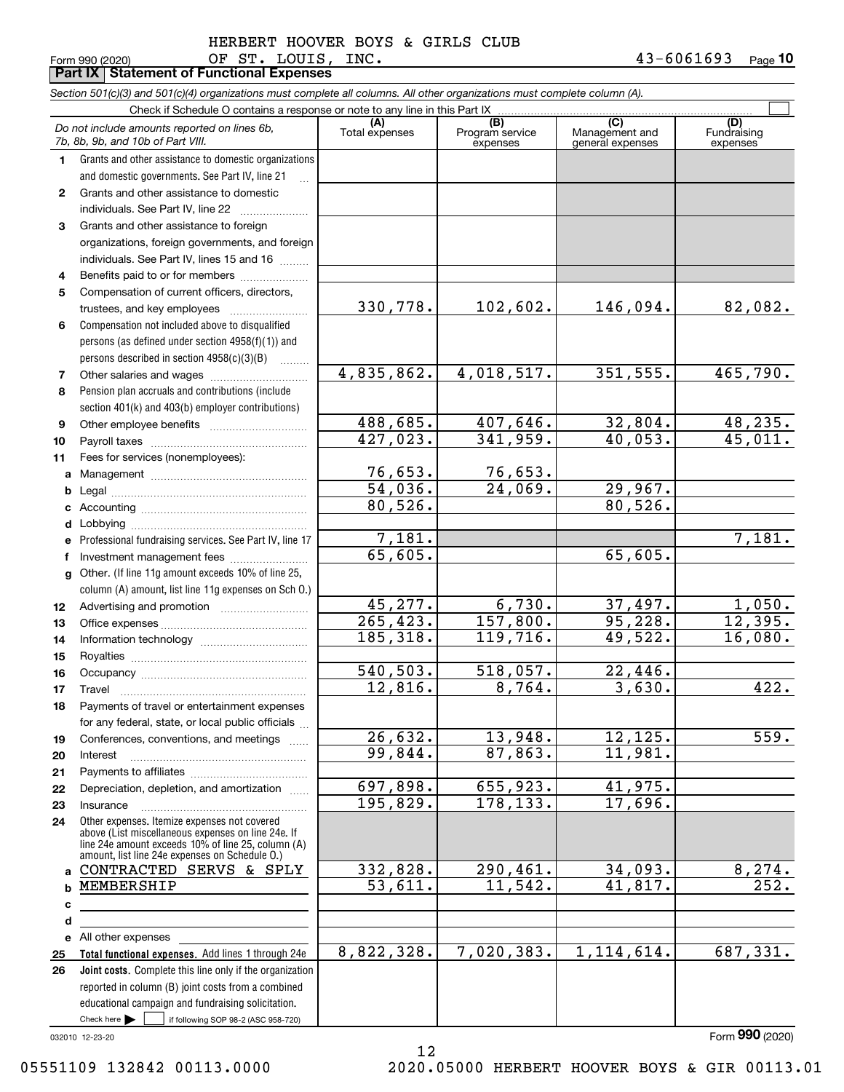Form 990 (2020) Page **Part IX Statement of Functional Expenses 10** OF ST. LOUIS, INC. 43-6061693

|              | Section 501(c)(3) and 501(c)(4) organizations must complete all columns. All other organizations must complete column (A).                                                                                 |                         |                                    |                                           |                                |
|--------------|------------------------------------------------------------------------------------------------------------------------------------------------------------------------------------------------------------|-------------------------|------------------------------------|-------------------------------------------|--------------------------------|
|              | Check if Schedule O contains a response or note to any line in this Part IX                                                                                                                                |                         |                                    |                                           |                                |
|              | Do not include amounts reported on lines 6b,<br>7b, 8b, 9b, and 10b of Part VIII.                                                                                                                          | (A)<br>Total expenses   | (B)<br>Program service<br>expenses | (C)<br>Management and<br>general expenses | (D)<br>Fundraising<br>expenses |
| 1.           | Grants and other assistance to domestic organizations                                                                                                                                                      |                         |                                    |                                           |                                |
|              | and domestic governments. See Part IV, line 21                                                                                                                                                             |                         |                                    |                                           |                                |
| $\mathbf{2}$ | Grants and other assistance to domestic                                                                                                                                                                    |                         |                                    |                                           |                                |
|              | individuals. See Part IV, line 22                                                                                                                                                                          |                         |                                    |                                           |                                |
| 3            | Grants and other assistance to foreign                                                                                                                                                                     |                         |                                    |                                           |                                |
|              | organizations, foreign governments, and foreign                                                                                                                                                            |                         |                                    |                                           |                                |
|              | individuals. See Part IV, lines 15 and 16                                                                                                                                                                  |                         |                                    |                                           |                                |
| 4            | Benefits paid to or for members                                                                                                                                                                            |                         |                                    |                                           |                                |
| 5            | Compensation of current officers, directors,                                                                                                                                                               |                         |                                    |                                           |                                |
|              | trustees, and key employees                                                                                                                                                                                | 330,778.                | 102,602.                           | 146,094.                                  | 82,082.                        |
| 6            | Compensation not included above to disqualified                                                                                                                                                            |                         |                                    |                                           |                                |
|              | persons (as defined under section 4958(f)(1)) and                                                                                                                                                          |                         |                                    |                                           |                                |
|              | persons described in section 4958(c)(3)(B)                                                                                                                                                                 |                         |                                    |                                           |                                |
| 7            |                                                                                                                                                                                                            | 4,835,862.              | 4,018,517.                         | 351,555.                                  | 465,790.                       |
| 8            | Pension plan accruals and contributions (include                                                                                                                                                           |                         |                                    |                                           |                                |
|              | section 401(k) and 403(b) employer contributions)                                                                                                                                                          |                         |                                    |                                           |                                |
| 9            |                                                                                                                                                                                                            | 488,685.                | 407,646.                           | 32,804.                                   | 48,235.                        |
| 10           |                                                                                                                                                                                                            | 427,023.                | 341,959.                           | 40,053.                                   | 45,011.                        |
| 11           | Fees for services (nonemployees):                                                                                                                                                                          |                         |                                    |                                           |                                |
|              |                                                                                                                                                                                                            | 76,653.                 | 76,653.                            |                                           |                                |
| b            |                                                                                                                                                                                                            | 54,036.                 | 24,069.                            | 29,967.                                   |                                |
| c            |                                                                                                                                                                                                            | 80,526.                 |                                    | 80,526.                                   |                                |
| d            |                                                                                                                                                                                                            |                         |                                    |                                           |                                |
| е            | Professional fundraising services. See Part IV, line 17                                                                                                                                                    | 7,181.                  |                                    |                                           | 7,181.                         |
| f            |                                                                                                                                                                                                            | 65,605.                 |                                    | 65,605.                                   |                                |
| g            | Other. (If line 11g amount exceeds 10% of line 25,                                                                                                                                                         |                         |                                    |                                           |                                |
|              | column (A) amount, list line 11g expenses on Sch 0.)                                                                                                                                                       |                         |                                    |                                           |                                |
| 12           |                                                                                                                                                                                                            | 45,277.                 | 6,730.                             | 37,497.                                   | 1,050.                         |
| 13           |                                                                                                                                                                                                            | $\overline{265, 423}$ . | 157,800.                           | 95,228.                                   | 12,395.                        |
| 14           |                                                                                                                                                                                                            | 185,318.                | 119, 716.                          | 49,522.                                   | 16,080.                        |
| 15           |                                                                                                                                                                                                            |                         |                                    |                                           |                                |
| 16           |                                                                                                                                                                                                            | 540,503.                | 518,057.                           | 22,446.                                   |                                |
| 17           |                                                                                                                                                                                                            | 12,816.                 | 8,764.                             | 3,630.                                    | 422.                           |
| 18           | Payments of travel or entertainment expenses                                                                                                                                                               |                         |                                    |                                           |                                |
|              | for any federal, state, or local public officials                                                                                                                                                          |                         |                                    |                                           |                                |
| 19           | Conferences, conventions, and meetings                                                                                                                                                                     | 26,632.                 | 13,948.                            | 12, 125.                                  | 559.                           |
| 20           | Interest                                                                                                                                                                                                   | 99,844.                 | 87,863.                            | 11,981.                                   |                                |
| 21           |                                                                                                                                                                                                            |                         |                                    |                                           |                                |
| 22           | Depreciation, depletion, and amortization                                                                                                                                                                  | 697,898.                | 655,923.                           | 41,975.                                   |                                |
| 23           | Insurance                                                                                                                                                                                                  | 195,829.                | 178,133.                           | 17,696.                                   |                                |
| 24           | Other expenses. Itemize expenses not covered<br>above (List miscellaneous expenses on line 24e. If<br>line 24e amount exceeds 10% of line 25, column (A)<br>amount, list line 24e expenses on Schedule O.) |                         |                                    |                                           |                                |
| a            | CONTRACTED SERVS & SPLY                                                                                                                                                                                    | 332,828.                | 290,461.                           | 34,093.                                   | 8,274.                         |
|              | MEMBERSHIP                                                                                                                                                                                                 | 53,611.                 | 11,542.                            | 41,817.                                   | 252.                           |
| c            |                                                                                                                                                                                                            |                         |                                    |                                           |                                |
| d            |                                                                                                                                                                                                            |                         |                                    |                                           |                                |
| е            | All other expenses                                                                                                                                                                                         |                         |                                    |                                           |                                |
| 25           | Total functional expenses. Add lines 1 through 24e                                                                                                                                                         | 8,822,328.              | 7,020,383.                         | 1, 114, 614.                              | 687,331.                       |
| 26           | Joint costs. Complete this line only if the organization                                                                                                                                                   |                         |                                    |                                           |                                |
|              | reported in column (B) joint costs from a combined                                                                                                                                                         |                         |                                    |                                           |                                |
|              | educational campaign and fundraising solicitation.                                                                                                                                                         |                         |                                    |                                           |                                |
|              | Check here $\blacktriangleright$<br>if following SOP 98-2 (ASC 958-720)                                                                                                                                    |                         |                                    |                                           |                                |

12

032010 12-23-20

Form (2020) **990**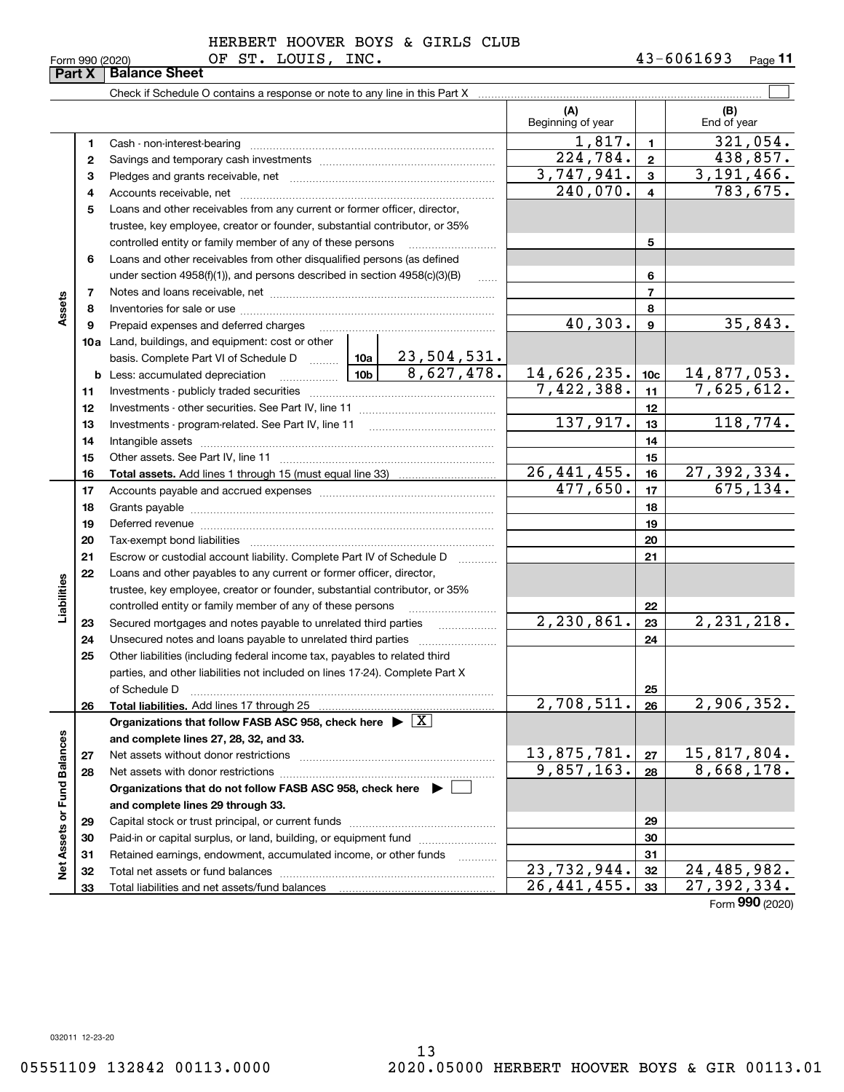HERBERT HOOVER BOYS & GIRLS CLUB

|                             |          |                                                                                                                                                                                                                               |             |                                  | (A)                              |              | (B)                                    |
|-----------------------------|----------|-------------------------------------------------------------------------------------------------------------------------------------------------------------------------------------------------------------------------------|-------------|----------------------------------|----------------------------------|--------------|----------------------------------------|
|                             |          |                                                                                                                                                                                                                               |             |                                  | Beginning of year                |              | End of year                            |
|                             | 1        |                                                                                                                                                                                                                               |             |                                  | $\overline{1,817.}$              | $\mathbf{1}$ | $\overline{321,054}$ .                 |
|                             | 2        |                                                                                                                                                                                                                               |             |                                  | 224,784.                         | $\mathbf 2$  | 438,857.                               |
|                             | з        |                                                                                                                                                                                                                               |             |                                  | $\overline{3,747,941}$ .         | 3            | 3, 191, 466.                           |
|                             | 4        |                                                                                                                                                                                                                               |             |                                  | 240,070.                         | 4            | $\overline{783,675}$ .                 |
|                             | 5        | Loans and other receivables from any current or former officer, director,                                                                                                                                                     |             |                                  |                                  |              |                                        |
|                             |          | trustee, key employee, creator or founder, substantial contributor, or 35%                                                                                                                                                    |             |                                  |                                  |              |                                        |
|                             |          | controlled entity or family member of any of these persons                                                                                                                                                                    |             |                                  |                                  | 5            |                                        |
|                             | 6        | Loans and other receivables from other disqualified persons (as defined                                                                                                                                                       |             |                                  |                                  |              |                                        |
|                             |          | under section $4958(f)(1)$ , and persons described in section $4958(c)(3)(B)$                                                                                                                                                 |             |                                  |                                  | 6            |                                        |
|                             | 7        |                                                                                                                                                                                                                               |             | $\overline{7}$                   |                                  |              |                                        |
| Assets                      | 8        |                                                                                                                                                                                                                               |             | 8                                |                                  |              |                                        |
|                             | 9        | Prepaid expenses and deferred charges                                                                                                                                                                                         | 40,303.     | 9                                | 35,843.                          |              |                                        |
|                             |          | <b>10a</b> Land, buildings, and equipment: cost or other                                                                                                                                                                      |             |                                  |                                  |              |                                        |
|                             |          | basis. Complete Part VI of Schedule D  10a                                                                                                                                                                                    |             | <u>23,504,531.</u><br>8,627,478. |                                  |              |                                        |
|                             |          | $\boxed{10b}$<br><b>b</b> Less: accumulated depreciation                                                                                                                                                                      | 14,626,235. | 10 <sub>c</sub>                  | $\frac{14,877,053.}{7,625,612.}$ |              |                                        |
|                             | 11       |                                                                                                                                                                                                                               | 7,422,388.  | 11                               |                                  |              |                                        |
|                             | 12       |                                                                                                                                                                                                                               |             | 12                               |                                  |              |                                        |
|                             | 13       | Investments - program-related. See Part IV, line 11                                                                                                                                                                           |             | 137,917.                         | 13                               | 118,774.     |                                        |
|                             | 14       |                                                                                                                                                                                                                               |             |                                  | 14                               |              |                                        |
|                             | 15       |                                                                                                                                                                                                                               |             | 15                               |                                  |              |                                        |
|                             | 16       |                                                                                                                                                                                                                               |             |                                  | 26, 441, 455.<br>477,650.        | 16           | $\overline{27,392,334}$ .<br>675, 134. |
|                             | 17       |                                                                                                                                                                                                                               |             |                                  |                                  | 17           |                                        |
|                             | 18       |                                                                                                                                                                                                                               |             | 18                               |                                  |              |                                        |
|                             | 19       | Deferred revenue manual contracts and contracts are all the manual contracts and contracts are all the contracts of the contracts of the contracts of the contracts of the contracts of the contracts of the contracts of the |             | 19                               |                                  |              |                                        |
|                             | 20<br>21 |                                                                                                                                                                                                                               |             |                                  |                                  | 20           |                                        |
|                             | 22       | Escrow or custodial account liability. Complete Part IV of Schedule D<br>Loans and other payables to any current or former officer, director,                                                                                 |             |                                  |                                  | 21           |                                        |
|                             |          | trustee, key employee, creator or founder, substantial contributor, or 35%                                                                                                                                                    |             |                                  |                                  |              |                                        |
| Liabilities                 |          | controlled entity or family member of any of these persons                                                                                                                                                                    |             |                                  |                                  | 22           |                                        |
|                             | 23       | Secured mortgages and notes payable to unrelated third parties                                                                                                                                                                |             | .                                | 2, 230, 861.                     | 23           | 2, 231, 218.                           |
|                             | 24       | Unsecured notes and loans payable to unrelated third parties                                                                                                                                                                  |             |                                  |                                  | 24           |                                        |
|                             | 25       | Other liabilities (including federal income tax, payables to related third                                                                                                                                                    |             |                                  |                                  |              |                                        |
|                             |          | parties, and other liabilities not included on lines 17-24). Complete Part X                                                                                                                                                  |             |                                  |                                  |              |                                        |
|                             |          | of Schedule D                                                                                                                                                                                                                 |             |                                  |                                  | 25           |                                        |
|                             | 26       | Total liabilities. Add lines 17 through 25                                                                                                                                                                                    |             |                                  | 2,708,511.                       | 26           | 2,906,352.                             |
|                             |          | Organizations that follow FASB ASC 958, check here $\blacktriangleright \boxed{X}$                                                                                                                                            |             |                                  |                                  |              |                                        |
|                             |          | and complete lines 27, 28, 32, and 33.                                                                                                                                                                                        |             |                                  |                                  |              |                                        |
|                             | 27       | Net assets without donor restrictions                                                                                                                                                                                         |             |                                  | 13,875,781.                      | 27           | 15,817,804.                            |
|                             | 28       |                                                                                                                                                                                                                               |             |                                  | 9,857,163.                       | 28           | 8,668,178.                             |
|                             |          | Organizations that do not follow FASB ASC 958, check here $\blacktriangleright$                                                                                                                                               |             |                                  |                                  |              |                                        |
|                             |          | and complete lines 29 through 33.                                                                                                                                                                                             |             |                                  |                                  |              |                                        |
| Net Assets or Fund Balances | 29       |                                                                                                                                                                                                                               |             |                                  |                                  | 29           |                                        |
|                             | 30       | Paid-in or capital surplus, or land, building, or equipment fund                                                                                                                                                              |             |                                  |                                  | 30           |                                        |
|                             | 31       | Retained earnings, endowment, accumulated income, or other funds                                                                                                                                                              |             | .                                |                                  | 31           |                                        |
|                             | 32       |                                                                                                                                                                                                                               |             |                                  | 23,732,944.                      | 32           | 24, 485, 982.                          |
|                             | 33       |                                                                                                                                                                                                                               |             |                                  | $\overline{26}$ , 441, 455.      | 33           | 27,392,334.                            |

Form (2020) **990**

032011 12-23-20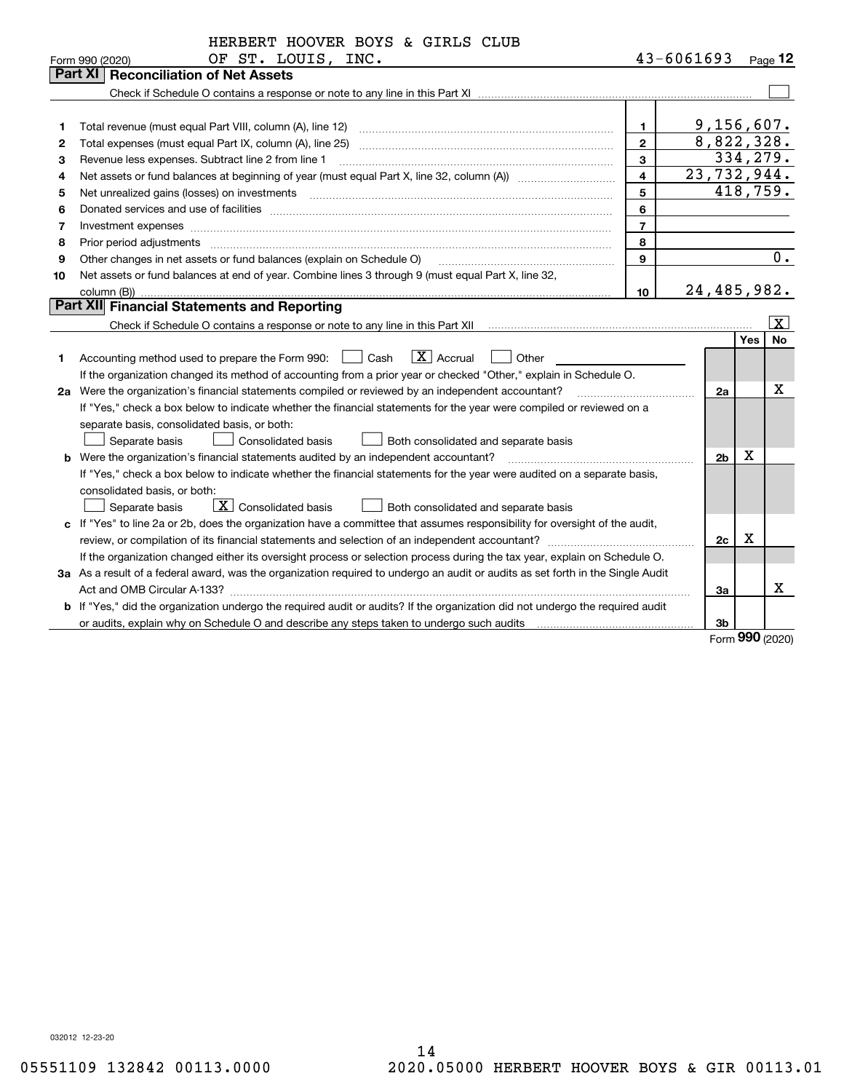| $43 - 6061693$<br>OF ST. LOUIS, INC.<br>Form 990 (2020)<br><b>Part XI</b><br><b>Reconciliation of Net Assets</b>                                                                                                                                     | $_{\text{Page}}$ 12   |
|------------------------------------------------------------------------------------------------------------------------------------------------------------------------------------------------------------------------------------------------------|-----------------------|
|                                                                                                                                                                                                                                                      |                       |
|                                                                                                                                                                                                                                                      |                       |
|                                                                                                                                                                                                                                                      |                       |
|                                                                                                                                                                                                                                                      |                       |
| 9,156,607.<br>1<br>1                                                                                                                                                                                                                                 |                       |
| 8,822,328.<br>Total expenses (must equal Part IX, column (A), line 25)<br>$\mathbf{2}$<br>2                                                                                                                                                          |                       |
| 334,279.<br>3<br>Revenue less expenses. Subtract line 2 from line 1<br>з                                                                                                                                                                             |                       |
| 23,732,944.<br>$\overline{\mathbf{4}}$<br>4                                                                                                                                                                                                          |                       |
| 418,759.<br>5<br>Net unrealized gains (losses) on investments [11] matter contracts and the state of the state of the state of the state of the state of the state of the state of the state of the state of the state of the state of the stat<br>5 |                       |
| 6<br>6                                                                                                                                                                                                                                               |                       |
| $\overline{7}$<br>Investment expenses www.communication.communication.com/www.communication.com/www.communication.com<br>7                                                                                                                           |                       |
| 8<br>8<br>Prior period adjustments                                                                                                                                                                                                                   |                       |
| $\mathbf{Q}$<br>Other changes in net assets or fund balances (explain on Schedule O)<br>9                                                                                                                                                            | 0.                    |
| Net assets or fund balances at end of year. Combine lines 3 through 9 (must equal Part X, line 32,<br>10                                                                                                                                             |                       |
| 24,485,982.<br>10<br>column (B))                                                                                                                                                                                                                     |                       |
| <b>Part XII</b> Financial Statements and Reporting                                                                                                                                                                                                   |                       |
|                                                                                                                                                                                                                                                      | $\overline{\text{X}}$ |
| <b>Yes</b>                                                                                                                                                                                                                                           | <b>No</b>             |
| $\boxed{\mathbf{X}}$ Accrual<br>Accounting method used to prepare the Form 990: <u>II</u> Cash<br>Other<br>1                                                                                                                                         |                       |
| If the organization changed its method of accounting from a prior year or checked "Other," explain in Schedule O.                                                                                                                                    |                       |
| 2a Were the organization's financial statements compiled or reviewed by an independent accountant?<br>2a                                                                                                                                             | х                     |
| If "Yes," check a box below to indicate whether the financial statements for the year were compiled or reviewed on a                                                                                                                                 |                       |
| separate basis, consolidated basis, or both:                                                                                                                                                                                                         |                       |
| Separate basis<br><b>Consolidated basis</b><br>Both consolidated and separate basis                                                                                                                                                                  |                       |
| Х<br>2 <sub>b</sub><br><b>b</b> Were the organization's financial statements audited by an independent accountant?                                                                                                                                   |                       |
| If "Yes," check a box below to indicate whether the financial statements for the year were audited on a separate basis,                                                                                                                              |                       |
| consolidated basis, or both:                                                                                                                                                                                                                         |                       |
| $\boxed{\textbf{X}}$ Consolidated basis<br>Both consolidated and separate basis<br>Separate basis                                                                                                                                                    |                       |
| c If "Yes" to line 2a or 2b, does the organization have a committee that assumes responsibility for oversight of the audit,                                                                                                                          |                       |
| Х<br>review, or compilation of its financial statements and selection of an independent accountant?<br>2c<br>.                                                                                                                                       |                       |
| If the organization changed either its oversight process or selection process during the tax year, explain on Schedule O.                                                                                                                            |                       |
| 3a As a result of a federal award, was the organization required to undergo an audit or audits as set forth in the Single Audit                                                                                                                      |                       |
| За                                                                                                                                                                                                                                                   | х                     |
| b If "Yes," did the organization undergo the required audit or audits? If the organization did not undergo the required audit                                                                                                                        |                       |
| 3b<br>$\Omega$                                                                                                                                                                                                                                       |                       |

Form (2020) **990**

032012 12-23-20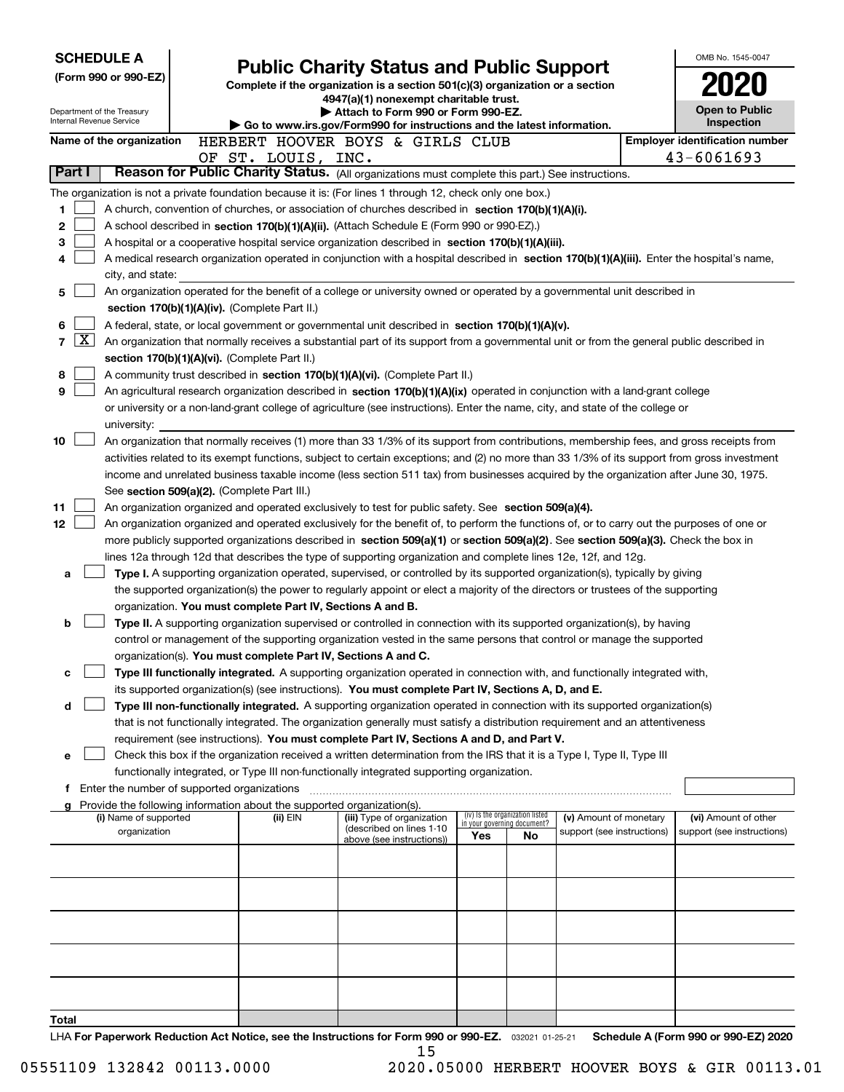|        | <b>SCHEDULE A</b>                                                                                                                                 |  |                                                                        |                                                                                                                                                                                                                                               |       |                                                                |                            |  | OMB No. 1545-0047                                           |  |  |  |
|--------|---------------------------------------------------------------------------------------------------------------------------------------------------|--|------------------------------------------------------------------------|-----------------------------------------------------------------------------------------------------------------------------------------------------------------------------------------------------------------------------------------------|-------|----------------------------------------------------------------|----------------------------|--|-------------------------------------------------------------|--|--|--|
|        | (Form 990 or 990-EZ)                                                                                                                              |  |                                                                        | <b>Public Charity Status and Public Support</b>                                                                                                                                                                                               |       |                                                                |                            |  |                                                             |  |  |  |
|        |                                                                                                                                                   |  |                                                                        | Complete if the organization is a section 501(c)(3) organization or a section<br>4947(a)(1) nonexempt charitable trust.                                                                                                                       |       |                                                                |                            |  |                                                             |  |  |  |
|        | Department of the Treasury<br>Internal Revenue Service                                                                                            |  |                                                                        | Attach to Form 990 or Form 990-EZ.                                                                                                                                                                                                            |       |                                                                |                            |  | <b>Open to Public</b>                                       |  |  |  |
|        | Name of the organization                                                                                                                          |  |                                                                        | Go to www.irs.gov/Form990 for instructions and the latest information.                                                                                                                                                                        |       |                                                                |                            |  | Inspection                                                  |  |  |  |
|        |                                                                                                                                                   |  | OF ST. LOUIS, INC.                                                     | HERBERT HOOVER BOYS & GIRLS CLUB                                                                                                                                                                                                              |       |                                                                |                            |  | <b>Employer identification number</b><br>43-6061693         |  |  |  |
| Part I |                                                                                                                                                   |  |                                                                        | Reason for Public Charity Status. (All organizations must complete this part.) See instructions.                                                                                                                                              |       |                                                                |                            |  |                                                             |  |  |  |
|        |                                                                                                                                                   |  |                                                                        | The organization is not a private foundation because it is: (For lines 1 through 12, check only one box.)                                                                                                                                     |       |                                                                |                            |  |                                                             |  |  |  |
| 1.     |                                                                                                                                                   |  |                                                                        | A church, convention of churches, or association of churches described in section 170(b)(1)(A)(i).                                                                                                                                            |       |                                                                |                            |  |                                                             |  |  |  |
| 2      |                                                                                                                                                   |  |                                                                        | A school described in section 170(b)(1)(A)(ii). (Attach Schedule E (Form 990 or 990-EZ).)                                                                                                                                                     |       |                                                                |                            |  |                                                             |  |  |  |
| 3      |                                                                                                                                                   |  |                                                                        | A hospital or a cooperative hospital service organization described in section $170(b)(1)(A)(iii)$ .                                                                                                                                          |       |                                                                |                            |  |                                                             |  |  |  |
| 4      |                                                                                                                                                   |  |                                                                        | A medical research organization operated in conjunction with a hospital described in section 170(b)(1)(A)(iii). Enter the hospital's name,                                                                                                    |       |                                                                |                            |  |                                                             |  |  |  |
|        | city, and state:                                                                                                                                  |  |                                                                        |                                                                                                                                                                                                                                               |       |                                                                |                            |  |                                                             |  |  |  |
| 5      |                                                                                                                                                   |  |                                                                        | An organization operated for the benefit of a college or university owned or operated by a governmental unit described in                                                                                                                     |       |                                                                |                            |  |                                                             |  |  |  |
|        | section 170(b)(1)(A)(iv). (Complete Part II.)<br>A federal, state, or local government or governmental unit described in section 170(b)(1)(A)(v). |  |                                                                        |                                                                                                                                                                                                                                               |       |                                                                |                            |  |                                                             |  |  |  |
| 6      |                                                                                                                                                   |  |                                                                        |                                                                                                                                                                                                                                               |       |                                                                |                            |  |                                                             |  |  |  |
| 7      | $\vert$ X $\vert$                                                                                                                                 |  |                                                                        | An organization that normally receives a substantial part of its support from a governmental unit or from the general public described in                                                                                                     |       |                                                                |                            |  |                                                             |  |  |  |
| 8      |                                                                                                                                                   |  | section 170(b)(1)(A)(vi). (Complete Part II.)                          | A community trust described in section 170(b)(1)(A)(vi). (Complete Part II.)                                                                                                                                                                  |       |                                                                |                            |  |                                                             |  |  |  |
| 9      |                                                                                                                                                   |  |                                                                        | An agricultural research organization described in section 170(b)(1)(A)(ix) operated in conjunction with a land-grant college                                                                                                                 |       |                                                                |                            |  |                                                             |  |  |  |
|        |                                                                                                                                                   |  |                                                                        | or university or a non-land-grant college of agriculture (see instructions). Enter the name, city, and state of the college or                                                                                                                |       |                                                                |                            |  |                                                             |  |  |  |
|        | university:                                                                                                                                       |  |                                                                        |                                                                                                                                                                                                                                               |       |                                                                |                            |  |                                                             |  |  |  |
| 10     |                                                                                                                                                   |  |                                                                        | An organization that normally receives (1) more than 33 1/3% of its support from contributions, membership fees, and gross receipts from                                                                                                      |       |                                                                |                            |  |                                                             |  |  |  |
|        |                                                                                                                                                   |  |                                                                        | activities related to its exempt functions, subject to certain exceptions; and (2) no more than 33 1/3% of its support from gross investment                                                                                                  |       |                                                                |                            |  |                                                             |  |  |  |
|        |                                                                                                                                                   |  |                                                                        | income and unrelated business taxable income (less section 511 tax) from businesses acquired by the organization after June 30, 1975.                                                                                                         |       |                                                                |                            |  |                                                             |  |  |  |
|        |                                                                                                                                                   |  | See section 509(a)(2). (Complete Part III.)                            |                                                                                                                                                                                                                                               |       |                                                                |                            |  |                                                             |  |  |  |
| 11     |                                                                                                                                                   |  |                                                                        | An organization organized and operated exclusively to test for public safety. See section 509(a)(4).                                                                                                                                          |       |                                                                |                            |  |                                                             |  |  |  |
| 12     |                                                                                                                                                   |  |                                                                        | An organization organized and operated exclusively for the benefit of, to perform the functions of, or to carry out the purposes of one or                                                                                                    |       |                                                                |                            |  |                                                             |  |  |  |
|        |                                                                                                                                                   |  |                                                                        | more publicly supported organizations described in section 509(a)(1) or section 509(a)(2). See section 509(a)(3). Check the box in                                                                                                            |       |                                                                |                            |  |                                                             |  |  |  |
| a      |                                                                                                                                                   |  |                                                                        | lines 12a through 12d that describes the type of supporting organization and complete lines 12e, 12f, and 12g.<br>Type I. A supporting organization operated, supervised, or controlled by its supported organization(s), typically by giving |       |                                                                |                            |  |                                                             |  |  |  |
|        |                                                                                                                                                   |  |                                                                        | the supported organization(s) the power to regularly appoint or elect a majority of the directors or trustees of the supporting                                                                                                               |       |                                                                |                            |  |                                                             |  |  |  |
|        |                                                                                                                                                   |  | organization. You must complete Part IV, Sections A and B.             |                                                                                                                                                                                                                                               |       |                                                                |                            |  |                                                             |  |  |  |
| b      |                                                                                                                                                   |  |                                                                        | Type II. A supporting organization supervised or controlled in connection with its supported organization(s), by having                                                                                                                       |       |                                                                |                            |  |                                                             |  |  |  |
|        |                                                                                                                                                   |  |                                                                        | control or management of the supporting organization vested in the same persons that control or manage the supported                                                                                                                          |       |                                                                |                            |  |                                                             |  |  |  |
|        |                                                                                                                                                   |  | organization(s). You must complete Part IV, Sections A and C.          |                                                                                                                                                                                                                                               |       |                                                                |                            |  |                                                             |  |  |  |
| с      |                                                                                                                                                   |  |                                                                        | Type III functionally integrated. A supporting organization operated in connection with, and functionally integrated with,                                                                                                                    |       |                                                                |                            |  |                                                             |  |  |  |
|        |                                                                                                                                                   |  |                                                                        | its supported organization(s) (see instructions). You must complete Part IV, Sections A, D, and E.                                                                                                                                            |       |                                                                |                            |  |                                                             |  |  |  |
| d      |                                                                                                                                                   |  |                                                                        | Type III non-functionally integrated. A supporting organization operated in connection with its supported organization(s)                                                                                                                     |       |                                                                |                            |  |                                                             |  |  |  |
|        |                                                                                                                                                   |  |                                                                        | that is not functionally integrated. The organization generally must satisfy a distribution requirement and an attentiveness<br>requirement (see instructions). You must complete Part IV, Sections A and D, and Part V.                      |       |                                                                |                            |  |                                                             |  |  |  |
| е      |                                                                                                                                                   |  |                                                                        | Check this box if the organization received a written determination from the IRS that it is a Type I, Type II, Type III                                                                                                                       |       |                                                                |                            |  |                                                             |  |  |  |
|        |                                                                                                                                                   |  |                                                                        | functionally integrated, or Type III non-functionally integrated supporting organization.                                                                                                                                                     |       |                                                                |                            |  |                                                             |  |  |  |
| Ť.     | Enter the number of supported organizations                                                                                                       |  |                                                                        |                                                                                                                                                                                                                                               |       |                                                                |                            |  |                                                             |  |  |  |
|        |                                                                                                                                                   |  | Provide the following information about the supported organization(s). |                                                                                                                                                                                                                                               |       |                                                                |                            |  |                                                             |  |  |  |
|        | (i) Name of supported                                                                                                                             |  | (ii) $EIN$                                                             | (iii) Type of organization<br>(described on lines 1-10                                                                                                                                                                                        |       | (iv) Is the organization listed<br>in your governing document? | (v) Amount of monetary     |  | (vi) Amount of other                                        |  |  |  |
|        | organization                                                                                                                                      |  |                                                                        | above (see instructions))                                                                                                                                                                                                                     | Yes   | No                                                             | support (see instructions) |  | support (see instructions)                                  |  |  |  |
|        |                                                                                                                                                   |  |                                                                        |                                                                                                                                                                                                                                               |       |                                                                |                            |  |                                                             |  |  |  |
|        |                                                                                                                                                   |  |                                                                        |                                                                                                                                                                                                                                               |       |                                                                |                            |  |                                                             |  |  |  |
|        |                                                                                                                                                   |  |                                                                        |                                                                                                                                                                                                                                               |       |                                                                |                            |  |                                                             |  |  |  |
|        |                                                                                                                                                   |  |                                                                        |                                                                                                                                                                                                                                               |       |                                                                |                            |  |                                                             |  |  |  |
|        |                                                                                                                                                   |  |                                                                        |                                                                                                                                                                                                                                               |       |                                                                |                            |  |                                                             |  |  |  |
|        |                                                                                                                                                   |  |                                                                        |                                                                                                                                                                                                                                               |       |                                                                |                            |  |                                                             |  |  |  |
|        |                                                                                                                                                   |  |                                                                        |                                                                                                                                                                                                                                               |       |                                                                |                            |  |                                                             |  |  |  |
|        |                                                                                                                                                   |  |                                                                        |                                                                                                                                                                                                                                               |       |                                                                |                            |  |                                                             |  |  |  |
|        |                                                                                                                                                   |  |                                                                        |                                                                                                                                                                                                                                               |       |                                                                |                            |  |                                                             |  |  |  |
| Total  |                                                                                                                                                   |  |                                                                        | $f_{\text{av}}$ $F_{\text{av}}$ $000 - y$                                                                                                                                                                                                     | 000E2 |                                                                |                            |  | $A / F_{\text{extra}}$ 000 $A$ <sub>2</sub> 000 $F$ 7) 0000 |  |  |  |

LHA For Paperwork Reduction Act Notice, see the Instructions for Form 990 or 990-EZ. <sub>032021</sub> o1-25-21 Schedule A (Form 990 or 990-EZ) 2020 15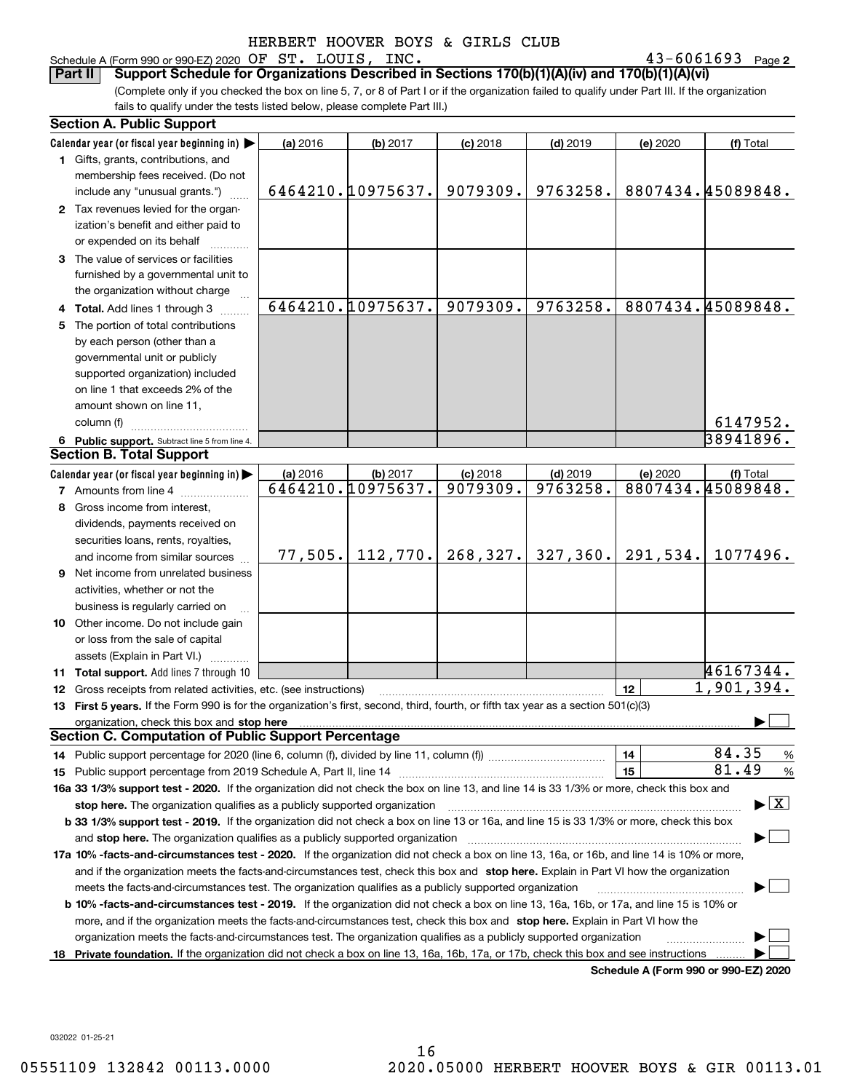### Schedule A (Form 990 or 990-EZ) 2020 Page OF ST. LOUIS, INC. 43-6061693

43-6061693 Page 2

(Complete only if you checked the box on line 5, 7, or 8 of Part I or if the organization failed to qualify under Part III. If the organization fails to qualify under the tests listed below, please complete Part III.) **Part II Support Schedule for Organizations Described in Sections 170(b)(1)(A)(iv) and 170(b)(1)(A)(vi)**

|    | <b>Section A. Public Support</b>                                                                                                                                                                                                                 |          |                   |            |            |                                      |                                          |  |  |  |
|----|--------------------------------------------------------------------------------------------------------------------------------------------------------------------------------------------------------------------------------------------------|----------|-------------------|------------|------------|--------------------------------------|------------------------------------------|--|--|--|
|    | Calendar year (or fiscal year beginning in) $\blacktriangleright$                                                                                                                                                                                | (a) 2016 | (b) 2017          | $(c)$ 2018 | $(d)$ 2019 | (e) 2020                             | (f) Total                                |  |  |  |
|    | 1 Gifts, grants, contributions, and                                                                                                                                                                                                              |          |                   |            |            |                                      |                                          |  |  |  |
|    | membership fees received. (Do not                                                                                                                                                                                                                |          |                   |            |            |                                      |                                          |  |  |  |
|    | include any "unusual grants.")                                                                                                                                                                                                                   |          | 6464210.10975637. | 9079309.   | 9763258.   |                                      | 8807434.45089848.                        |  |  |  |
|    | 2 Tax revenues levied for the organ-                                                                                                                                                                                                             |          |                   |            |            |                                      |                                          |  |  |  |
|    | ization's benefit and either paid to                                                                                                                                                                                                             |          |                   |            |            |                                      |                                          |  |  |  |
|    | or expended on its behalf                                                                                                                                                                                                                        |          |                   |            |            |                                      |                                          |  |  |  |
|    | 3 The value of services or facilities                                                                                                                                                                                                            |          |                   |            |            |                                      |                                          |  |  |  |
|    | furnished by a governmental unit to                                                                                                                                                                                                              |          |                   |            |            |                                      |                                          |  |  |  |
|    | the organization without charge                                                                                                                                                                                                                  |          |                   |            |            |                                      |                                          |  |  |  |
|    | 4 Total. Add lines 1 through 3                                                                                                                                                                                                                   |          | 6464210.10975637. | 9079309.   | 9763258.   |                                      | 8807434.45089848.                        |  |  |  |
| 5. | The portion of total contributions                                                                                                                                                                                                               |          |                   |            |            |                                      |                                          |  |  |  |
|    | by each person (other than a                                                                                                                                                                                                                     |          |                   |            |            |                                      |                                          |  |  |  |
|    | governmental unit or publicly                                                                                                                                                                                                                    |          |                   |            |            |                                      |                                          |  |  |  |
|    | supported organization) included                                                                                                                                                                                                                 |          |                   |            |            |                                      |                                          |  |  |  |
|    | on line 1 that exceeds 2% of the                                                                                                                                                                                                                 |          |                   |            |            |                                      |                                          |  |  |  |
|    | amount shown on line 11,                                                                                                                                                                                                                         |          |                   |            |            |                                      |                                          |  |  |  |
|    | column (f)                                                                                                                                                                                                                                       |          |                   |            |            |                                      | 6147952.                                 |  |  |  |
|    | 6 Public support. Subtract line 5 from line 4.                                                                                                                                                                                                   |          |                   |            |            |                                      | 38941896.                                |  |  |  |
|    | <b>Section B. Total Support</b>                                                                                                                                                                                                                  |          |                   |            |            |                                      |                                          |  |  |  |
|    | Calendar year (or fiscal year beginning in)                                                                                                                                                                                                      | (a) 2016 | (b) 2017          | $(c)$ 2018 | $(d)$ 2019 | (e) 2020                             | (f) Total                                |  |  |  |
|    | <b>7</b> Amounts from line 4                                                                                                                                                                                                                     |          | 6464210.10975637. | 9079309.   | 9763258.   |                                      | 8807434.45089848.                        |  |  |  |
|    | 8 Gross income from interest,                                                                                                                                                                                                                    |          |                   |            |            |                                      |                                          |  |  |  |
|    | dividends, payments received on                                                                                                                                                                                                                  |          |                   |            |            |                                      |                                          |  |  |  |
|    | securities loans, rents, royalties,                                                                                                                                                                                                              |          |                   |            |            |                                      |                                          |  |  |  |
|    | and income from similar sources                                                                                                                                                                                                                  | 77,505.  | 112,770.          | 268, 327.  | 327, 360.  | 291,534.                             | 1077496.                                 |  |  |  |
|    | 9 Net income from unrelated business                                                                                                                                                                                                             |          |                   |            |            |                                      |                                          |  |  |  |
|    | activities, whether or not the                                                                                                                                                                                                                   |          |                   |            |            |                                      |                                          |  |  |  |
|    | business is regularly carried on                                                                                                                                                                                                                 |          |                   |            |            |                                      |                                          |  |  |  |
|    | <b>10</b> Other income. Do not include gain                                                                                                                                                                                                      |          |                   |            |            |                                      |                                          |  |  |  |
|    | or loss from the sale of capital                                                                                                                                                                                                                 |          |                   |            |            |                                      |                                          |  |  |  |
|    | assets (Explain in Part VI.)                                                                                                                                                                                                                     |          |                   |            |            |                                      |                                          |  |  |  |
|    | 11 Total support. Add lines 7 through 10                                                                                                                                                                                                         |          |                   |            |            |                                      | 46167344.                                |  |  |  |
|    | <b>12</b> Gross receipts from related activities, etc. (see instructions)                                                                                                                                                                        |          |                   |            |            | 12                                   | 1,901,394.                               |  |  |  |
|    | 13 First 5 years. If the Form 990 is for the organization's first, second, third, fourth, or fifth tax year as a section 501(c)(3)                                                                                                               |          |                   |            |            |                                      |                                          |  |  |  |
|    | organization, check this box and stop here manufactured and according to the state of the state of the state of the state of the state of the state of the state of the state of the state of the state of the state of the st                   |          |                   |            |            |                                      |                                          |  |  |  |
|    | <b>Section C. Computation of Public Support Percentage</b>                                                                                                                                                                                       |          |                   |            |            |                                      |                                          |  |  |  |
|    | 14 Public support percentage for 2020 (line 6, column (f), divided by line 11, column (f) <i>mummumumum</i>                                                                                                                                      |          |                   |            |            | 14                                   | 84.35<br>%                               |  |  |  |
|    |                                                                                                                                                                                                                                                  |          |                   |            |            | 15                                   | 81.49<br>$\%$                            |  |  |  |
|    | 16a 33 1/3% support test - 2020. If the organization did not check the box on line 13, and line 14 is 33 1/3% or more, check this box and                                                                                                        |          |                   |            |            |                                      |                                          |  |  |  |
|    | stop here. The organization qualifies as a publicly supported organization                                                                                                                                                                       |          |                   |            |            |                                      | $\blacktriangleright$ $\boxed{\text{X}}$ |  |  |  |
|    | b 33 1/3% support test - 2019. If the organization did not check a box on line 13 or 16a, and line 15 is 33 1/3% or more, check this box                                                                                                         |          |                   |            |            |                                      |                                          |  |  |  |
|    | and stop here. The organization qualifies as a publicly supported organization                                                                                                                                                                   |          |                   |            |            |                                      |                                          |  |  |  |
|    | 17a 10% -facts-and-circumstances test - 2020. If the organization did not check a box on line 13, 16a, or 16b, and line 14 is 10% or more,                                                                                                       |          |                   |            |            |                                      |                                          |  |  |  |
|    |                                                                                                                                                                                                                                                  |          |                   |            |            |                                      |                                          |  |  |  |
|    | and if the organization meets the facts-and-circumstances test, check this box and stop here. Explain in Part VI how the organization<br>meets the facts-and-circumstances test. The organization qualifies as a publicly supported organization |          |                   |            |            |                                      |                                          |  |  |  |
|    | <b>b 10% -facts-and-circumstances test - 2019.</b> If the organization did not check a box on line 13, 16a, 16b, or 17a, and line 15 is 10% or                                                                                                   |          |                   |            |            |                                      |                                          |  |  |  |
|    | more, and if the organization meets the facts-and-circumstances test, check this box and stop here. Explain in Part VI how the                                                                                                                   |          |                   |            |            |                                      |                                          |  |  |  |
|    | organization meets the facts-and-circumstances test. The organization qualifies as a publicly supported organization                                                                                                                             |          |                   |            |            |                                      |                                          |  |  |  |
| 18 | Private foundation. If the organization did not check a box on line 13, 16a, 16b, 17a, or 17b, check this box and see instructions                                                                                                               |          |                   |            |            |                                      |                                          |  |  |  |
|    |                                                                                                                                                                                                                                                  |          |                   |            |            | Schedule A (Form 990 or 990-F7) 2020 |                                          |  |  |  |

**Schedule A (Form 990 or 990-EZ) 2020**

032022 01-25-21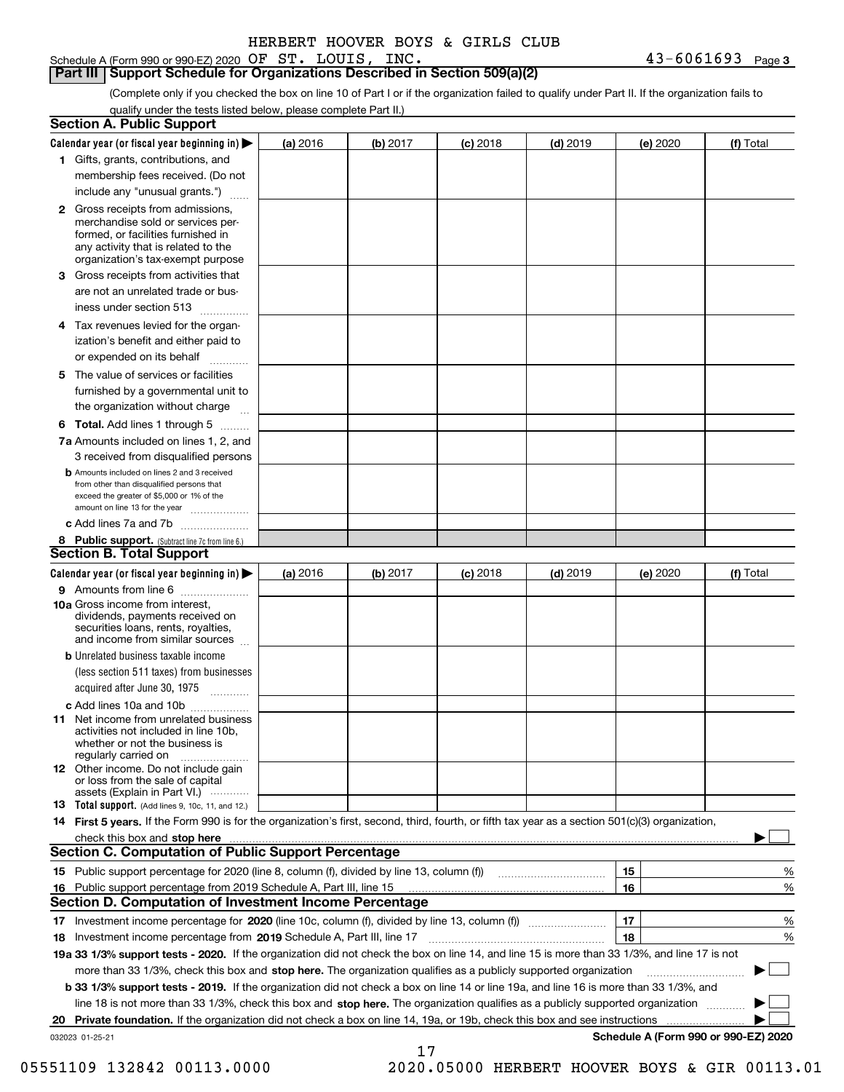Schedule A (Form 990 or 990-EZ) 2020 Page OF ST. LOUIS, INC. 43-6061693

**Part III Support Schedule for Organizations Described in Section 509(a)(2)** 

(Complete only if you checked the box on line 10 of Part I or if the organization failed to qualify under Part II. If the organization fails to qualify under the tests listed below, please complete Part II.)

|    | <b>Section A. Public Support</b>                                                                                                                                                                |          |          |            |            |          |                                      |
|----|-------------------------------------------------------------------------------------------------------------------------------------------------------------------------------------------------|----------|----------|------------|------------|----------|--------------------------------------|
|    | Calendar year (or fiscal year beginning in) $\blacktriangleright$                                                                                                                               | (a) 2016 | (b) 2017 | $(c)$ 2018 | $(d)$ 2019 | (e) 2020 | (f) Total                            |
|    | 1 Gifts, grants, contributions, and                                                                                                                                                             |          |          |            |            |          |                                      |
|    | membership fees received. (Do not                                                                                                                                                               |          |          |            |            |          |                                      |
|    | include any "unusual grants.")                                                                                                                                                                  |          |          |            |            |          |                                      |
|    | <b>2</b> Gross receipts from admissions,<br>merchandise sold or services per-<br>formed, or facilities furnished in<br>any activity that is related to the<br>organization's tax-exempt purpose |          |          |            |            |          |                                      |
|    | 3 Gross receipts from activities that<br>are not an unrelated trade or bus-                                                                                                                     |          |          |            |            |          |                                      |
|    | iness under section 513                                                                                                                                                                         |          |          |            |            |          |                                      |
|    | 4 Tax revenues levied for the organ-<br>ization's benefit and either paid to                                                                                                                    |          |          |            |            |          |                                      |
|    | or expended on its behalf<br>.                                                                                                                                                                  |          |          |            |            |          |                                      |
|    | 5 The value of services or facilities<br>furnished by a governmental unit to<br>the organization without charge                                                                                 |          |          |            |            |          |                                      |
|    |                                                                                                                                                                                                 |          |          |            |            |          |                                      |
|    | <b>6 Total.</b> Add lines 1 through 5<br>7a Amounts included on lines 1, 2, and<br>3 received from disqualified persons                                                                         |          |          |            |            |          |                                      |
|    | <b>b</b> Amounts included on lines 2 and 3 received<br>from other than disqualified persons that<br>exceed the greater of \$5,000 or 1% of the<br>amount on line 13 for the year                |          |          |            |            |          |                                      |
|    | c Add lines 7a and 7b                                                                                                                                                                           |          |          |            |            |          |                                      |
|    | 8 Public support. (Subtract line 7c from line 6.)                                                                                                                                               |          |          |            |            |          |                                      |
|    | <b>Section B. Total Support</b>                                                                                                                                                                 |          |          |            |            |          |                                      |
|    | Calendar year (or fiscal year beginning in)                                                                                                                                                     | (a) 2016 | (b) 2017 | $(c)$ 2018 | $(d)$ 2019 | (e) 2020 | (f) Total                            |
|    | 9 Amounts from line 6<br>10a Gross income from interest,                                                                                                                                        |          |          |            |            |          |                                      |
|    | dividends, payments received on<br>securities loans, rents, royalties,<br>and income from similar sources                                                                                       |          |          |            |            |          |                                      |
|    | <b>b</b> Unrelated business taxable income<br>(less section 511 taxes) from businesses<br>acquired after June 30, 1975                                                                          |          |          |            |            |          |                                      |
|    | c Add lines 10a and 10b                                                                                                                                                                         |          |          |            |            |          |                                      |
|    | 11 Net income from unrelated business<br>activities not included in line 10b,<br>whether or not the business is<br>regularly carried on                                                         |          |          |            |            |          |                                      |
|    | <b>12</b> Other income. Do not include gain<br>or loss from the sale of capital<br>assets (Explain in Part VI.)                                                                                 |          |          |            |            |          |                                      |
|    | <b>13</b> Total support. (Add lines 9, 10c, 11, and 12.)                                                                                                                                        |          |          |            |            |          |                                      |
|    | 14 First 5 years. If the Form 990 is for the organization's first, second, third, fourth, or fifth tax year as a section 501(c)(3) organization,                                                |          |          |            |            |          |                                      |
|    | check this box and stop here measurements are constructed as the state of the state of the state of the state o                                                                                 |          |          |            |            |          |                                      |
|    | Section C. Computation of Public Support Percentage                                                                                                                                             |          |          |            |            |          |                                      |
|    |                                                                                                                                                                                                 |          |          |            |            | 15       | %                                    |
|    | 16 Public support percentage from 2019 Schedule A, Part III, line 15                                                                                                                            |          |          |            |            | 16       | %                                    |
|    | <b>Section D. Computation of Investment Income Percentage</b>                                                                                                                                   |          |          |            |            |          |                                      |
|    | 17 Investment income percentage for 2020 (line 10c, column (f), divided by line 13, column (f))<br>18 Investment income percentage from 2019 Schedule A, Part III, line 17                      |          |          |            |            | 17<br>18 | %<br>%                               |
|    | 19a 33 1/3% support tests - 2020. If the organization did not check the box on line 14, and line 15 is more than 33 1/3%, and line 17 is not                                                    |          |          |            |            |          |                                      |
|    | more than 33 1/3%, check this box and stop here. The organization qualifies as a publicly supported organization                                                                                |          |          |            |            |          | $\sim$ 1                             |
|    | b 33 1/3% support tests - 2019. If the organization did not check a box on line 14 or line 19a, and line 16 is more than 33 1/3%, and                                                           |          |          |            |            |          |                                      |
|    | line 18 is not more than 33 1/3%, check this box and stop here. The organization qualifies as a publicly supported organization                                                                 |          |          |            |            |          |                                      |
| 20 | <b>Private foundation.</b> If the organization did not check a box on line 14, 19a, or 19b, check this box and see instructions                                                                 |          |          |            |            |          |                                      |
|    | 032023 01-25-21                                                                                                                                                                                 |          |          |            |            |          | Schedule A (Form 990 or 990-EZ) 2020 |
|    |                                                                                                                                                                                                 |          | 17       |            |            |          |                                      |

05551109 132842 00113.0000 2020.05000 HERBERT HOOVER BOYS & GIR 00113.01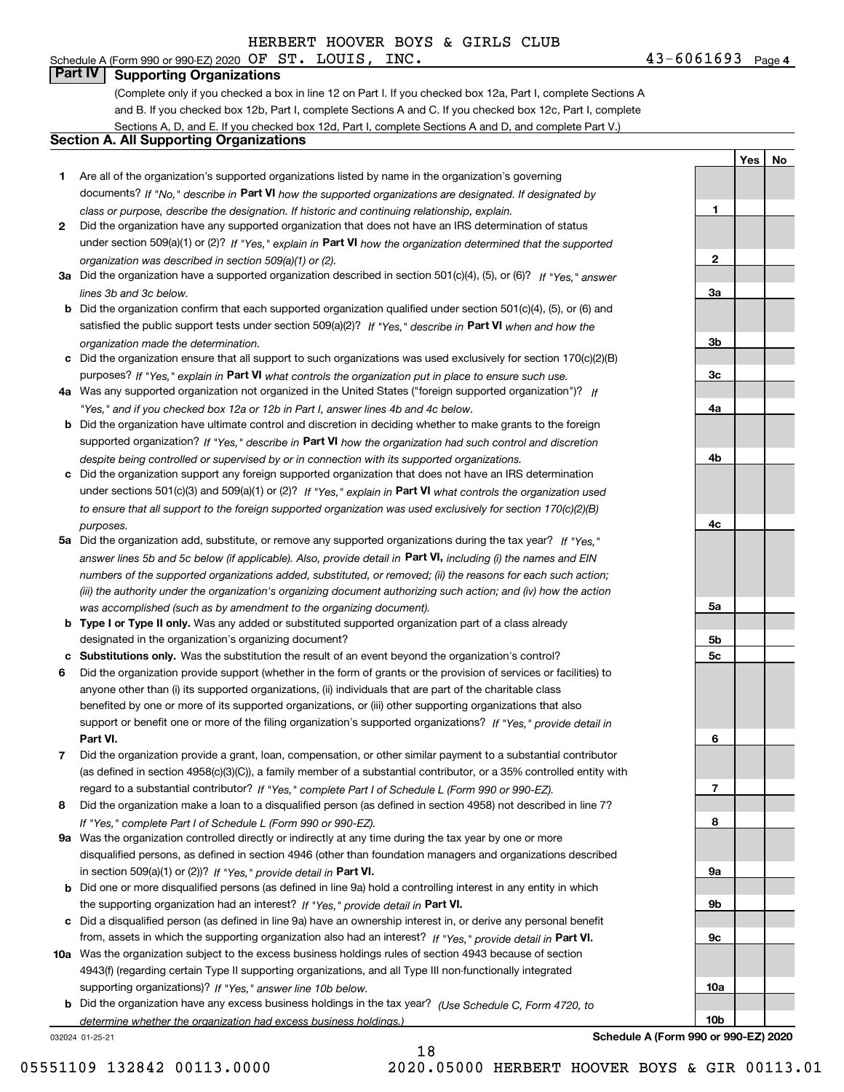# **Part IV Supporting Organizations**

(Complete only if you checked a box in line 12 on Part I. If you checked box 12a, Part I, complete Sections A and B. If you checked box 12b, Part I, complete Sections A and C. If you checked box 12c, Part I, complete Sections A, D, and E. If you checked box 12d, Part I, complete Sections A and D, and complete Part V.)

### **Section A. All Supporting Organizations**

- **1** Are all of the organization's supported organizations listed by name in the organization's governing documents? If "No," describe in **Part VI** how the supported organizations are designated. If designated by *class or purpose, describe the designation. If historic and continuing relationship, explain.*
- **2** Did the organization have any supported organization that does not have an IRS determination of status under section 509(a)(1) or (2)? If "Yes," explain in Part VI how the organization determined that the supported *organization was described in section 509(a)(1) or (2).*
- **3a** Did the organization have a supported organization described in section 501(c)(4), (5), or (6)? If "Yes," answer *lines 3b and 3c below.*
- **b** Did the organization confirm that each supported organization qualified under section 501(c)(4), (5), or (6) and satisfied the public support tests under section 509(a)(2)? If "Yes," describe in **Part VI** when and how the *organization made the determination.*
- **c**Did the organization ensure that all support to such organizations was used exclusively for section 170(c)(2)(B) purposes? If "Yes," explain in **Part VI** what controls the organization put in place to ensure such use.
- **4a***If* Was any supported organization not organized in the United States ("foreign supported organization")? *"Yes," and if you checked box 12a or 12b in Part I, answer lines 4b and 4c below.*
- **b** Did the organization have ultimate control and discretion in deciding whether to make grants to the foreign supported organization? If "Yes," describe in **Part VI** how the organization had such control and discretion *despite being controlled or supervised by or in connection with its supported organizations.*
- **c** Did the organization support any foreign supported organization that does not have an IRS determination under sections 501(c)(3) and 509(a)(1) or (2)? If "Yes," explain in **Part VI** what controls the organization used *to ensure that all support to the foreign supported organization was used exclusively for section 170(c)(2)(B) purposes.*
- **5a** Did the organization add, substitute, or remove any supported organizations during the tax year? If "Yes," answer lines 5b and 5c below (if applicable). Also, provide detail in **Part VI,** including (i) the names and EIN *numbers of the supported organizations added, substituted, or removed; (ii) the reasons for each such action; (iii) the authority under the organization's organizing document authorizing such action; and (iv) how the action was accomplished (such as by amendment to the organizing document).*
- **b** Type I or Type II only. Was any added or substituted supported organization part of a class already designated in the organization's organizing document?
- **cSubstitutions only.**  Was the substitution the result of an event beyond the organization's control?
- **6** Did the organization provide support (whether in the form of grants or the provision of services or facilities) to **Part VI.** *If "Yes," provide detail in* support or benefit one or more of the filing organization's supported organizations? anyone other than (i) its supported organizations, (ii) individuals that are part of the charitable class benefited by one or more of its supported organizations, or (iii) other supporting organizations that also
- **7**Did the organization provide a grant, loan, compensation, or other similar payment to a substantial contributor *If "Yes," complete Part I of Schedule L (Form 990 or 990-EZ).* regard to a substantial contributor? (as defined in section 4958(c)(3)(C)), a family member of a substantial contributor, or a 35% controlled entity with
- **8** Did the organization make a loan to a disqualified person (as defined in section 4958) not described in line 7? *If "Yes," complete Part I of Schedule L (Form 990 or 990-EZ).*
- **9a** Was the organization controlled directly or indirectly at any time during the tax year by one or more in section 509(a)(1) or (2))? If "Yes," *provide detail in* <code>Part VI.</code> disqualified persons, as defined in section 4946 (other than foundation managers and organizations described
- **b** Did one or more disqualified persons (as defined in line 9a) hold a controlling interest in any entity in which the supporting organization had an interest? If "Yes," provide detail in P**art VI**.
- **c**Did a disqualified person (as defined in line 9a) have an ownership interest in, or derive any personal benefit from, assets in which the supporting organization also had an interest? If "Yes," provide detail in P**art VI.**
- **10a** Was the organization subject to the excess business holdings rules of section 4943 because of section supporting organizations)? If "Yes," answer line 10b below. 4943(f) (regarding certain Type II supporting organizations, and all Type III non-functionally integrated
- **b** Did the organization have any excess business holdings in the tax year? (Use Schedule C, Form 4720, to *determine whether the organization had excess business holdings.)*

18

032024 01-25-21

**Schedule A (Form 990 or 990-EZ) 2020**

**1**

**2**

**3a**

**3b**

**3c**

**4a**

**4b**

**4c**

**5a**

**5b5c**

**6**

**7**

**8**

**9a**

**9b**

**9c**

**10a**

**10b**

**YesNo**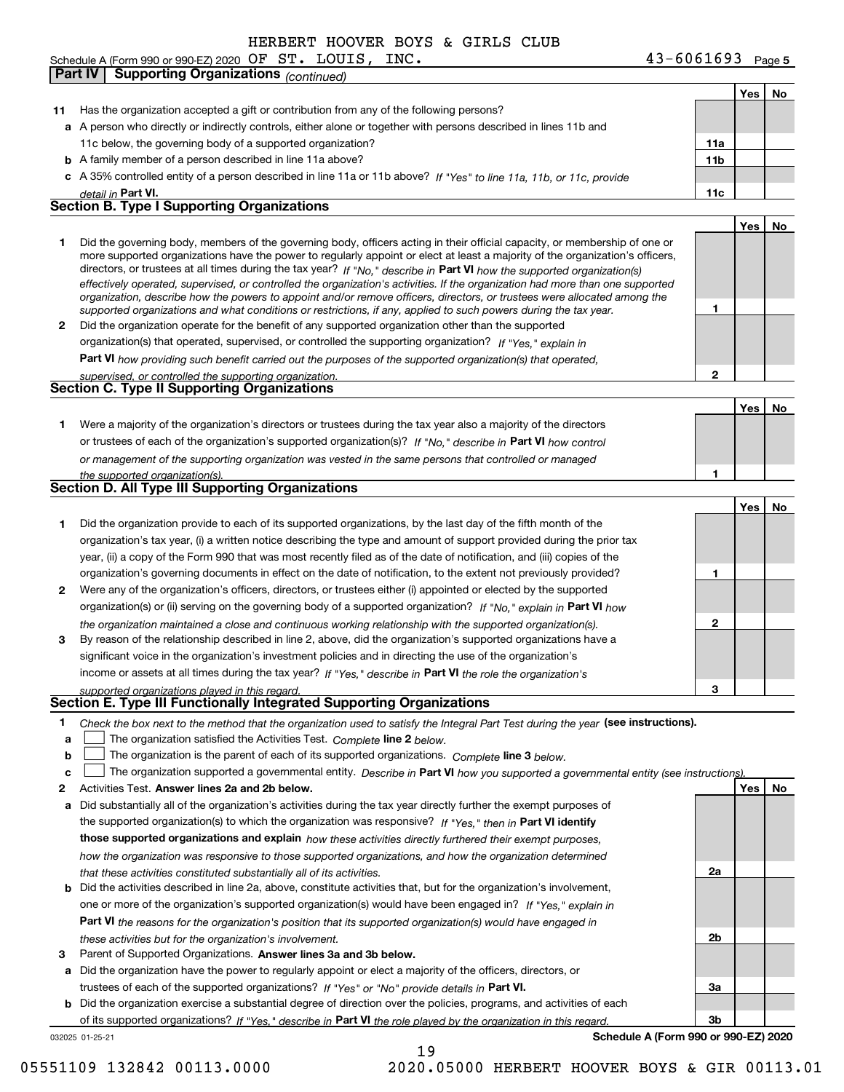Schedule A (Form 990 or 990-EZ) 2020 Page OF ST. LOUIS, INC. 43-6061693 **Part IV Supporting Organizations** *(continued)*

032025 01-25-21 **11** Has the organization accepted a gift or contribution from any of the following persons? **a**A person who directly or indirectly controls, either alone or together with persons described in lines 11b and **b** A family member of a person described in line 11a above? **c** A 35% controlled entity of a person described in line 11a or 11b above? If "Yes" to line 11a, 11b, or 11c, provide **11a11bPart VI. 11c Yes No 12** Did the organization operate for the benefit of any supported organization other than the supported directors, or trustees at all times during the tax year? If "No," describe in **Part VI** how the supported organization(s) **12Part VI**  *how providing such benefit carried out the purposes of the supported organization(s) that operated,* **Yes No 1** Were a majority of the organization's directors or trustees during the tax year also a majority of the directors or trustees of each of the organization's supported organization(s)? If "No," describe in **Part VI** how control **1Yes No 1** Did the organization provide to each of its supported organizations, by the last day of the fifth month of the **2** Were any of the organization's officers, directors, or trustees either (i) appointed or elected by the supported **3123**organization(s) or (ii) serving on the governing body of a supported organization? If "No," explain in **Part VI** how income or assets at all times during the tax year? If "Yes," describe in **Part VI** the role the organization's **12Answer lines 2a and 2b below. Yes No** Activities Test. **3** Parent of Supported Organizations. Answer lines 3a and 3b below. Check the box next to the method that the organization used to satisfy the Integral Part Test during the year (see instructions). **abclinupy** The organization satisfied the Activities Test. Complete line 2 below. The organization is the parent of each of its supported organizations. *Complete* line 3 *below.* The organization supported a governmental entity. *Describe in* Part **VI** *how you supported a governmental entity (see instruction<u>s).</u>* **a** Did substantially all of the organization's activities during the tax year directly further the exempt purposes of **b** Did the activities described in line 2a, above, constitute activities that, but for the organization's involvement, **a** Did the organization have the power to regularly appoint or elect a majority of the officers, directors, or **b** Did the organization exercise a substantial degree of direction over the policies, programs, and activities of each the supported organization(s) to which the organization was responsive? If "Yes," then in **Part VI identify those supported organizations and explain**  *how these activities directly furthered their exempt purposes,* **2a 2b3a3bPart VI**  *the reasons for the organization's position that its supported organization(s) would have engaged in* trustees of each of the supported organizations? If "Yes" or "No" provide details in **Part VI.** of its supported organizations? If "Yes," describe in Part VI the role played by the organization in this regard. **Schedule A (Form 990 or 990-EZ) 2020** *detail in effectively operated, supervised, or controlled the organization's activities. If the organization had more than one supported organization, describe how the powers to appoint and/or remove officers, directors, or trustees were allocated among the supported organizations and what conditions or restrictions, if any, applied to such powers during the tax year. If "Yes," explain in* organization(s) that operated, supervised, or controlled the supporting organization? *supervised, or controlled the supporting organization. or management of the supporting organization was vested in the same persons that controlled or managed the supported organization(s). the organization maintained a close and continuous working relationship with the supported organization(s). supported organizations played in this regard. how the organization was responsive to those supported organizations, and how the organization determined that these activities constituted substantially all of its activities.* one or more of the organization's supported organization(s) would have been engaged in? If "Yes," e*xplain in these activities but for the organization's involvement.* 11c below, the governing body of a supported organization? Did the governing body, members of the governing body, officers acting in their official capacity, or membership of one or more supported organizations have the power to regularly appoint or elect at least a majority of the organization's officers, organization's tax year, (i) a written notice describing the type and amount of support provided during the prior tax year, (ii) a copy of the Form 990 that was most recently filed as of the date of notification, and (iii) copies of the organization's governing documents in effect on the date of notification, to the extent not previously provided? By reason of the relationship described in line 2, above, did the organization's supported organizations have a significant voice in the organization's investment policies and in directing the use of the organization's **Section B. Type I Supporting Organizations Section C. Type II Supporting Organizations Section D. All Type III Supporting Organizations Section E. Type III Functionally Integrated Supporting Organizations**  $\mathcal{L}^{\text{max}}$  $\mathcal{L}^{\text{max}}$ 19

05551109 132842 00113.0000 2020.05000 HERBERT HOOVER BOYS & GIR 00113.01

**Yes**

**No**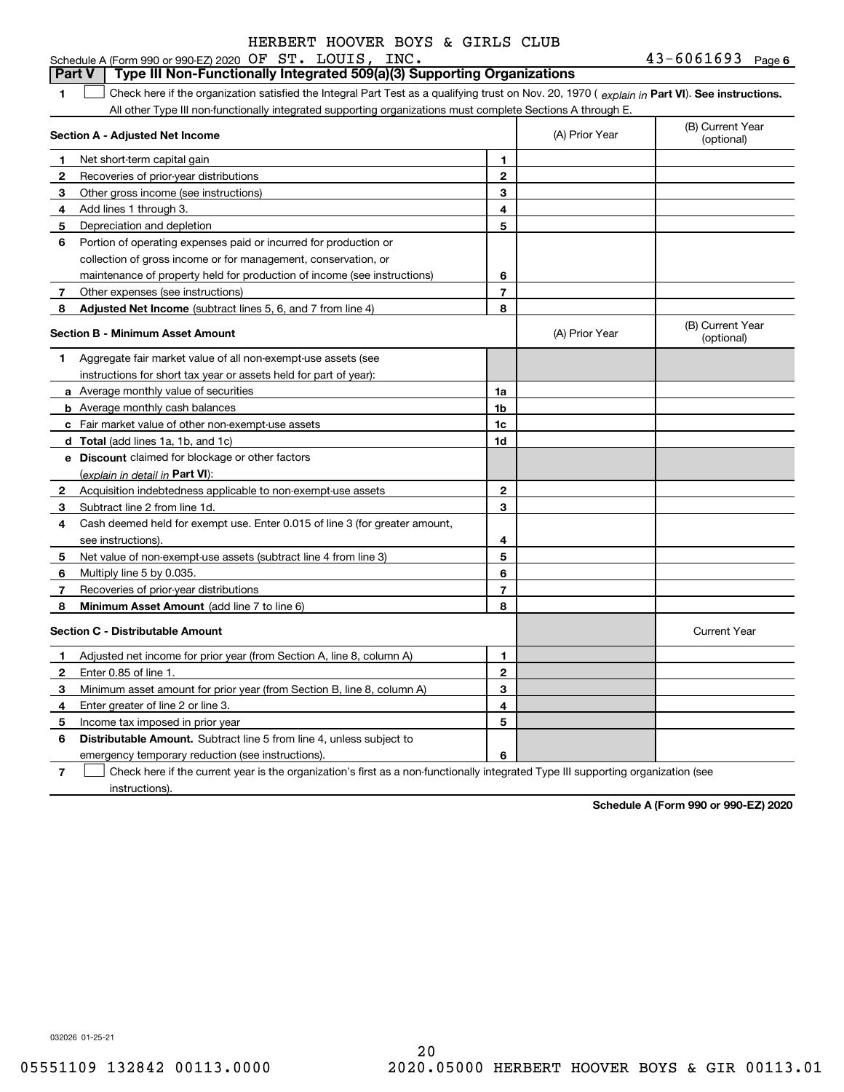### **1Part VI** Check here if the organization satisfied the Integral Part Test as a qualifying trust on Nov. 20, 1970 ( explain in Part **VI**). See instructions. **Section A - Adjusted Net Income 123** Other gross income (see instructions) **456** Portion of operating expenses paid or incurred for production or **7** Other expenses (see instructions) **8** Adjusted Net Income (subtract lines 5, 6, and 7 from line 4) **8 8 1234567Section B - Minimum Asset Amount 1**Aggregate fair market value of all non-exempt-use assets (see **2**Acquisition indebtedness applicable to non-exempt-use assets **3** Subtract line 2 from line 1d. **4**Cash deemed held for exempt use. Enter 0.015 of line 3 (for greater amount, **5** Net value of non-exempt-use assets (subtract line 4 from line 3) **678a** Average monthly value of securities **b** Average monthly cash balances **c**Fair market value of other non-exempt-use assets **dTotal**  (add lines 1a, 1b, and 1c) **eDiscount** claimed for blockage or other factors **1a1b1c1d2345678**(explain in detail in Part VI): **Minimum Asset Amount**  (add line 7 to line 6) **Section C - Distributable Amount 12**Enter 0.85 of line 1. **3456123456Distributable Amount.** Subtract line 5 from line 4, unless subject to Schedule A (Form 990 or 990-EZ) 2020 Page OF ST. LOUIS, INC. 43-6061693 All other Type III non-functionally integrated supporting organizations must complete Sections A through E. (B) Current Year (optional)(A) Prior Year Net short-term capital gain Recoveries of prior-year distributions Add lines 1 through 3. Depreciation and depletion collection of gross income or for management, conservation, or maintenance of property held for production of income (see instructions) (B) Current Year (optional)(A) Prior Year instructions for short tax year or assets held for part of year): see instructions). Multiply line 5 by 0.035. Recoveries of prior-year distributions Current Year Adjusted net income for prior year (from Section A, line 8, column A) Minimum asset amount for prior year (from Section B, line 8, column A) Enter greater of line 2 or line 3. Income tax imposed in prior year emergency temporary reduction (see instructions). **Part V Type III Non-Functionally Integrated 509(a)(3) Supporting Organizations**   $\mathcal{L}^{\text{max}}$

**7**Check here if the current year is the organization's first as a non-functionally integrated Type III supporting organization (see instructions). $\mathcal{L}^{\text{max}}$ 

**Schedule A (Form 990 or 990-EZ) 2020**

032026 01-25-21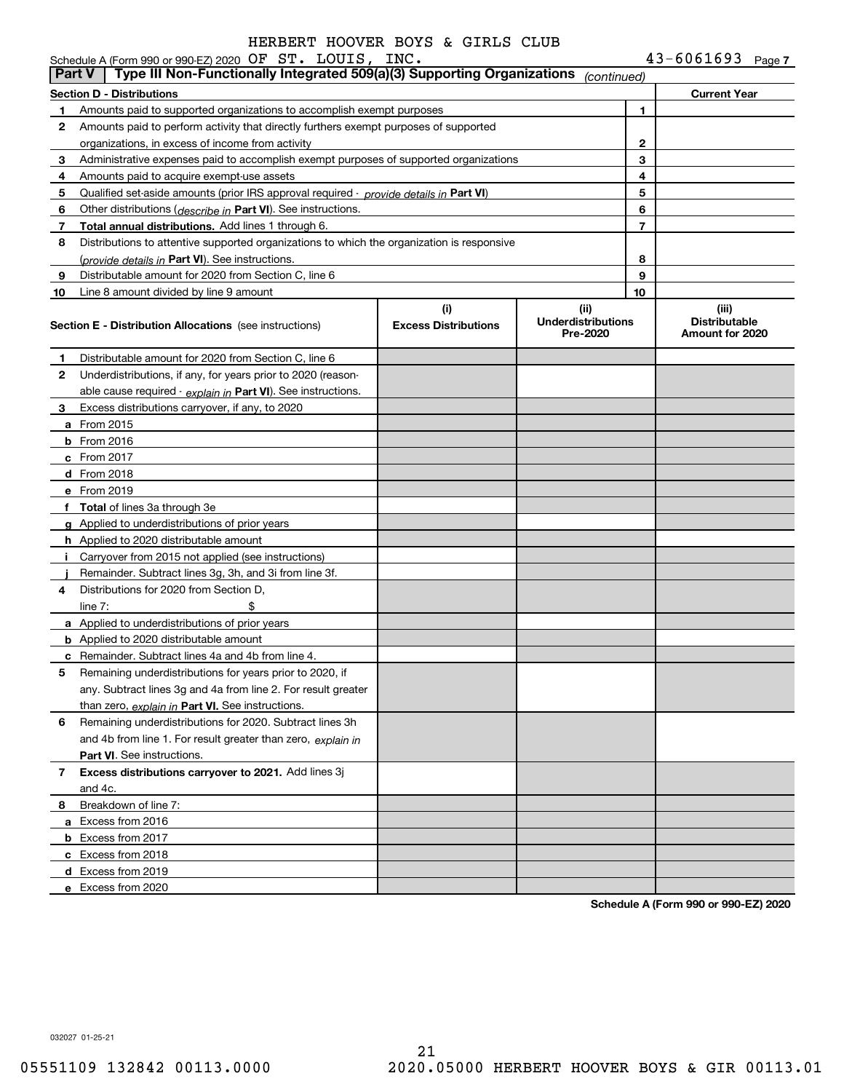|               | Schedule A (Form 990 or 990-EZ) 2020 OF ST. LOUIS, INC.                                                                    |                             |                                       |        | $43 - 6061693$ Page 7                   |  |
|---------------|----------------------------------------------------------------------------------------------------------------------------|-----------------------------|---------------------------------------|--------|-----------------------------------------|--|
| <b>Part V</b> | Type III Non-Functionally Integrated 509(a)(3) Supporting Organizations (continued)                                        |                             |                                       |        |                                         |  |
|               | <b>Section D - Distributions</b>                                                                                           |                             |                                       |        | <b>Current Year</b>                     |  |
| 1.            | Amounts paid to supported organizations to accomplish exempt purposes                                                      |                             |                                       | 1.     |                                         |  |
| 2             | Amounts paid to perform activity that directly furthers exempt purposes of supported                                       |                             |                                       |        |                                         |  |
|               | organizations, in excess of income from activity                                                                           |                             |                                       | 2<br>3 |                                         |  |
| 3             | Administrative expenses paid to accomplish exempt purposes of supported organizations                                      |                             |                                       | 4      |                                         |  |
| 4<br>5        | Amounts paid to acquire exempt-use assets                                                                                  |                             | 5                                     |        |                                         |  |
| 6             | Qualified set-aside amounts (prior IRS approval required - provide details in Part VI)                                     |                             |                                       | 6      |                                         |  |
| 7             | Other distributions ( <i>describe in</i> Part VI). See instructions.<br>Total annual distributions. Add lines 1 through 6. |                             |                                       | 7      |                                         |  |
| 8             | Distributions to attentive supported organizations to which the organization is responsive                                 |                             |                                       |        |                                         |  |
|               | (provide details in Part VI). See instructions.                                                                            |                             |                                       | 8      |                                         |  |
| 9             | Distributable amount for 2020 from Section C, line 6                                                                       |                             |                                       | 9      |                                         |  |
| 10            | Line 8 amount divided by line 9 amount                                                                                     |                             |                                       | 10     |                                         |  |
|               |                                                                                                                            | (i)                         | (ii)                                  |        | (iii)                                   |  |
|               | <b>Section E - Distribution Allocations</b> (see instructions)                                                             | <b>Excess Distributions</b> | <b>Underdistributions</b><br>Pre-2020 |        | <b>Distributable</b><br>Amount for 2020 |  |
| 1             | Distributable amount for 2020 from Section C, line 6                                                                       |                             |                                       |        |                                         |  |
| 2             | Underdistributions, if any, for years prior to 2020 (reason-                                                               |                             |                                       |        |                                         |  |
|               | able cause required $\cdot$ explain in Part VI). See instructions.                                                         |                             |                                       |        |                                         |  |
| З.            | Excess distributions carryover, if any, to 2020                                                                            |                             |                                       |        |                                         |  |
|               | <b>a</b> From 2015                                                                                                         |                             |                                       |        |                                         |  |
|               | $b$ From 2016                                                                                                              |                             |                                       |        |                                         |  |
|               | $c$ From 2017                                                                                                              |                             |                                       |        |                                         |  |
|               | d From 2018                                                                                                                |                             |                                       |        |                                         |  |
|               | e From 2019                                                                                                                |                             |                                       |        |                                         |  |
|               | f Total of lines 3a through 3e                                                                                             |                             |                                       |        |                                         |  |
|               | g Applied to underdistributions of prior years                                                                             |                             |                                       |        |                                         |  |
|               | <b>h</b> Applied to 2020 distributable amount                                                                              |                             |                                       |        |                                         |  |
|               | Carryover from 2015 not applied (see instructions)                                                                         |                             |                                       |        |                                         |  |
|               | Remainder. Subtract lines 3g, 3h, and 3i from line 3f.                                                                     |                             |                                       |        |                                         |  |
| 4             | Distributions for 2020 from Section D.                                                                                     |                             |                                       |        |                                         |  |
|               | \$<br>line $7:$                                                                                                            |                             |                                       |        |                                         |  |
|               | a Applied to underdistributions of prior years                                                                             |                             |                                       |        |                                         |  |
|               | <b>b</b> Applied to 2020 distributable amount                                                                              |                             |                                       |        |                                         |  |
|               | <b>c</b> Remainder. Subtract lines 4a and 4b from line 4.                                                                  |                             |                                       |        |                                         |  |
|               | Remaining underdistributions for years prior to 2020, if                                                                   |                             |                                       |        |                                         |  |
|               | any. Subtract lines 3g and 4a from line 2. For result greater                                                              |                             |                                       |        |                                         |  |
|               | than zero, explain in Part VI. See instructions.                                                                           |                             |                                       |        |                                         |  |
| 6             | Remaining underdistributions for 2020. Subtract lines 3h                                                                   |                             |                                       |        |                                         |  |
|               | and 4b from line 1. For result greater than zero, explain in                                                               |                             |                                       |        |                                         |  |
|               | <b>Part VI.</b> See instructions.                                                                                          |                             |                                       |        |                                         |  |
| 7             | Excess distributions carryover to 2021. Add lines 3j<br>and 4c.                                                            |                             |                                       |        |                                         |  |
| 8             | Breakdown of line 7:                                                                                                       |                             |                                       |        |                                         |  |
|               | a Excess from 2016                                                                                                         |                             |                                       |        |                                         |  |
|               | <b>b</b> Excess from 2017                                                                                                  |                             |                                       |        |                                         |  |
|               | c Excess from 2018                                                                                                         |                             |                                       |        |                                         |  |
|               | d Excess from 2019                                                                                                         |                             |                                       |        |                                         |  |
|               | e Excess from 2020                                                                                                         |                             |                                       |        |                                         |  |
|               |                                                                                                                            |                             |                                       |        |                                         |  |

**Schedule A (Form 990 or 990-EZ) 2020**

032027 01-25-21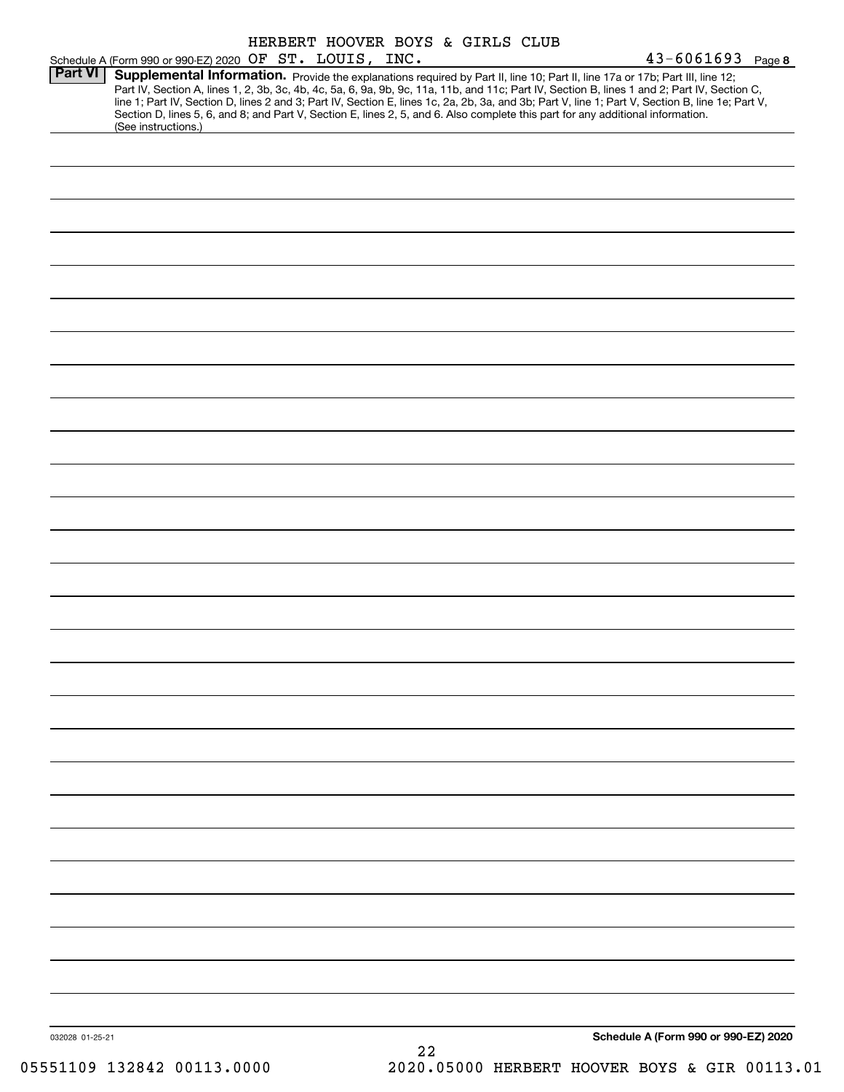|                 |                                                                                                                                                        | HERBERT HOOVER BOYS & GIRLS CLUB |    |  |                                                                                                                                                                                                                                                                                                                                                                                                                                   |
|-----------------|--------------------------------------------------------------------------------------------------------------------------------------------------------|----------------------------------|----|--|-----------------------------------------------------------------------------------------------------------------------------------------------------------------------------------------------------------------------------------------------------------------------------------------------------------------------------------------------------------------------------------------------------------------------------------|
| <b>Part VI</b>  | Schedule A (Form 990 or 990-EZ) 2020 OF ST. LOUIS, INC.                                                                                                |                                  |    |  | $43 - 6061693$ Page 8                                                                                                                                                                                                                                                                                                                                                                                                             |
|                 | Section D, lines 5, 6, and 8; and Part V, Section E, lines 2, 5, and 6. Also complete this part for any additional information.<br>(See instructions.) |                                  |    |  | Supplemental Information. Provide the explanations required by Part II, line 10; Part II, line 17a or 17b; Part III, line 12;<br>Part IV, Section A, lines 1, 2, 3b, 3c, 4b, 4c, 5a, 6, 9a, 9b, 9c, 11a, 11b, and 11c; Part IV, Section B, lines 1 and 2; Part IV, Section C,<br>line 1; Part IV, Section D, lines 2 and 3; Part IV, Section E, lines 1c, 2a, 2b, 3a, and 3b; Part V, line 1; Part V, Section B, line 1e; Part V, |
|                 |                                                                                                                                                        |                                  |    |  |                                                                                                                                                                                                                                                                                                                                                                                                                                   |
|                 |                                                                                                                                                        |                                  |    |  |                                                                                                                                                                                                                                                                                                                                                                                                                                   |
|                 |                                                                                                                                                        |                                  |    |  |                                                                                                                                                                                                                                                                                                                                                                                                                                   |
|                 |                                                                                                                                                        |                                  |    |  |                                                                                                                                                                                                                                                                                                                                                                                                                                   |
|                 |                                                                                                                                                        |                                  |    |  |                                                                                                                                                                                                                                                                                                                                                                                                                                   |
|                 |                                                                                                                                                        |                                  |    |  |                                                                                                                                                                                                                                                                                                                                                                                                                                   |
|                 |                                                                                                                                                        |                                  |    |  |                                                                                                                                                                                                                                                                                                                                                                                                                                   |
|                 |                                                                                                                                                        |                                  |    |  |                                                                                                                                                                                                                                                                                                                                                                                                                                   |
|                 |                                                                                                                                                        |                                  |    |  |                                                                                                                                                                                                                                                                                                                                                                                                                                   |
|                 |                                                                                                                                                        |                                  |    |  |                                                                                                                                                                                                                                                                                                                                                                                                                                   |
|                 |                                                                                                                                                        |                                  |    |  |                                                                                                                                                                                                                                                                                                                                                                                                                                   |
|                 |                                                                                                                                                        |                                  |    |  |                                                                                                                                                                                                                                                                                                                                                                                                                                   |
|                 |                                                                                                                                                        |                                  |    |  |                                                                                                                                                                                                                                                                                                                                                                                                                                   |
|                 |                                                                                                                                                        |                                  |    |  |                                                                                                                                                                                                                                                                                                                                                                                                                                   |
|                 |                                                                                                                                                        |                                  |    |  |                                                                                                                                                                                                                                                                                                                                                                                                                                   |
|                 |                                                                                                                                                        |                                  |    |  |                                                                                                                                                                                                                                                                                                                                                                                                                                   |
|                 |                                                                                                                                                        |                                  |    |  |                                                                                                                                                                                                                                                                                                                                                                                                                                   |
|                 |                                                                                                                                                        |                                  |    |  |                                                                                                                                                                                                                                                                                                                                                                                                                                   |
|                 |                                                                                                                                                        |                                  |    |  |                                                                                                                                                                                                                                                                                                                                                                                                                                   |
|                 |                                                                                                                                                        |                                  |    |  |                                                                                                                                                                                                                                                                                                                                                                                                                                   |
|                 |                                                                                                                                                        |                                  |    |  |                                                                                                                                                                                                                                                                                                                                                                                                                                   |
|                 |                                                                                                                                                        |                                  |    |  |                                                                                                                                                                                                                                                                                                                                                                                                                                   |
|                 |                                                                                                                                                        |                                  |    |  |                                                                                                                                                                                                                                                                                                                                                                                                                                   |
|                 |                                                                                                                                                        |                                  |    |  |                                                                                                                                                                                                                                                                                                                                                                                                                                   |
|                 |                                                                                                                                                        |                                  |    |  |                                                                                                                                                                                                                                                                                                                                                                                                                                   |
|                 |                                                                                                                                                        |                                  |    |  |                                                                                                                                                                                                                                                                                                                                                                                                                                   |
|                 |                                                                                                                                                        |                                  |    |  |                                                                                                                                                                                                                                                                                                                                                                                                                                   |
|                 |                                                                                                                                                        |                                  |    |  |                                                                                                                                                                                                                                                                                                                                                                                                                                   |
| 032028 01-25-21 |                                                                                                                                                        |                                  | 22 |  | Schedule A (Form 990 or 990-EZ) 2020                                                                                                                                                                                                                                                                                                                                                                                              |
|                 |                                                                                                                                                        |                                  |    |  |                                                                                                                                                                                                                                                                                                                                                                                                                                   |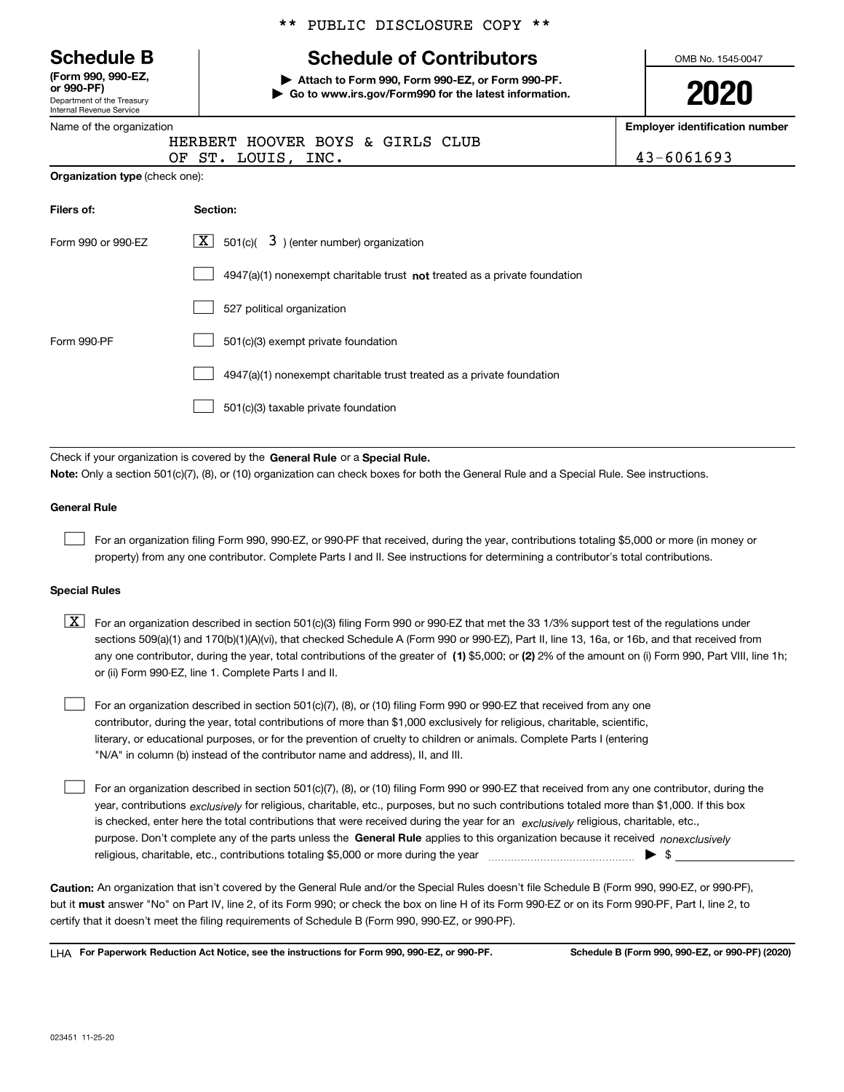|  |  | <b>Schedule B</b> |
|--|--|-------------------|
|--|--|-------------------|

Department of the Treasury Internal Revenue Service **(Form 990, 990-EZ, or 990-PF)**

**Organization type** (check one):

|  |  | ** PUBLIC DISCLOSURE COPY ** |  |  |
|--|--|------------------------------|--|--|
|--|--|------------------------------|--|--|

# **Schedule of Contributors**

**| Attach to Form 990, Form 990-EZ, or Form 990-PF. | Go to www.irs.gov/Form990 for the latest information.** OMB No. 1545-0047

**2020**

**Employer identification number**

| Name of the organization |                                  |  |  |
|--------------------------|----------------------------------|--|--|
|                          | HERBERT HOOVER BOYS & GIRLS CLUB |  |  |
|                          | OF ST. LOUIS, INC.               |  |  |

 $43 - 6061693$ 

| Filers of:         | Section:                                                                    |
|--------------------|-----------------------------------------------------------------------------|
| Form 990 or 990-EZ | $ \mathbf{X} $ 501(c)( 3) (enter number) organization                       |
|                    | $4947(a)(1)$ nonexempt charitable trust not treated as a private foundation |
|                    | 527 political organization                                                  |
| Form 990-PF        | 501(c)(3) exempt private foundation                                         |
|                    | 4947(a)(1) nonexempt charitable trust treated as a private foundation       |
|                    | 501(c)(3) taxable private foundation                                        |

Check if your organization is covered by the **General Rule** or a **Special Rule. Note:**  Only a section 501(c)(7), (8), or (10) organization can check boxes for both the General Rule and a Special Rule. See instructions.

### **General Rule**

 $\mathcal{L}^{\text{max}}$ 

For an organization filing Form 990, 990-EZ, or 990-PF that received, during the year, contributions totaling \$5,000 or more (in money or property) from any one contributor. Complete Parts I and II. See instructions for determining a contributor's total contributions.

### **Special Rules**

any one contributor, during the year, total contributions of the greater of  $\,$  (1) \$5,000; or **(2)** 2% of the amount on (i) Form 990, Part VIII, line 1h;  $\boxed{\textbf{X}}$  For an organization described in section 501(c)(3) filing Form 990 or 990-EZ that met the 33 1/3% support test of the regulations under sections 509(a)(1) and 170(b)(1)(A)(vi), that checked Schedule A (Form 990 or 990-EZ), Part II, line 13, 16a, or 16b, and that received from or (ii) Form 990-EZ, line 1. Complete Parts I and II.

For an organization described in section 501(c)(7), (8), or (10) filing Form 990 or 990-EZ that received from any one contributor, during the year, total contributions of more than \$1,000 exclusively for religious, charitable, scientific, literary, or educational purposes, or for the prevention of cruelty to children or animals. Complete Parts I (entering "N/A" in column (b) instead of the contributor name and address), II, and III.  $\mathcal{L}^{\text{max}}$ 

purpose. Don't complete any of the parts unless the **General Rule** applies to this organization because it received *nonexclusively* year, contributions <sub>exclusively</sub> for religious, charitable, etc., purposes, but no such contributions totaled more than \$1,000. If this box is checked, enter here the total contributions that were received during the year for an  $\;$ exclusively religious, charitable, etc., For an organization described in section 501(c)(7), (8), or (10) filing Form 990 or 990-EZ that received from any one contributor, during the religious, charitable, etc., contributions totaling \$5,000 or more during the year  $\Box$ — $\Box$   $\Box$  $\mathcal{L}^{\text{max}}$ 

**Caution:**  An organization that isn't covered by the General Rule and/or the Special Rules doesn't file Schedule B (Form 990, 990-EZ, or 990-PF),  **must** but it answer "No" on Part IV, line 2, of its Form 990; or check the box on line H of its Form 990-EZ or on its Form 990-PF, Part I, line 2, to certify that it doesn't meet the filing requirements of Schedule B (Form 990, 990-EZ, or 990-PF).

**For Paperwork Reduction Act Notice, see the instructions for Form 990, 990-EZ, or 990-PF. Schedule B (Form 990, 990-EZ, or 990-PF) (2020)** LHA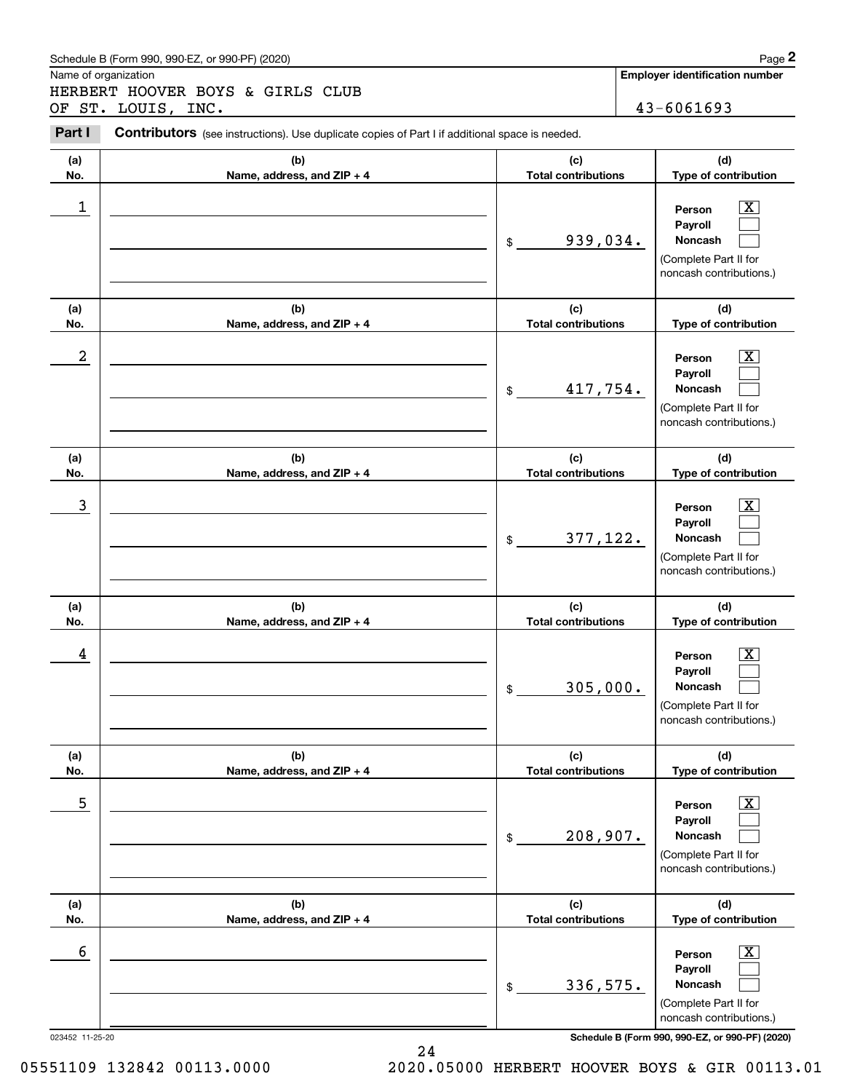### Schedule B (Form 990, 990-EZ, or 990-PF) (2020) **Page 2** Page 2

Name of organization

Chedule B (Form 990, 990-EZ, or 990-PF) (2020)<br> **2Page 2**<br> **2PARERT HOOVER BOYS & GIRLS CLUB**<br> **2PART I** Contributors (see instructions). Use duplicate copies of Part I if additional space is needed.<br>
2PART I Contributors HERBERT HOOVER BOYS & GIRLS CLUB OF ST. LOUIS, INC. 43-6061693

Contributors (see instructions). Use duplicate copies of Part I if additional space is needed.

| (b)<br>(a)<br>No.<br>Name, address, and ZIP + 4 | (c)<br><b>Total contributions</b> | (d)                                                                                                                                                            |
|-------------------------------------------------|-----------------------------------|----------------------------------------------------------------------------------------------------------------------------------------------------------------|
|                                                 |                                   | Type of contribution                                                                                                                                           |
| 1                                               | 939,034.<br>$$\mathbb{S}$$        | $\overline{\mathbf{X}}$<br>Person<br>Payroll<br>Noncash<br>(Complete Part II for<br>noncash contributions.)                                                    |
| (b)<br>(a)<br>No.<br>Name, address, and ZIP + 4 | (c)<br><b>Total contributions</b> | (d)<br>Type of contribution                                                                                                                                    |
| 2                                               | 417,754.<br>\$                    | $\overline{\mathbf{X}}$<br>Person<br>Payroll<br>Noncash<br>(Complete Part II for<br>noncash contributions.)                                                    |
| (b)<br>(a)<br>No.<br>Name, address, and ZIP + 4 | (c)<br><b>Total contributions</b> | (d)<br>Type of contribution                                                                                                                                    |
| 3                                               | 377,122.<br>$\frac{1}{2}$         | $\overline{\mathbf{X}}$<br>Person<br>Payroll<br><b>Noncash</b><br>(Complete Part II for<br>noncash contributions.)                                             |
| (b)<br>(a)<br>No.<br>Name, address, and ZIP + 4 | (c)<br><b>Total contributions</b> | (d)<br>Type of contribution                                                                                                                                    |
| 4                                               | 305,000.<br>\$                    | $\overline{\mathbf{X}}$<br>Person<br>Payroll<br><b>Noncash</b><br>(Complete Part II for<br>noncash contributions.)                                             |
| (b)<br>(a)<br>No.<br>Name, address, and ZIP + 4 | (c)<br><b>Total contributions</b> | (d)<br>Type of contribution                                                                                                                                    |
| 5                                               | 208,907.<br>\$                    | $\overline{\mathbf{X}}$<br>Person<br>Payroll<br>Noncash<br>(Complete Part II for<br>noncash contributions.)                                                    |
| (b)<br>(a)<br>No.<br>Name, address, and ZIP + 4 | (c)<br><b>Total contributions</b> | (d)<br>Type of contribution                                                                                                                                    |
| 6<br>023452 11-25-20                            | 336,575.<br>\$                    | $\overline{\mathbf{X}}$<br>Person<br>Payroll<br>Noncash<br>(Complete Part II for<br>noncash contributions.)<br>Schedule B (Form 990, 990-EZ, or 990-PF) (2020) |

05551109 132842 00113.0000 2020.05000 HERBERT HOOVER BOYS & GIR 00113.01

24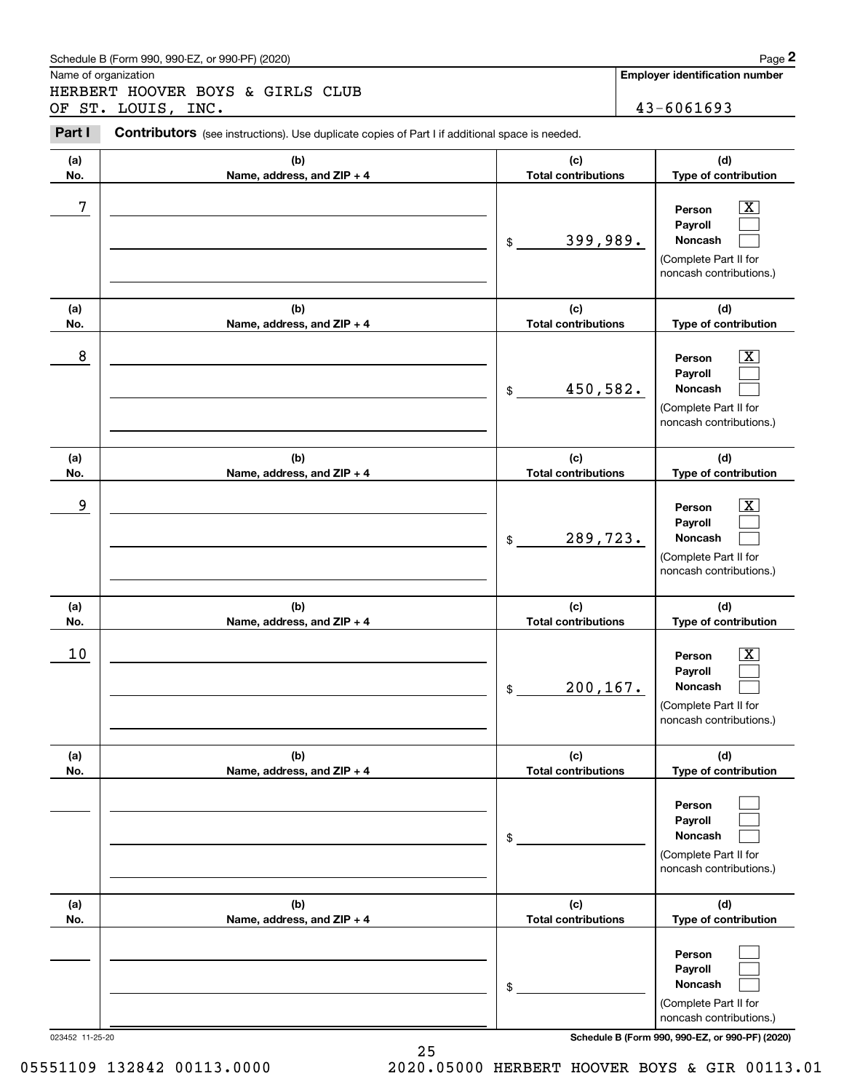### Schedule B (Form 990, 990-EZ, or 990-PF) (2020) **Page 2** Page 2

Name of organization

Chedule B (Form 990, 990-EZ, or 990-PF) (2020)<br> **2Page 2**<br> **2PARERT HOOVER BOYS & GIRLS CLUB**<br> **2PART I** Contributors (see instructions). Use duplicate copies of Part I if additional space is needed.<br>
2PART I Contributors HERBERT HOOVER BOYS & GIRLS CLUB OF ST. LOUIS, INC. 43-6061693

Contributors (see instructions). Use duplicate copies of Part I if additional space is needed.

| (a)             | (b)                        | (c)                        | (d)                                                                                                                                 |
|-----------------|----------------------------|----------------------------|-------------------------------------------------------------------------------------------------------------------------------------|
| No.             | Name, address, and ZIP + 4 | <b>Total contributions</b> | Type of contribution                                                                                                                |
| 7               |                            | 399,989.<br>$\frac{1}{2}$  | X<br>Person<br>Payroll<br>Noncash<br>(Complete Part II for<br>noncash contributions.)                                               |
| (a)             | (b)                        | (c)                        | (d)                                                                                                                                 |
| No.             | Name, address, and ZIP + 4 | <b>Total contributions</b> | Type of contribution                                                                                                                |
| 8               |                            | 450,582.<br>$\frac{1}{2}$  | Х,<br>Person<br>Payroll<br>Noncash<br>(Complete Part II for<br>noncash contributions.)                                              |
| (a)             | (b)                        | (c)                        | (d)                                                                                                                                 |
| No.             | Name, address, and ZIP + 4 | <b>Total contributions</b> | Type of contribution                                                                                                                |
| 9               |                            | 289,723.<br>$\frac{1}{2}$  | Х,<br>Person<br>Payroll<br>Noncash<br>(Complete Part II for<br>noncash contributions.)                                              |
| (a)             | (b)                        | (c)                        | (d)                                                                                                                                 |
| No.             | Name, address, and ZIP + 4 | <b>Total contributions</b> | Type of contribution                                                                                                                |
| 10              |                            | 200, 167.<br>$\frac{1}{2}$ | X<br>Person<br>Payroll<br>Noncash<br>(Complete Part II for<br>noncash contributions.)                                               |
| (a)             | (b)                        | (c)                        | (d)                                                                                                                                 |
| No.             | Name, address, and ZIP + 4 | <b>Total contributions</b> | Type of contribution                                                                                                                |
|                 |                            | \$                         | Person<br>Payroll<br>Noncash<br>(Complete Part II for<br>noncash contributions.)                                                    |
| (a)             | (b)                        | (c)                        | (d)                                                                                                                                 |
| No.             | Name, address, and ZIP + 4 | <b>Total contributions</b> | Type of contribution                                                                                                                |
| 023452 11-25-20 |                            | \$                         | Person<br>Payroll<br>Noncash<br>(Complete Part II for<br>noncash contributions.)<br>Schedule B (Form 990, 990-EZ, or 990-PF) (2020) |

25

05551109 132842 00113.0000 2020.05000 HERBERT HOOVER BOYS & GIR 00113.01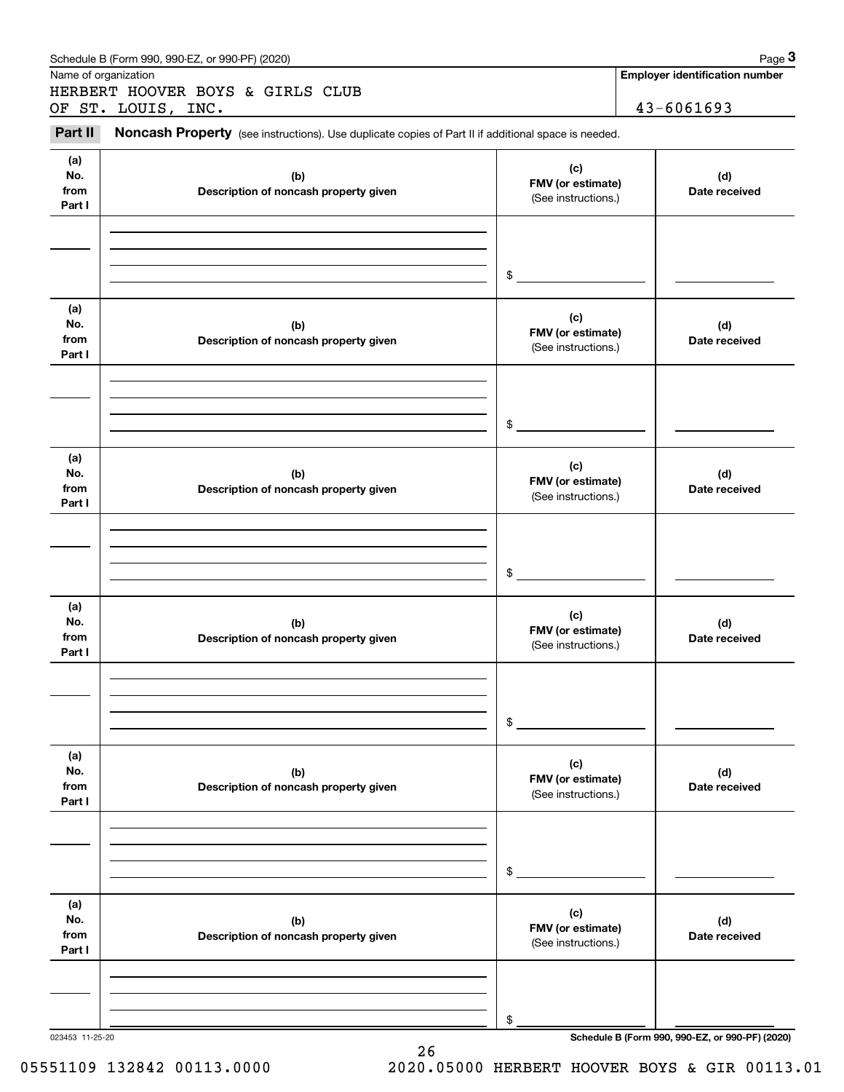|                              | Schedule B (Form 990, 990-EZ, or 990-PF) (2020)                                                     |                                                                                                                                                                                                                                                                                                                                 | Page 3                                          |
|------------------------------|-----------------------------------------------------------------------------------------------------|---------------------------------------------------------------------------------------------------------------------------------------------------------------------------------------------------------------------------------------------------------------------------------------------------------------------------------|-------------------------------------------------|
| Name of organization         | HERBERT HOOVER BOYS & GIRLS CLUB                                                                    |                                                                                                                                                                                                                                                                                                                                 | <b>Employer identification number</b>           |
|                              | OF ST. LOUIS, INC.                                                                                  |                                                                                                                                                                                                                                                                                                                                 | 43-6061693                                      |
| Part II                      | Noncash Property (see instructions). Use duplicate copies of Part II if additional space is needed. |                                                                                                                                                                                                                                                                                                                                 |                                                 |
| (a)<br>No.<br>from<br>Part I | (b)<br>Description of noncash property given                                                        | (c)                                                                                                                                                                                                                                                                                                                             | (d)<br>Date received                            |
|                              |                                                                                                     | $$\circ$$                                                                                                                                                                                                                                                                                                                       |                                                 |
| (a)<br>No.<br>from<br>Part I | (b)<br>Description of noncash property given                                                        | FMV (or estimate)<br>(See instructions.)<br>(c)<br>FMV (or estimate)<br>(See instructions.)<br>\$<br>(c)<br>FMV (or estimate)<br>(See instructions.)<br>\$<br>(c)<br>FMV (or estimate)<br>(See instructions.)<br>\$<br>(c)<br>FMV (or estimate)<br>(See instructions.)<br>\$<br>(c)<br>FMV (or estimate)<br>(See instructions.) | (d)<br>Date received                            |
|                              |                                                                                                     |                                                                                                                                                                                                                                                                                                                                 |                                                 |
| (a)<br>No.<br>from<br>Part I | (b)<br>Description of noncash property given                                                        |                                                                                                                                                                                                                                                                                                                                 | (d)<br>Date received                            |
|                              |                                                                                                     |                                                                                                                                                                                                                                                                                                                                 |                                                 |
| (a)<br>No.<br>from<br>Part I | (b)<br>Description of noncash property given                                                        |                                                                                                                                                                                                                                                                                                                                 | (d)<br>Date received                            |
|                              |                                                                                                     |                                                                                                                                                                                                                                                                                                                                 |                                                 |
| (a)<br>No.<br>from<br>Part I | (b)<br>Description of noncash property given                                                        | (b)                                                                                                                                                                                                                                                                                                                             | (d)<br>Date received                            |
|                              |                                                                                                     |                                                                                                                                                                                                                                                                                                                                 |                                                 |
| (a)<br>No.<br>from<br>Part I | Description of noncash property given                                                               |                                                                                                                                                                                                                                                                                                                                 | (d)<br>Date received                            |
|                              |                                                                                                     | \$                                                                                                                                                                                                                                                                                                                              |                                                 |
| 023453 11-25-20              |                                                                                                     |                                                                                                                                                                                                                                                                                                                                 | Schedule B (Form 990, 990-EZ, or 990-PF) (2020) |

26

05551109 132842 00113.0000 2020.05000 HERBERT HOOVER BOYS & GIR 00113.01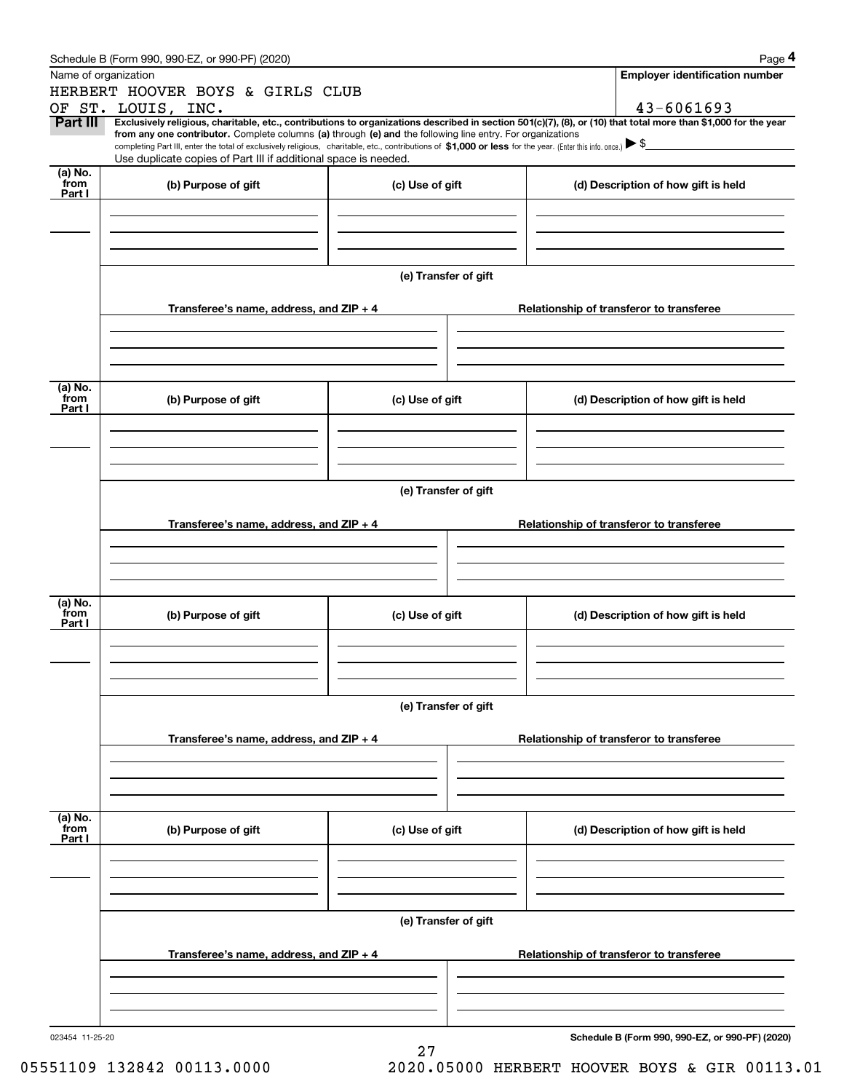|                           | Schedule B (Form 990, 990-EZ, or 990-PF) (2020)                                                                                                                                 |                                          | Page 4                                                                                                                                                         |  |  |  |  |  |
|---------------------------|---------------------------------------------------------------------------------------------------------------------------------------------------------------------------------|------------------------------------------|----------------------------------------------------------------------------------------------------------------------------------------------------------------|--|--|--|--|--|
|                           | Name of organization                                                                                                                                                            |                                          | <b>Employer identification number</b>                                                                                                                          |  |  |  |  |  |
|                           | HERBERT HOOVER BOYS & GIRLS CLUB                                                                                                                                                |                                          |                                                                                                                                                                |  |  |  |  |  |
|                           | OF ST. LOUIS, INC.                                                                                                                                                              |                                          | 43-6061693                                                                                                                                                     |  |  |  |  |  |
| <b>Part III</b>           | from any one contributor. Complete columns (a) through (e) and the following line entry. For organizations                                                                      |                                          | Exclusively religious, charitable, etc., contributions to organizations described in section 501(c)(7), (8), or (10) that total more than \$1,000 for the year |  |  |  |  |  |
|                           | completing Part III, enter the total of exclusively religious, charitable, etc., contributions of $$1,000$ or less for the year. (Enter this info. once.) $\blacktriangleright$ |                                          |                                                                                                                                                                |  |  |  |  |  |
|                           | Use duplicate copies of Part III if additional space is needed.                                                                                                                 |                                          |                                                                                                                                                                |  |  |  |  |  |
| (a) No.<br>from<br>Part I | (b) Purpose of gift                                                                                                                                                             | (c) Use of gift                          | (d) Description of how gift is held                                                                                                                            |  |  |  |  |  |
|                           |                                                                                                                                                                                 |                                          |                                                                                                                                                                |  |  |  |  |  |
|                           |                                                                                                                                                                                 | (e) Transfer of gift                     |                                                                                                                                                                |  |  |  |  |  |
|                           |                                                                                                                                                                                 |                                          |                                                                                                                                                                |  |  |  |  |  |
|                           | Transferee's name, address, and $ZIP + 4$                                                                                                                                       |                                          | Relationship of transferor to transferee                                                                                                                       |  |  |  |  |  |
|                           |                                                                                                                                                                                 |                                          |                                                                                                                                                                |  |  |  |  |  |
|                           |                                                                                                                                                                                 |                                          |                                                                                                                                                                |  |  |  |  |  |
|                           |                                                                                                                                                                                 |                                          |                                                                                                                                                                |  |  |  |  |  |
| (a) No.                   |                                                                                                                                                                                 |                                          |                                                                                                                                                                |  |  |  |  |  |
| from<br>Part I            | (b) Purpose of gift                                                                                                                                                             | (c) Use of gift                          | (d) Description of how gift is held                                                                                                                            |  |  |  |  |  |
|                           |                                                                                                                                                                                 |                                          |                                                                                                                                                                |  |  |  |  |  |
|                           |                                                                                                                                                                                 |                                          |                                                                                                                                                                |  |  |  |  |  |
|                           |                                                                                                                                                                                 |                                          |                                                                                                                                                                |  |  |  |  |  |
|                           |                                                                                                                                                                                 |                                          |                                                                                                                                                                |  |  |  |  |  |
|                           | (e) Transfer of gift                                                                                                                                                            |                                          |                                                                                                                                                                |  |  |  |  |  |
|                           |                                                                                                                                                                                 |                                          |                                                                                                                                                                |  |  |  |  |  |
|                           | Transferee's name, address, and $ZIP + 4$                                                                                                                                       |                                          | Relationship of transferor to transferee                                                                                                                       |  |  |  |  |  |
|                           |                                                                                                                                                                                 |                                          |                                                                                                                                                                |  |  |  |  |  |
|                           |                                                                                                                                                                                 |                                          |                                                                                                                                                                |  |  |  |  |  |
|                           |                                                                                                                                                                                 |                                          |                                                                                                                                                                |  |  |  |  |  |
|                           |                                                                                                                                                                                 |                                          |                                                                                                                                                                |  |  |  |  |  |
| (a) No.<br>from           | (b) Purpose of gift                                                                                                                                                             | (c) Use of gift                          | (d) Description of how gift is held                                                                                                                            |  |  |  |  |  |
| Part I                    |                                                                                                                                                                                 |                                          |                                                                                                                                                                |  |  |  |  |  |
|                           |                                                                                                                                                                                 |                                          |                                                                                                                                                                |  |  |  |  |  |
|                           |                                                                                                                                                                                 |                                          |                                                                                                                                                                |  |  |  |  |  |
|                           |                                                                                                                                                                                 |                                          |                                                                                                                                                                |  |  |  |  |  |
|                           |                                                                                                                                                                                 |                                          |                                                                                                                                                                |  |  |  |  |  |
|                           | (e) Transfer of gift                                                                                                                                                            |                                          |                                                                                                                                                                |  |  |  |  |  |
|                           | Transferee's name, address, and ZIP + 4                                                                                                                                         | Relationship of transferor to transferee |                                                                                                                                                                |  |  |  |  |  |
|                           |                                                                                                                                                                                 |                                          |                                                                                                                                                                |  |  |  |  |  |
|                           |                                                                                                                                                                                 |                                          |                                                                                                                                                                |  |  |  |  |  |
|                           |                                                                                                                                                                                 |                                          |                                                                                                                                                                |  |  |  |  |  |
|                           |                                                                                                                                                                                 |                                          |                                                                                                                                                                |  |  |  |  |  |
| (a) No.<br>from           | (b) Purpose of gift                                                                                                                                                             | (c) Use of gift                          | (d) Description of how gift is held                                                                                                                            |  |  |  |  |  |
| Part I                    |                                                                                                                                                                                 |                                          |                                                                                                                                                                |  |  |  |  |  |
|                           |                                                                                                                                                                                 |                                          |                                                                                                                                                                |  |  |  |  |  |
|                           |                                                                                                                                                                                 |                                          |                                                                                                                                                                |  |  |  |  |  |
|                           |                                                                                                                                                                                 |                                          |                                                                                                                                                                |  |  |  |  |  |
|                           |                                                                                                                                                                                 |                                          |                                                                                                                                                                |  |  |  |  |  |
|                           |                                                                                                                                                                                 | (e) Transfer of gift                     |                                                                                                                                                                |  |  |  |  |  |
|                           |                                                                                                                                                                                 |                                          |                                                                                                                                                                |  |  |  |  |  |
|                           | Transferee's name, address, and $ZIP + 4$                                                                                                                                       |                                          | Relationship of transferor to transferee                                                                                                                       |  |  |  |  |  |
|                           |                                                                                                                                                                                 |                                          |                                                                                                                                                                |  |  |  |  |  |
|                           |                                                                                                                                                                                 |                                          |                                                                                                                                                                |  |  |  |  |  |
|                           |                                                                                                                                                                                 |                                          |                                                                                                                                                                |  |  |  |  |  |
| 023454 11-25-20           |                                                                                                                                                                                 |                                          | Schedule B (Form 990, 990-EZ, or 990-PF) (2020)                                                                                                                |  |  |  |  |  |
|                           |                                                                                                                                                                                 | 27                                       |                                                                                                                                                                |  |  |  |  |  |

<sup>05551109 132842 00113.0000 2020.05000</sup> HERBERT HOOVER BOYS & GIR 00113.01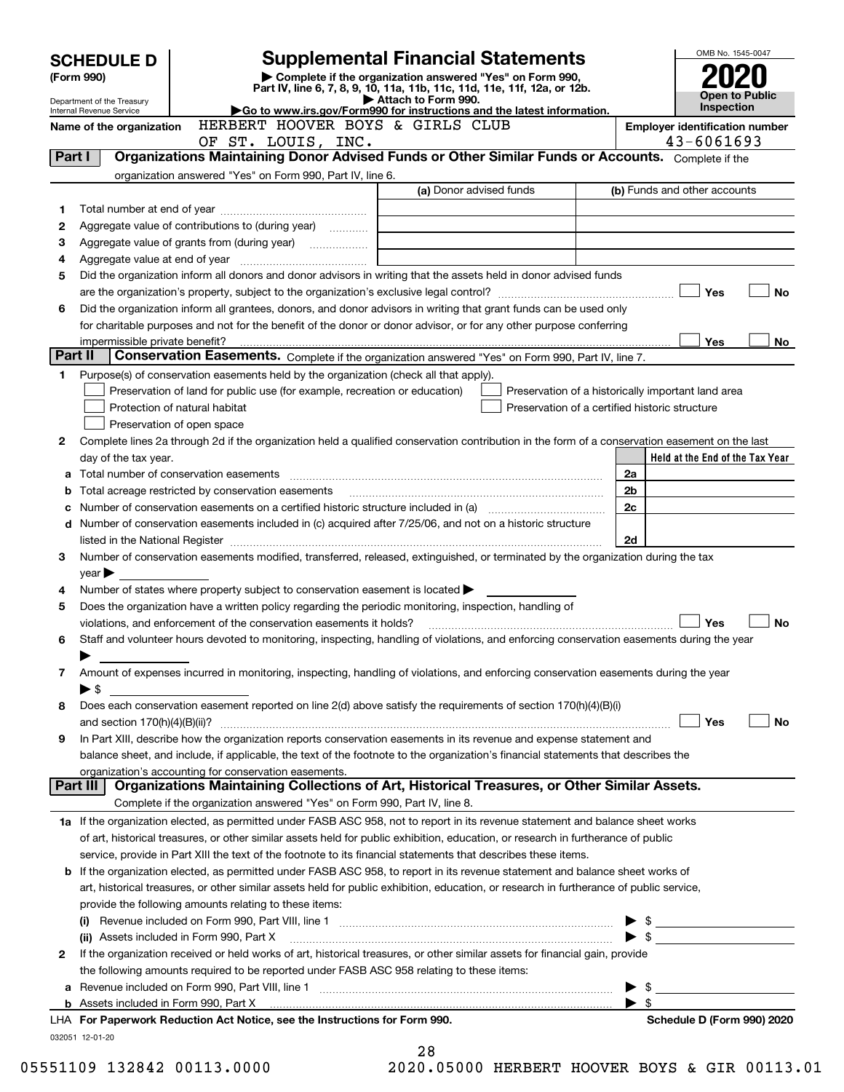|         | <b>SCHEDULE D</b>                                      |                                                                                                                                                                     | OMB No. 1545-0047                                                                                                                                                                                                              |                          |                                       |  |
|---------|--------------------------------------------------------|---------------------------------------------------------------------------------------------------------------------------------------------------------------------|--------------------------------------------------------------------------------------------------------------------------------------------------------------------------------------------------------------------------------|--------------------------|---------------------------------------|--|
|         | (Form 990)                                             |                                                                                                                                                                     | <b>Supplemental Financial Statements</b><br>Complete if the organization answered "Yes" on Form 990,<br>Part IV, line 6, 7, 8, 9, 10, 11a, 11b, 11c, 11d, 11e, 11f, 12a, or 12b.                                               |                          |                                       |  |
|         | Department of the Treasury<br>Internal Revenue Service |                                                                                                                                                                     | Attach to Form 990.<br>Go to www.irs.gov/Form990 for instructions and the latest information.                                                                                                                                  |                          | Open to Public<br>Inspection          |  |
|         | Name of the organization                               | HERBERT HOOVER BOYS & GIRLS CLUB                                                                                                                                    |                                                                                                                                                                                                                                |                          | <b>Employer identification number</b> |  |
|         |                                                        | OF ST. LOUIS, INC.                                                                                                                                                  |                                                                                                                                                                                                                                |                          | 43-6061693                            |  |
| Part I  |                                                        |                                                                                                                                                                     | Organizations Maintaining Donor Advised Funds or Other Similar Funds or Accounts. Complete if the                                                                                                                              |                          |                                       |  |
|         |                                                        | organization answered "Yes" on Form 990, Part IV, line 6.                                                                                                           |                                                                                                                                                                                                                                |                          |                                       |  |
|         |                                                        |                                                                                                                                                                     | (a) Donor advised funds                                                                                                                                                                                                        |                          | (b) Funds and other accounts          |  |
| 1       |                                                        |                                                                                                                                                                     |                                                                                                                                                                                                                                |                          |                                       |  |
| 2       |                                                        | Aggregate value of contributions to (during year)                                                                                                                   |                                                                                                                                                                                                                                |                          |                                       |  |
| з       |                                                        |                                                                                                                                                                     |                                                                                                                                                                                                                                |                          |                                       |  |
| 4       |                                                        |                                                                                                                                                                     |                                                                                                                                                                                                                                |                          |                                       |  |
| 5       |                                                        |                                                                                                                                                                     | Did the organization inform all donors and donor advisors in writing that the assets held in donor advised funds                                                                                                               |                          |                                       |  |
|         |                                                        |                                                                                                                                                                     |                                                                                                                                                                                                                                |                          | Yes<br>No                             |  |
| 6       |                                                        |                                                                                                                                                                     | Did the organization inform all grantees, donors, and donor advisors in writing that grant funds can be used only                                                                                                              |                          |                                       |  |
|         |                                                        |                                                                                                                                                                     | for charitable purposes and not for the benefit of the donor or donor advisor, or for any other purpose conferring                                                                                                             |                          |                                       |  |
| Part II | impermissible private benefit?                         |                                                                                                                                                                     | Conservation Easements. Complete if the organization answered "Yes" on Form 990, Part IV, line 7.                                                                                                                              |                          | Yes<br>No                             |  |
|         |                                                        |                                                                                                                                                                     |                                                                                                                                                                                                                                |                          |                                       |  |
| 1       |                                                        | Purpose(s) of conservation easements held by the organization (check all that apply).<br>Preservation of land for public use (for example, recreation or education) | Preservation of a historically important land area                                                                                                                                                                             |                          |                                       |  |
|         |                                                        | Protection of natural habitat                                                                                                                                       | Preservation of a certified historic structure                                                                                                                                                                                 |                          |                                       |  |
|         |                                                        | Preservation of open space                                                                                                                                          |                                                                                                                                                                                                                                |                          |                                       |  |
| 2       |                                                        |                                                                                                                                                                     | Complete lines 2a through 2d if the organization held a qualified conservation contribution in the form of a conservation easement on the last                                                                                 |                          |                                       |  |
|         | day of the tax year.                                   |                                                                                                                                                                     |                                                                                                                                                                                                                                |                          | Held at the End of the Tax Year       |  |
| а       |                                                        |                                                                                                                                                                     |                                                                                                                                                                                                                                | 2a                       |                                       |  |
| b       |                                                        | Total acreage restricted by conservation easements                                                                                                                  |                                                                                                                                                                                                                                | 2 <sub>b</sub>           |                                       |  |
| с       |                                                        |                                                                                                                                                                     | Number of conservation easements on a certified historic structure included in (a) manufacture included in (a)                                                                                                                 | 2c                       |                                       |  |
|         |                                                        |                                                                                                                                                                     | d Number of conservation easements included in (c) acquired after 7/25/06, and not on a historic structure                                                                                                                     |                          |                                       |  |
|         |                                                        |                                                                                                                                                                     | listed in the National Register [[11] matter contract the National Register of the National Register [11] matter of the National Register [11] matter of the National Register [11] matter of the National Register [11] matte | 2d                       |                                       |  |
| 3       |                                                        |                                                                                                                                                                     | Number of conservation easements modified, transferred, released, extinguished, or terminated by the organization during the tax                                                                                               |                          |                                       |  |
|         | year                                                   |                                                                                                                                                                     |                                                                                                                                                                                                                                |                          |                                       |  |
| 4       |                                                        | Number of states where property subject to conservation easement is located $\blacktriangleright$                                                                   |                                                                                                                                                                                                                                |                          |                                       |  |
| 5       |                                                        | Does the organization have a written policy regarding the periodic monitoring, inspection, handling of                                                              |                                                                                                                                                                                                                                |                          |                                       |  |
|         |                                                        | violations, and enforcement of the conservation easements it holds?                                                                                                 |                                                                                                                                                                                                                                |                          | Yes<br>No                             |  |
| 6       |                                                        |                                                                                                                                                                     | Staff and volunteer hours devoted to monitoring, inspecting, handling of violations, and enforcing conservation easements during the year                                                                                      |                          |                                       |  |
|         |                                                        |                                                                                                                                                                     |                                                                                                                                                                                                                                |                          |                                       |  |
| 7       |                                                        |                                                                                                                                                                     | Amount of expenses incurred in monitoring, inspecting, handling of violations, and enforcing conservation easements during the year                                                                                            |                          |                                       |  |
| 8       | $\blacktriangleright$ \$                               |                                                                                                                                                                     | Does each conservation easement reported on line 2(d) above satisfy the requirements of section 170(h)(4)(B)(i)                                                                                                                |                          |                                       |  |
|         |                                                        |                                                                                                                                                                     |                                                                                                                                                                                                                                |                          | Yes<br>No                             |  |
| 9       |                                                        |                                                                                                                                                                     | In Part XIII, describe how the organization reports conservation easements in its revenue and expense statement and                                                                                                            |                          |                                       |  |
|         |                                                        |                                                                                                                                                                     | balance sheet, and include, if applicable, the text of the footnote to the organization's financial statements that describes the                                                                                              |                          |                                       |  |
|         |                                                        | organization's accounting for conservation easements.                                                                                                               |                                                                                                                                                                                                                                |                          |                                       |  |
|         | Part III                                               |                                                                                                                                                                     | Organizations Maintaining Collections of Art, Historical Treasures, or Other Similar Assets.                                                                                                                                   |                          |                                       |  |
|         |                                                        | Complete if the organization answered "Yes" on Form 990, Part IV, line 8.                                                                                           |                                                                                                                                                                                                                                |                          |                                       |  |
|         |                                                        |                                                                                                                                                                     | 1a If the organization elected, as permitted under FASB ASC 958, not to report in its revenue statement and balance sheet works                                                                                                |                          |                                       |  |
|         |                                                        |                                                                                                                                                                     | of art, historical treasures, or other similar assets held for public exhibition, education, or research in furtherance of public                                                                                              |                          |                                       |  |
|         |                                                        |                                                                                                                                                                     | service, provide in Part XIII the text of the footnote to its financial statements that describes these items.                                                                                                                 |                          |                                       |  |
|         |                                                        |                                                                                                                                                                     | <b>b</b> If the organization elected, as permitted under FASB ASC 958, to report in its revenue statement and balance sheet works of                                                                                           |                          |                                       |  |
|         |                                                        |                                                                                                                                                                     | art, historical treasures, or other similar assets held for public exhibition, education, or research in furtherance of public service,                                                                                        |                          |                                       |  |
|         |                                                        | provide the following amounts relating to these items:                                                                                                              |                                                                                                                                                                                                                                |                          |                                       |  |
|         |                                                        |                                                                                                                                                                     |                                                                                                                                                                                                                                | $\blacktriangleright$ \$ |                                       |  |
|         |                                                        | (ii) Assets included in Form 990, Part X                                                                                                                            |                                                                                                                                                                                                                                |                          | $\bullet \quad \bullet \quad \bullet$ |  |
| 2       |                                                        |                                                                                                                                                                     | If the organization received or held works of art, historical treasures, or other similar assets for financial gain, provide                                                                                                   |                          |                                       |  |
|         |                                                        | the following amounts required to be reported under FASB ASC 958 relating to these items:                                                                           |                                                                                                                                                                                                                                |                          |                                       |  |
|         |                                                        |                                                                                                                                                                     |                                                                                                                                                                                                                                | - \$                     |                                       |  |
|         |                                                        | LHA For Paperwork Reduction Act Notice, see the Instructions for Form 990.                                                                                          | b Assets included in Form 990, Part X [11] matter and the content of the Assets included in Form 990, Part X [11] matter and the content of the Assets included in Form 990, Part X [11] matter and the content of the Assets  | $\blacktriangleright$ \$ | Schedule D (Form 990) 2020            |  |
|         |                                                        |                                                                                                                                                                     |                                                                                                                                                                                                                                |                          |                                       |  |
|         | 032051 12-01-20                                        |                                                                                                                                                                     | 28                                                                                                                                                                                                                             |                          |                                       |  |

|     | 40 |  |                               |  |  |
|-----|----|--|-------------------------------|--|--|
| ، م |    |  | $\cap$ $\Gamma$ $\cap$ $\cap$ |  |  |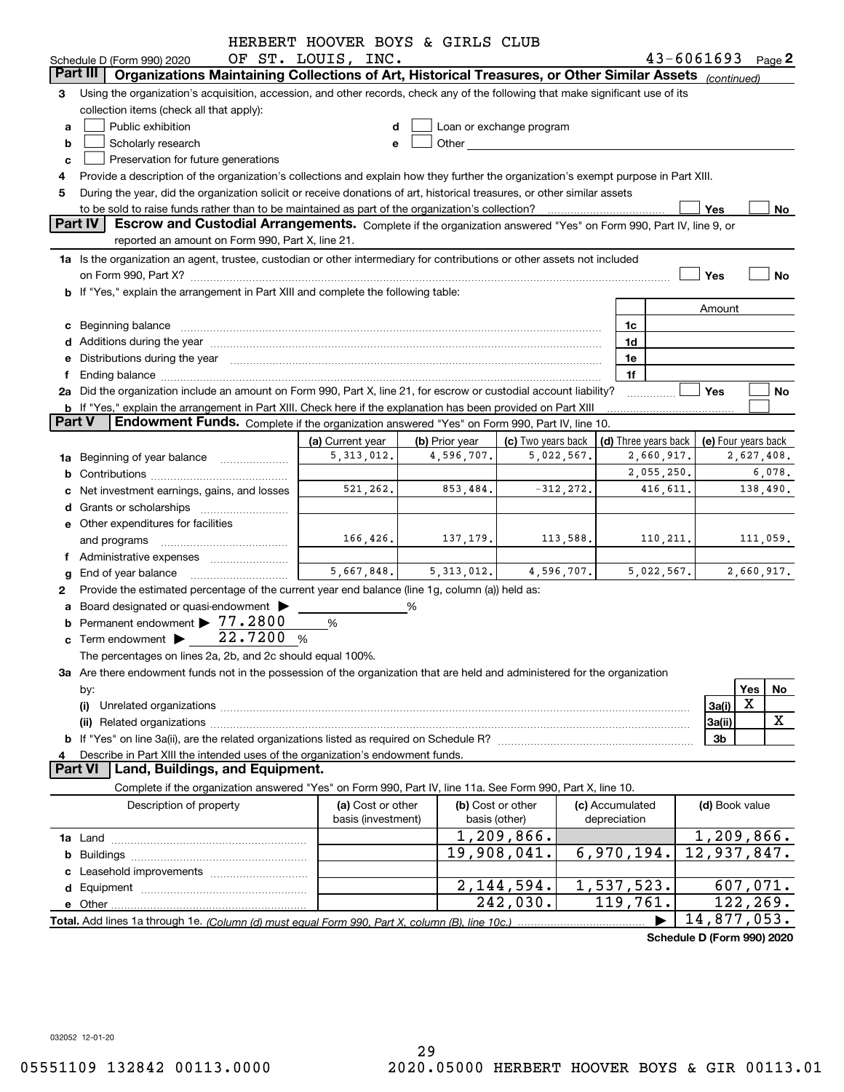|               |                                                                                                                                                                                                                                | HERBERT HOOVER BOYS & GIRLS CLUB |                |                                                                                                                                                                                                                               |                 |              |                      |                |                                                 |
|---------------|--------------------------------------------------------------------------------------------------------------------------------------------------------------------------------------------------------------------------------|----------------------------------|----------------|-------------------------------------------------------------------------------------------------------------------------------------------------------------------------------------------------------------------------------|-----------------|--------------|----------------------|----------------|-------------------------------------------------|
|               | Schedule D (Form 990) 2020                                                                                                                                                                                                     | OF ST. LOUIS, INC.               |                |                                                                                                                                                                                                                               |                 |              |                      |                | $43 - 6061693$ Page 2                           |
|               | Part III<br>Organizations Maintaining Collections of Art, Historical Treasures, or Other Similar Assets (continued)                                                                                                            |                                  |                |                                                                                                                                                                                                                               |                 |              |                      |                |                                                 |
| 3             | Using the organization's acquisition, accession, and other records, check any of the following that make significant use of its                                                                                                |                                  |                |                                                                                                                                                                                                                               |                 |              |                      |                |                                                 |
|               | collection items (check all that apply):                                                                                                                                                                                       |                                  |                |                                                                                                                                                                                                                               |                 |              |                      |                |                                                 |
| a             | Public exhibition                                                                                                                                                                                                              |                                  |                | Loan or exchange program                                                                                                                                                                                                      |                 |              |                      |                |                                                 |
| b             | Scholarly research                                                                                                                                                                                                             |                                  |                | Other and the contract of the contract of the contract of the contract of the contract of the contract of the contract of the contract of the contract of the contract of the contract of the contract of the contract of the |                 |              |                      |                |                                                 |
| c             | Preservation for future generations                                                                                                                                                                                            |                                  |                |                                                                                                                                                                                                                               |                 |              |                      |                |                                                 |
|               | Provide a description of the organization's collections and explain how they further the organization's exempt purpose in Part XIII.                                                                                           |                                  |                |                                                                                                                                                                                                                               |                 |              |                      |                |                                                 |
| 5             | During the year, did the organization solicit or receive donations of art, historical treasures, or other similar assets                                                                                                       |                                  |                |                                                                                                                                                                                                                               |                 |              |                      |                |                                                 |
|               |                                                                                                                                                                                                                                |                                  |                |                                                                                                                                                                                                                               |                 |              |                      | Yes            | No                                              |
|               | <b>Part IV</b><br>Escrow and Custodial Arrangements. Complete if the organization answered "Yes" on Form 990, Part IV, line 9, or                                                                                              |                                  |                |                                                                                                                                                                                                                               |                 |              |                      |                |                                                 |
|               | reported an amount on Form 990, Part X, line 21.                                                                                                                                                                               |                                  |                |                                                                                                                                                                                                                               |                 |              |                      |                |                                                 |
|               | 1a Is the organization an agent, trustee, custodian or other intermediary for contributions or other assets not included                                                                                                       |                                  |                |                                                                                                                                                                                                                               |                 |              |                      |                |                                                 |
|               |                                                                                                                                                                                                                                |                                  |                |                                                                                                                                                                                                                               |                 |              |                      | Yes            | <b>No</b>                                       |
|               | b If "Yes," explain the arrangement in Part XIII and complete the following table:                                                                                                                                             |                                  |                |                                                                                                                                                                                                                               |                 |              |                      |                |                                                 |
|               |                                                                                                                                                                                                                                |                                  |                |                                                                                                                                                                                                                               |                 |              |                      | Amount         |                                                 |
|               | c Beginning balance measurements and the contract of the contract of the contract of the contract of the contract of the contract of the contract of the contract of the contract of the contract of the contract of the contr |                                  |                |                                                                                                                                                                                                                               |                 | 1c           |                      |                |                                                 |
|               |                                                                                                                                                                                                                                |                                  |                |                                                                                                                                                                                                                               |                 | 1d           |                      |                |                                                 |
|               | e Distributions during the year manufactured and continuum and control of the control of the control of the control of the control of the control of the control of the control of the control of the control of the control o |                                  |                |                                                                                                                                                                                                                               |                 | 1e           |                      |                |                                                 |
| Ť.            | Ending balance manufactured and contract and contract and contract and contract and contract and contract and contract and contract and contract and contract and contract and contract and contract and contract and contract |                                  |                |                                                                                                                                                                                                                               |                 | 1f           |                      |                |                                                 |
|               | 2a Did the organization include an amount on Form 990, Part X, line 21, for escrow or custodial account liability?                                                                                                             |                                  |                |                                                                                                                                                                                                                               |                 |              |                      | Yes            | No                                              |
|               | <b>b</b> If "Yes," explain the arrangement in Part XIII. Check here if the explanation has been provided on Part XIII                                                                                                          |                                  |                |                                                                                                                                                                                                                               |                 |              |                      |                |                                                 |
| <b>Part V</b> | Endowment Funds. Complete if the organization answered "Yes" on Form 990, Part IV, line 10.                                                                                                                                    |                                  |                |                                                                                                                                                                                                                               |                 |              |                      |                |                                                 |
|               |                                                                                                                                                                                                                                | (a) Current year                 | (b) Prior year | (c) Two years back                                                                                                                                                                                                            |                 |              | (d) Three years back |                | (e) Four years back                             |
|               | 1a Beginning of year balance                                                                                                                                                                                                   | 5, 313, 012.                     | 4,596,707.     | 5,022,567.                                                                                                                                                                                                                    |                 |              | 2,660,917.           |                | 2,627,408.                                      |
|               |                                                                                                                                                                                                                                |                                  |                |                                                                                                                                                                                                                               |                 |              | 2,055,250.           |                | 6,078.                                          |
|               | c Net investment earnings, gains, and losses                                                                                                                                                                                   | 521,262.                         | 853,484.       | $-312, 272.$                                                                                                                                                                                                                  |                 |              | 416,611.             |                | 138,490.                                        |
|               |                                                                                                                                                                                                                                |                                  |                |                                                                                                                                                                                                                               |                 |              |                      |                |                                                 |
|               | e Other expenditures for facilities                                                                                                                                                                                            |                                  |                |                                                                                                                                                                                                                               |                 |              |                      |                |                                                 |
|               | and programs                                                                                                                                                                                                                   | 166, 426.                        | 137,179.       |                                                                                                                                                                                                                               | 113,588.        |              | 110,211.             |                | 111,059.                                        |
|               | f Administrative expenses                                                                                                                                                                                                      |                                  |                |                                                                                                                                                                                                                               |                 |              |                      |                |                                                 |
|               | <b>g</b> End of year balance                                                                                                                                                                                                   | 5,667,848.                       | 5,313,012.     | 4,596,707.                                                                                                                                                                                                                    |                 |              | 5,022,567.           |                | 2,660,917.                                      |
| 2             | Provide the estimated percentage of the current year end balance (line 1g, column (a)) held as:                                                                                                                                |                                  |                |                                                                                                                                                                                                                               |                 |              |                      |                |                                                 |
|               | a Board designated or quasi-endowment >                                                                                                                                                                                        |                                  | %              |                                                                                                                                                                                                                               |                 |              |                      |                |                                                 |
|               | <b>b</b> Permanent endowment $\triangleright$ 77.2800                                                                                                                                                                          | %                                |                |                                                                                                                                                                                                                               |                 |              |                      |                |                                                 |
|               | c Term endowment $\blacktriangleright$ 22.7200                                                                                                                                                                                 | %                                |                |                                                                                                                                                                                                                               |                 |              |                      |                |                                                 |
|               | The percentages on lines 2a, 2b, and 2c should equal 100%.                                                                                                                                                                     |                                  |                |                                                                                                                                                                                                                               |                 |              |                      |                |                                                 |
|               | 3a Are there endowment funds not in the possession of the organization that are held and administered for the organization                                                                                                     |                                  |                |                                                                                                                                                                                                                               |                 |              |                      |                |                                                 |
|               | by:                                                                                                                                                                                                                            |                                  |                |                                                                                                                                                                                                                               |                 |              |                      |                | Yes<br>No                                       |
|               | (i)                                                                                                                                                                                                                            |                                  |                |                                                                                                                                                                                                                               |                 |              |                      | 3a(i)          | X                                               |
|               |                                                                                                                                                                                                                                |                                  |                |                                                                                                                                                                                                                               |                 |              |                      | 3a(ii)         | X                                               |
|               |                                                                                                                                                                                                                                |                                  |                |                                                                                                                                                                                                                               |                 |              |                      | 3b             |                                                 |
| 4             | Describe in Part XIII the intended uses of the organization's endowment funds.<br><b>Part VI</b>                                                                                                                               |                                  |                |                                                                                                                                                                                                                               |                 |              |                      |                |                                                 |
|               | Land, Buildings, and Equipment.                                                                                                                                                                                                |                                  |                |                                                                                                                                                                                                                               |                 |              |                      |                |                                                 |
|               | Complete if the organization answered "Yes" on Form 990, Part IV, line 11a. See Form 990, Part X, line 10.                                                                                                                     |                                  |                |                                                                                                                                                                                                                               |                 |              |                      |                |                                                 |
|               | Description of property                                                                                                                                                                                                        | (a) Cost or other                |                | (b) Cost or other                                                                                                                                                                                                             | (c) Accumulated |              |                      | (d) Book value |                                                 |
|               |                                                                                                                                                                                                                                | basis (investment)               | basis (other)  |                                                                                                                                                                                                                               |                 | depreciation |                      |                |                                                 |
|               |                                                                                                                                                                                                                                |                                  |                | 1,209,866.                                                                                                                                                                                                                    |                 |              |                      |                | 1,209,866.                                      |
|               |                                                                                                                                                                                                                                |                                  |                | 19,908,041.                                                                                                                                                                                                                   |                 | 6,970,194.   |                      |                | 12,937,847.                                     |
|               |                                                                                                                                                                                                                                |                                  |                |                                                                                                                                                                                                                               |                 |              |                      |                |                                                 |
|               |                                                                                                                                                                                                                                |                                  |                | 2, 144, 594.                                                                                                                                                                                                                  |                 | 1,537,523.   |                      |                | 607,071.                                        |
|               |                                                                                                                                                                                                                                |                                  |                | 242,030.                                                                                                                                                                                                                      |                 | 119,761.     |                      |                | 122,269.                                        |
|               |                                                                                                                                                                                                                                |                                  |                |                                                                                                                                                                                                                               |                 |              |                      |                | 14,877,053.<br>$1.14 \text{ N}$ (Ferm 000) 0000 |

**Schedule D (Form 990) 2020**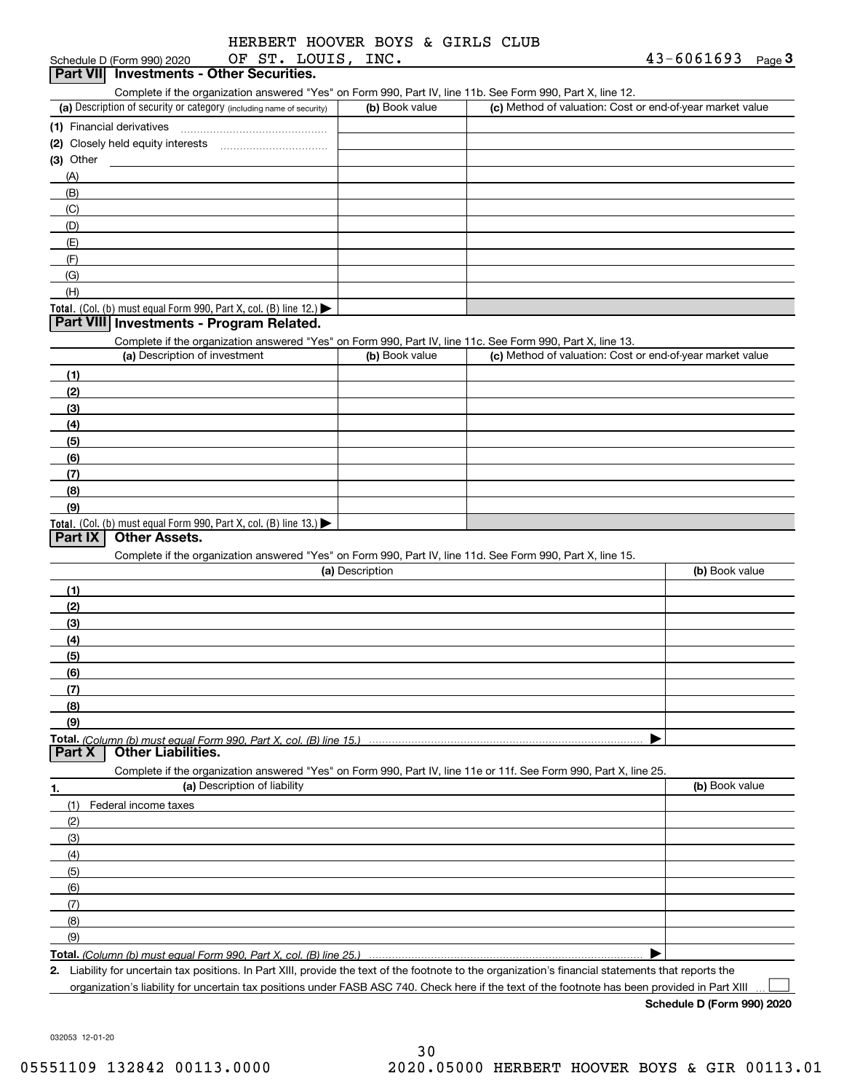| HERBERT HOOVER BOYS & GIRLS CLUB |  |  |  |
|----------------------------------|--|--|--|
|                                  |  |  |  |

| OF ST. LOUIS, INC.<br>Schedule D (Form 990) 2020                                                                              |                 |                                                           | $43 - 6061693$ Page 3 |
|-------------------------------------------------------------------------------------------------------------------------------|-----------------|-----------------------------------------------------------|-----------------------|
| Part VII Investments - Other Securities.                                                                                      |                 |                                                           |                       |
| Complete if the organization answered "Yes" on Form 990, Part IV, line 11b. See Form 990, Part X, line 12.                    |                 |                                                           |                       |
| (a) Description of security or category (including name of security)                                                          | (b) Book value  | (c) Method of valuation: Cost or end-of-year market value |                       |
| (1) Financial derivatives                                                                                                     |                 |                                                           |                       |
|                                                                                                                               |                 |                                                           |                       |
| $(3)$ Other                                                                                                                   |                 |                                                           |                       |
| (A)                                                                                                                           |                 |                                                           |                       |
| (B)                                                                                                                           |                 |                                                           |                       |
| (C)                                                                                                                           |                 |                                                           |                       |
| (D)                                                                                                                           |                 |                                                           |                       |
| (E)                                                                                                                           |                 |                                                           |                       |
| (F)                                                                                                                           |                 |                                                           |                       |
| (G)                                                                                                                           |                 |                                                           |                       |
| (H)                                                                                                                           |                 |                                                           |                       |
| Total. (Col. (b) must equal Form 990, Part X, col. (B) line 12.)                                                              |                 |                                                           |                       |
| Part VIII Investments - Program Related.                                                                                      |                 |                                                           |                       |
| Complete if the organization answered "Yes" on Form 990, Part IV, line 11c. See Form 990, Part X, line 13.                    |                 |                                                           |                       |
| (a) Description of investment                                                                                                 | (b) Book value  | (c) Method of valuation: Cost or end-of-year market value |                       |
| (1)                                                                                                                           |                 |                                                           |                       |
| (2)                                                                                                                           |                 |                                                           |                       |
| (3)                                                                                                                           |                 |                                                           |                       |
| (4)                                                                                                                           |                 |                                                           |                       |
| (5)                                                                                                                           |                 |                                                           |                       |
| (6)                                                                                                                           |                 |                                                           |                       |
| (7)                                                                                                                           |                 |                                                           |                       |
| (8)                                                                                                                           |                 |                                                           |                       |
| (9)                                                                                                                           |                 |                                                           |                       |
| <b>Total.</b> (Col. (b) must equal Form 990, Part X, col. (B) line 13.)<br>Part IX<br><b>Other Assets.</b>                    |                 |                                                           |                       |
|                                                                                                                               |                 |                                                           |                       |
| Complete if the organization answered "Yes" on Form 990, Part IV, line 11d. See Form 990, Part X, line 15.                    | (a) Description |                                                           | (b) Book value        |
|                                                                                                                               |                 |                                                           |                       |
| (1)                                                                                                                           |                 |                                                           |                       |
| (2)                                                                                                                           |                 |                                                           |                       |
| (3)                                                                                                                           |                 |                                                           |                       |
| (4)                                                                                                                           |                 |                                                           |                       |
| (5)                                                                                                                           |                 |                                                           |                       |
| (6)                                                                                                                           |                 |                                                           |                       |
| (7)                                                                                                                           |                 |                                                           |                       |
| (8)                                                                                                                           |                 |                                                           |                       |
| (9)                                                                                                                           |                 |                                                           |                       |
| <b>Other Liabilities.</b><br>Part X                                                                                           |                 |                                                           |                       |
| Complete if the organization answered "Yes" on Form 990, Part IV, line 11e or 11f. See Form 990, Part X, line 25.             |                 |                                                           |                       |
| (a) Description of liability                                                                                                  |                 |                                                           | (b) Book value        |
| 1.<br>Federal income taxes<br>(1)                                                                                             |                 |                                                           |                       |
|                                                                                                                               |                 |                                                           |                       |
| (2)                                                                                                                           |                 |                                                           |                       |
| (3)<br>(4)                                                                                                                    |                 |                                                           |                       |
|                                                                                                                               |                 |                                                           |                       |
| (5)                                                                                                                           |                 |                                                           |                       |
| (6)                                                                                                                           |                 |                                                           |                       |
| (7)                                                                                                                           |                 |                                                           |                       |
| (8)                                                                                                                           |                 |                                                           |                       |
| (9)                                                                                                                           |                 |                                                           |                       |
| Total. (Column (b) must equal Form 990. Part X, col. (B) line 25.)<br>upoortoin tax pooitions, in Dart VIII, provide the taxt |                 |                                                           |                       |

**2.** Liability for uncertain tax positions. In Part XIII, provide the text of the footnote to the organization's financial statements that reports the organization's liability for uncertain tax positions under FASB ASC 740. Check here if the text of the footnote has been provided in Part XIII

**Schedule D (Form 990) 2020**

 $\mathcal{L}^{\text{max}}$ 

032053 12-01-20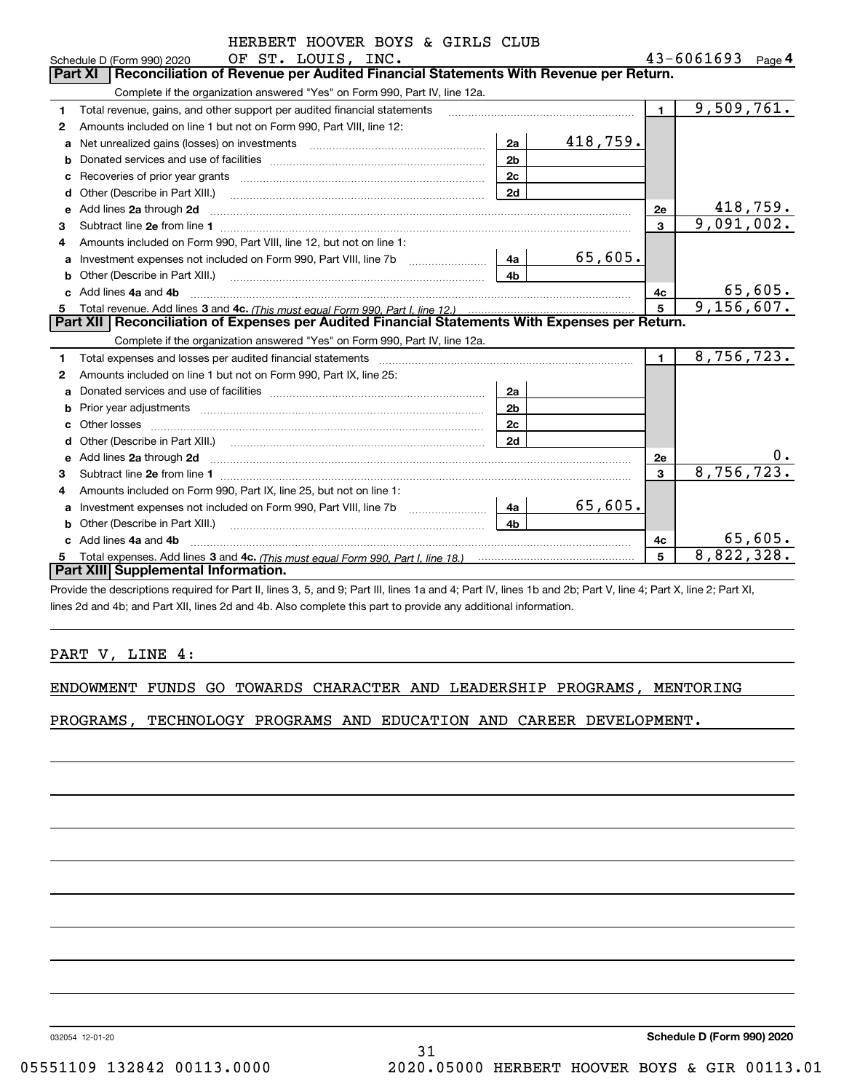|    | HERBERT HOOVER BOYS & GIRLS CLUB                                                                                      |                |          |                |                       |
|----|-----------------------------------------------------------------------------------------------------------------------|----------------|----------|----------------|-----------------------|
|    | OF ST. LOUIS, INC.<br>Schedule D (Form 990) 2020                                                                      |                |          |                | $43 - 6061693$ Page 4 |
|    | Reconciliation of Revenue per Audited Financial Statements With Revenue per Return.<br><b>Part XI</b>                 |                |          |                |                       |
|    | Complete if the organization answered "Yes" on Form 990, Part IV, line 12a.                                           |                |          |                |                       |
| 1  | Total revenue, gains, and other support per audited financial statements                                              |                |          | $\mathbf 1$    | 9,509,761.            |
| 2  | Amounts included on line 1 but not on Form 990, Part VIII, line 12:                                                   |                |          |                |                       |
| a  | Net unrealized gains (losses) on investments [11] matter contracts and the unrealized gains (losses) on investments   | 2a             | 418,759. |                |                       |
|    |                                                                                                                       | 2 <sub>b</sub> |          |                |                       |
|    |                                                                                                                       | 2c             |          |                |                       |
| d  | Other (Describe in Part XIII.) <b>Construction Contract Construction</b> Chern Construction Construction Construction | 2d             |          |                |                       |
| e  | Add lines 2a through 2d                                                                                               |                |          | 2e             | 418,759.              |
| з  |                                                                                                                       |                |          | $\mathbf{R}$   | 9,091,002.            |
| 4  | Amounts included on Form 990, Part VIII, line 12, but not on line 1:                                                  |                |          |                |                       |
| a  |                                                                                                                       | 4a             | 65,605.  |                |                       |
| b  |                                                                                                                       | 4b             |          |                |                       |
|    | Add lines 4a and 4b                                                                                                   | 4c             | 65,605.  |                |                       |
| 5  |                                                                                                                       |                | 5        | 9,156,607.     |                       |
|    | Part XII   Reconciliation of Expenses per Audited Financial Statements With Expenses per Return.                      |                |          |                |                       |
|    | Complete if the organization answered "Yes" on Form 990, Part IV, line 12a.                                           |                |          |                |                       |
| 1  | Total expenses and losses per audited financial statements                                                            |                |          | $\blacksquare$ | 8,756,723.            |
| 2  | Amounts included on line 1 but not on Form 990, Part IX, line 25:                                                     |                |          |                |                       |
| a  |                                                                                                                       | 2a             |          |                |                       |
| b  |                                                                                                                       | 2 <sub>b</sub> |          |                |                       |
|    |                                                                                                                       | 2c             |          |                |                       |
|    |                                                                                                                       | 2d             |          |                |                       |
|    |                                                                                                                       |                |          | 2e             |                       |
| 3  |                                                                                                                       |                |          | $\mathbf{R}$   | 8,756,723.            |
| 4  | Amounts included on Form 990, Part IX, line 25, but not on line 1:                                                    |                |          |                |                       |
| a  |                                                                                                                       | 4a             | 65,605.  |                |                       |
| b  | Other (Describe in Part XIII.)                                                                                        | 4 <sub>h</sub> |          |                |                       |
| C. | Add lines 4a and 4b                                                                                                   |                |          | 4с             | 65,605.               |
|    |                                                                                                                       |                |          | 5              | 8,822,328.            |
|    | Part XIII Supplemental Information.                                                                                   |                |          |                |                       |

Provide the descriptions required for Part II, lines 3, 5, and 9; Part III, lines 1a and 4; Part IV, lines 1b and 2b; Part V, line 4; Part X, line 2; Part XI, lines 2d and 4b; and Part XII, lines 2d and 4b. Also complete this part to provide any additional information.

### PART V, LINE 4:

|  |  |  |  |  |  | ENDOWMENT FUNDS GO TOWARDS CHARACTER AND LEADERSHIP PROGRAMS, MENTORING |  |  |
|--|--|--|--|--|--|-------------------------------------------------------------------------|--|--|
|--|--|--|--|--|--|-------------------------------------------------------------------------|--|--|

31

PROGRAMS, TECHNOLOGY PROGRAMS AND EDUCATION AND CAREER DEVELOPMENT.

032054 12-01-20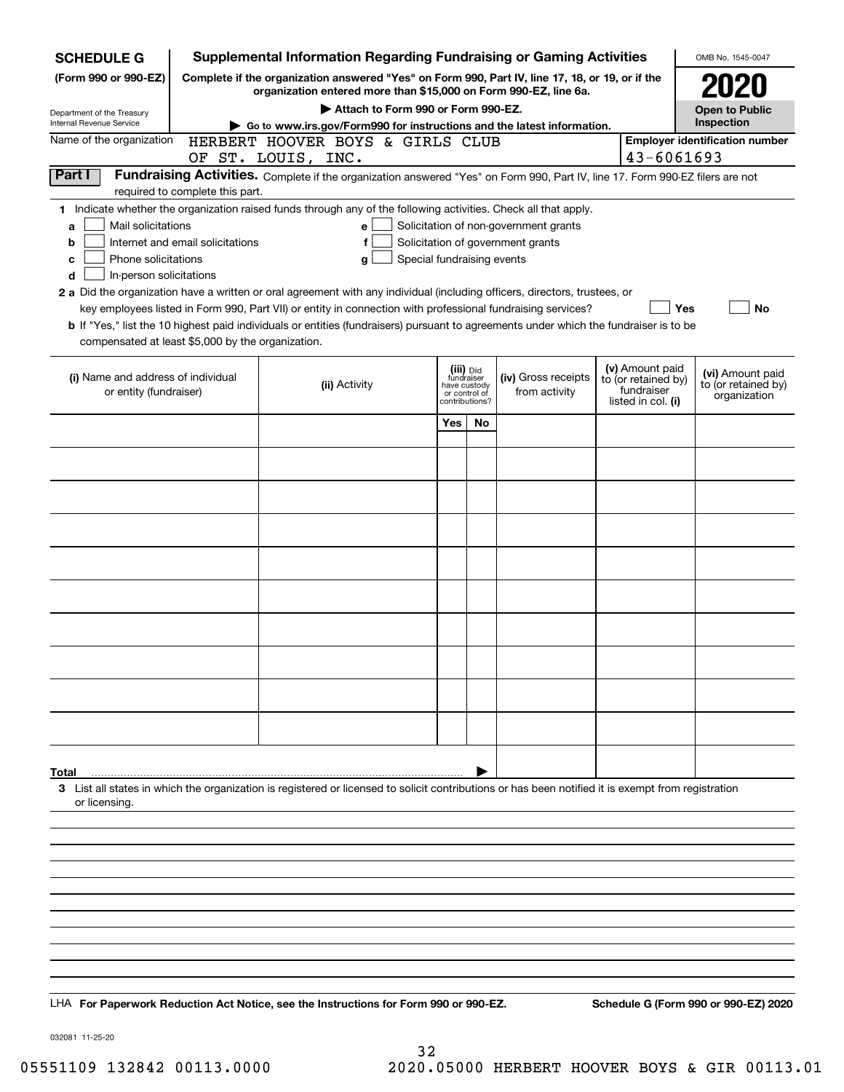| <b>SCHEDULE G</b>                                                                                                                             |                                  | <b>Supplemental Information Regarding Fundraising or Gaming Activities</b>                                                                                                                                                                                                                                                                                                                                                                                                                                                                         |                                                                            |    |                                                                            |                                                                            | OMB No. 1545-0047                                       |
|-----------------------------------------------------------------------------------------------------------------------------------------------|----------------------------------|----------------------------------------------------------------------------------------------------------------------------------------------------------------------------------------------------------------------------------------------------------------------------------------------------------------------------------------------------------------------------------------------------------------------------------------------------------------------------------------------------------------------------------------------------|----------------------------------------------------------------------------|----|----------------------------------------------------------------------------|----------------------------------------------------------------------------|---------------------------------------------------------|
| (Form 990 or 990-EZ)                                                                                                                          |                                  | Complete if the organization answered "Yes" on Form 990, Part IV, line 17, 18, or 19, or if the<br>organization entered more than \$15,000 on Form 990-EZ, line 6a.                                                                                                                                                                                                                                                                                                                                                                                |                                                                            |    |                                                                            |                                                                            |                                                         |
| Department of the Treasury                                                                                                                    |                                  | Attach to Form 990 or Form 990-EZ.                                                                                                                                                                                                                                                                                                                                                                                                                                                                                                                 |                                                                            |    |                                                                            |                                                                            | <b>Open to Public</b>                                   |
| Internal Revenue Service                                                                                                                      |                                  | Go to www.irs.gov/Form990 for instructions and the latest information.                                                                                                                                                                                                                                                                                                                                                                                                                                                                             |                                                                            |    |                                                                            |                                                                            | Inspection                                              |
| Name of the organization                                                                                                                      |                                  | HERBERT HOOVER BOYS & GIRLS CLUB<br>OF ST. LOUIS, INC.                                                                                                                                                                                                                                                                                                                                                                                                                                                                                             |                                                                            |    |                                                                            | 43-6061693                                                                 | <b>Employer identification number</b>                   |
| Part I                                                                                                                                        | required to complete this part.  | Fundraising Activities. Complete if the organization answered "Yes" on Form 990, Part IV, line 17. Form 990-EZ filers are not                                                                                                                                                                                                                                                                                                                                                                                                                      |                                                                            |    |                                                                            |                                                                            |                                                         |
| Mail solicitations<br>a<br>b<br>Phone solicitations<br>с<br>In-person solicitations<br>d<br>compensated at least \$5,000 by the organization. | Internet and email solicitations | 1 Indicate whether the organization raised funds through any of the following activities. Check all that apply.<br>e<br>f<br>Special fundraising events<br>g<br>2 a Did the organization have a written or oral agreement with any individual (including officers, directors, trustees, or<br>key employees listed in Form 990, Part VII) or entity in connection with professional fundraising services?<br>b If "Yes," list the 10 highest paid individuals or entities (fundraisers) pursuant to agreements under which the fundraiser is to be |                                                                            |    | Solicitation of non-government grants<br>Solicitation of government grants | <b>Yes</b>                                                                 | <b>No</b>                                               |
| (i) Name and address of individual<br>or entity (fundraiser)                                                                                  |                                  | (ii) Activity                                                                                                                                                                                                                                                                                                                                                                                                                                                                                                                                      | (iii) Did<br>fundraiser<br>have custody<br>or control of<br>contributions? |    | (iv) Gross receipts<br>from activity                                       | (v) Amount paid<br>to (or retained by)<br>fundraiser<br>listed in col. (i) | (vi) Amount paid<br>to (or retained by)<br>organization |
|                                                                                                                                               |                                  |                                                                                                                                                                                                                                                                                                                                                                                                                                                                                                                                                    | Yes                                                                        | No |                                                                            |                                                                            |                                                         |
|                                                                                                                                               |                                  |                                                                                                                                                                                                                                                                                                                                                                                                                                                                                                                                                    |                                                                            |    |                                                                            |                                                                            |                                                         |
|                                                                                                                                               |                                  |                                                                                                                                                                                                                                                                                                                                                                                                                                                                                                                                                    |                                                                            |    |                                                                            |                                                                            |                                                         |
|                                                                                                                                               |                                  |                                                                                                                                                                                                                                                                                                                                                                                                                                                                                                                                                    |                                                                            |    |                                                                            |                                                                            |                                                         |
|                                                                                                                                               |                                  |                                                                                                                                                                                                                                                                                                                                                                                                                                                                                                                                                    |                                                                            |    |                                                                            |                                                                            |                                                         |
|                                                                                                                                               |                                  |                                                                                                                                                                                                                                                                                                                                                                                                                                                                                                                                                    |                                                                            |    |                                                                            |                                                                            |                                                         |
|                                                                                                                                               |                                  |                                                                                                                                                                                                                                                                                                                                                                                                                                                                                                                                                    |                                                                            |    |                                                                            |                                                                            |                                                         |
|                                                                                                                                               |                                  |                                                                                                                                                                                                                                                                                                                                                                                                                                                                                                                                                    |                                                                            |    |                                                                            |                                                                            |                                                         |
|                                                                                                                                               |                                  |                                                                                                                                                                                                                                                                                                                                                                                                                                                                                                                                                    |                                                                            |    |                                                                            |                                                                            |                                                         |
|                                                                                                                                               |                                  |                                                                                                                                                                                                                                                                                                                                                                                                                                                                                                                                                    |                                                                            |    |                                                                            |                                                                            |                                                         |
|                                                                                                                                               |                                  |                                                                                                                                                                                                                                                                                                                                                                                                                                                                                                                                                    |                                                                            |    |                                                                            |                                                                            |                                                         |
|                                                                                                                                               |                                  |                                                                                                                                                                                                                                                                                                                                                                                                                                                                                                                                                    |                                                                            |    |                                                                            |                                                                            |                                                         |
| Total<br>or licensing.                                                                                                                        |                                  | 3 List all states in which the organization is registered or licensed to solicit contributions or has been notified it is exempt from registration                                                                                                                                                                                                                                                                                                                                                                                                 |                                                                            |    |                                                                            |                                                                            |                                                         |
|                                                                                                                                               |                                  |                                                                                                                                                                                                                                                                                                                                                                                                                                                                                                                                                    |                                                                            |    |                                                                            |                                                                            |                                                         |
|                                                                                                                                               |                                  |                                                                                                                                                                                                                                                                                                                                                                                                                                                                                                                                                    |                                                                            |    |                                                                            |                                                                            |                                                         |
|                                                                                                                                               |                                  |                                                                                                                                                                                                                                                                                                                                                                                                                                                                                                                                                    |                                                                            |    |                                                                            |                                                                            |                                                         |
|                                                                                                                                               |                                  |                                                                                                                                                                                                                                                                                                                                                                                                                                                                                                                                                    |                                                                            |    |                                                                            |                                                                            |                                                         |
|                                                                                                                                               |                                  |                                                                                                                                                                                                                                                                                                                                                                                                                                                                                                                                                    |                                                                            |    |                                                                            |                                                                            |                                                         |
|                                                                                                                                               |                                  |                                                                                                                                                                                                                                                                                                                                                                                                                                                                                                                                                    |                                                                            |    |                                                                            |                                                                            |                                                         |
|                                                                                                                                               |                                  | LHA For Paperwork Reduction Act Notice, see the Instructions for Form 990 or 990-EZ.                                                                                                                                                                                                                                                                                                                                                                                                                                                               |                                                                            |    |                                                                            |                                                                            | Schedule G (Form 990 or 990-EZ) 2020                    |

032081 11-25-20

32 05551109 132842 00113.0000 2020.05000 HERBERT HOOVER BOYS & GIR 00113.01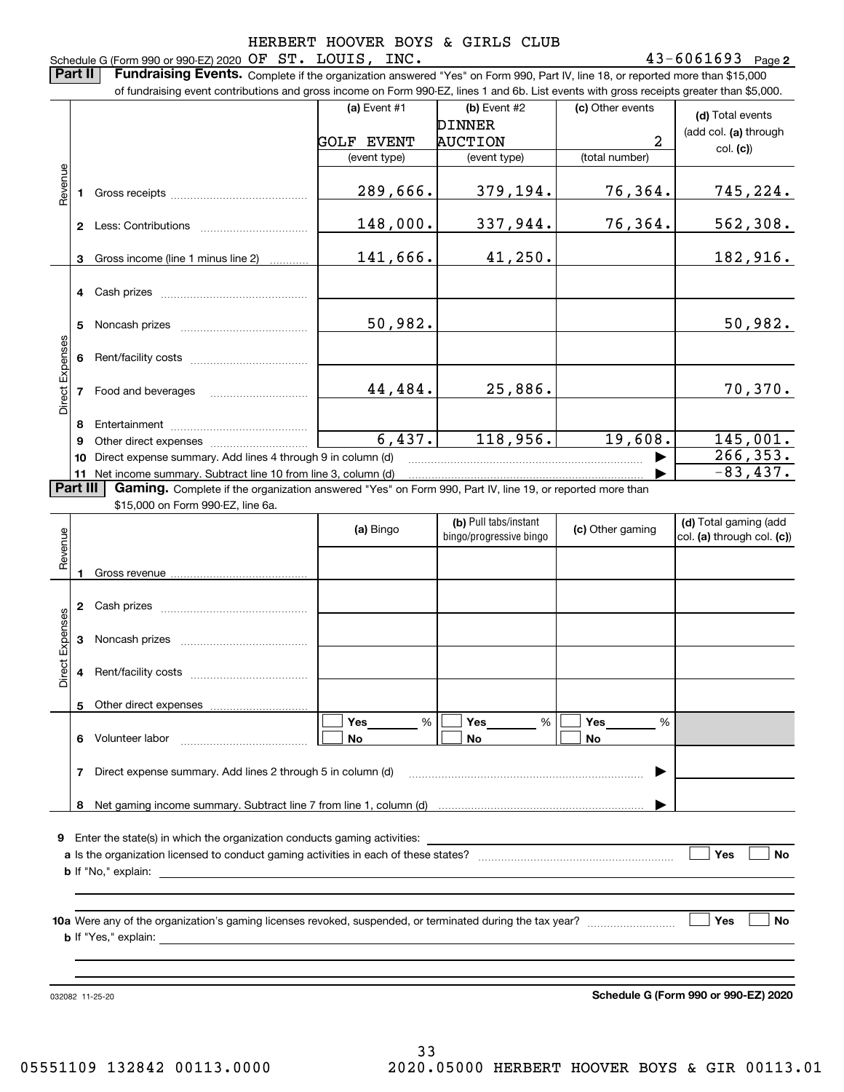### **2** Schedule G (Form 990 or 990-EZ) 2020 Page OF ST. LOUIS, INC. 43-6061693

**Part II** | Fundraising Events. Complete if the organization answered "Yes" on Form 990, Part IV, line 18, or reported more than \$15,000 of fundraising event contributions and gross income on Form 990-EZ, lines 1 and 6b. List events with gross receipts greater than \$5,000.

|                 |          | or iuridiaising event contributions and gross income on Form 990-EZ, lines T and 6D. List events with gross receipts greater than \$5,000. |                   |                         |                  |                            |
|-----------------|----------|--------------------------------------------------------------------------------------------------------------------------------------------|-------------------|-------------------------|------------------|----------------------------|
|                 |          |                                                                                                                                            | (a) Event #1      | $(b)$ Event #2          | (c) Other events | (d) Total events           |
|                 |          |                                                                                                                                            |                   | <b>DINNER</b>           |                  | (add col. (a) through      |
|                 |          |                                                                                                                                            | <b>GOLF EVENT</b> | <b>AUCTION</b>          | 2                | col. (c)                   |
|                 |          |                                                                                                                                            | (event type)      | (event type)            | (total number)   |                            |
|                 |          |                                                                                                                                            |                   |                         |                  |                            |
| Revenue         | 1        |                                                                                                                                            | 289,666.          | 379,194.                | 76,364.          | 745,224.                   |
|                 |          |                                                                                                                                            |                   |                         |                  |                            |
|                 |          |                                                                                                                                            | 148,000.          | 337,944.                | 76,364.          | 562,308.                   |
|                 |          |                                                                                                                                            |                   |                         |                  |                            |
|                 | 3        | Gross income (line 1 minus line 2)                                                                                                         | 141,666.          | 41,250.                 |                  | 182,916.                   |
|                 |          |                                                                                                                                            |                   |                         |                  |                            |
|                 | 4        | Cash prizes                                                                                                                                |                   |                         |                  |                            |
|                 |          |                                                                                                                                            |                   |                         |                  |                            |
|                 | 5        |                                                                                                                                            | 50,982.           |                         |                  | 50,982.                    |
|                 |          |                                                                                                                                            |                   |                         |                  |                            |
|                 | 6        |                                                                                                                                            |                   |                         |                  |                            |
| Direct Expenses |          |                                                                                                                                            |                   |                         |                  |                            |
|                 |          | 7 Food and beverages                                                                                                                       | 44,484.           | 25,886.                 |                  | 70,370.                    |
|                 |          |                                                                                                                                            |                   |                         |                  |                            |
|                 | 8        |                                                                                                                                            |                   |                         |                  |                            |
|                 | 9        |                                                                                                                                            | 6,437.            | 118,956.                | 19,608.          | 145,001.                   |
|                 | 10       | Direct expense summary. Add lines 4 through 9 in column (d)                                                                                |                   |                         |                  | 266, 353.                  |
|                 |          | 11 Net income summary. Subtract line 10 from line 3, column (d)                                                                            |                   |                         |                  | $-83,437.$                 |
|                 | Part III | Gaming. Complete if the organization answered "Yes" on Form 990, Part IV, line 19, or reported more than                                   |                   |                         |                  |                            |
|                 |          | \$15,000 on Form 990-EZ, line 6a.                                                                                                          |                   |                         |                  |                            |
|                 |          |                                                                                                                                            | (a) Bingo         | (b) Pull tabs/instant   | (c) Other gaming | (d) Total gaming (add      |
|                 |          |                                                                                                                                            |                   | bingo/progressive bingo |                  | col. (a) through col. (c)) |
| Revenue         |          |                                                                                                                                            |                   |                         |                  |                            |
|                 | 1        |                                                                                                                                            |                   |                         |                  |                            |
|                 |          |                                                                                                                                            |                   |                         |                  |                            |
|                 | 2        |                                                                                                                                            |                   |                         |                  |                            |
|                 |          |                                                                                                                                            |                   |                         |                  |                            |
|                 | 3        |                                                                                                                                            |                   |                         |                  |                            |
| Direct Expenses |          |                                                                                                                                            |                   |                         |                  |                            |
|                 | 4        |                                                                                                                                            |                   |                         |                  |                            |
|                 |          |                                                                                                                                            |                   |                         |                  |                            |
|                 |          | 5 Other direct expenses                                                                                                                    |                   |                         |                  |                            |
|                 |          |                                                                                                                                            | Yes<br>%          | Yes<br>%                | Yes<br>%         |                            |
|                 | 6.       | Volunteer labor                                                                                                                            | No                | No                      | No               |                            |
|                 |          |                                                                                                                                            |                   |                         |                  |                            |
|                 | 7        | Direct expense summary. Add lines 2 through 5 in column (d)                                                                                |                   |                         |                  |                            |
|                 |          |                                                                                                                                            |                   |                         |                  |                            |
|                 | 8        |                                                                                                                                            |                   |                         |                  |                            |
|                 |          |                                                                                                                                            |                   |                         |                  |                            |
| 9               |          |                                                                                                                                            |                   |                         |                  |                            |
|                 |          | Enter the state(s) in which the organization conducts gaming activities:                                                                   |                   |                         |                  |                            |
|                 |          |                                                                                                                                            |                   |                         |                  | Yes<br>No                  |
|                 |          | <b>b</b> If "No," explain:                                                                                                                 |                   |                         |                  |                            |
|                 |          |                                                                                                                                            |                   |                         |                  |                            |
|                 |          |                                                                                                                                            |                   |                         |                  |                            |
|                 |          |                                                                                                                                            |                   |                         |                  | Yes<br>No                  |
|                 |          |                                                                                                                                            |                   |                         |                  |                            |
|                 |          |                                                                                                                                            |                   |                         |                  |                            |
|                 |          |                                                                                                                                            |                   |                         |                  |                            |

**Schedule G (Form 990 or 990-EZ) 2020**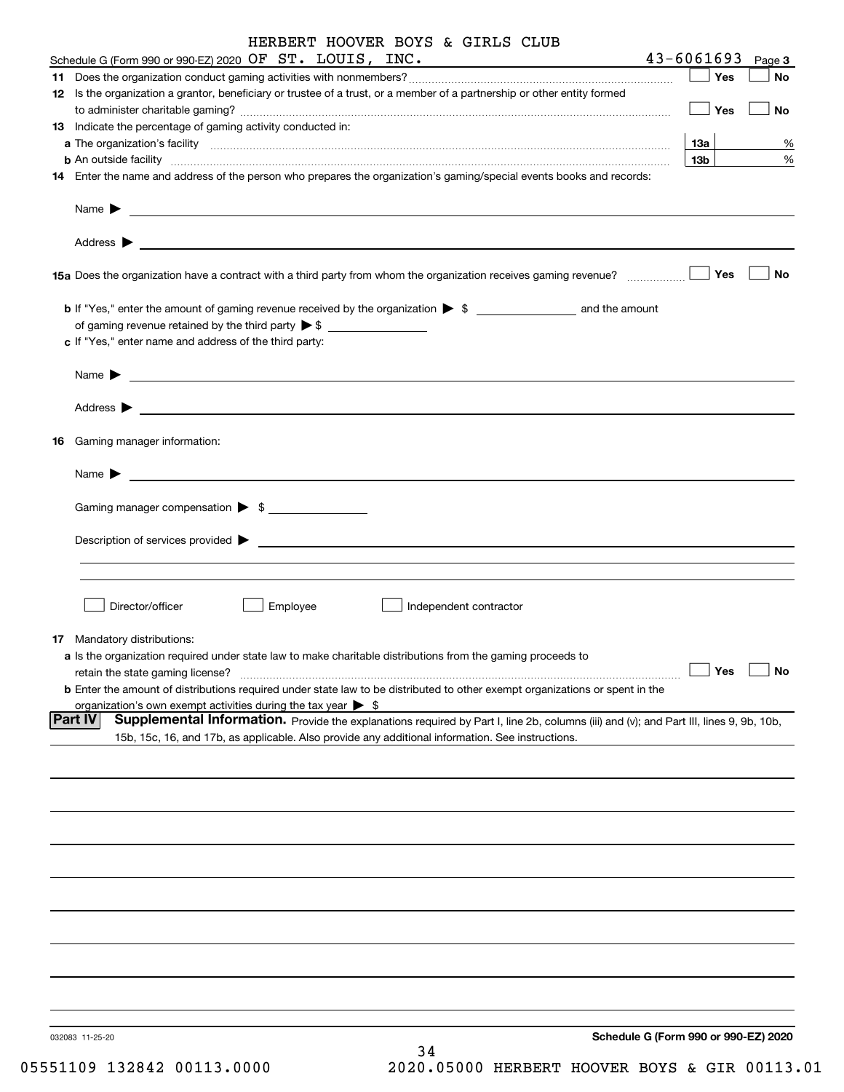|    | HERBERT HOOVER BOYS & GIRLS CLUB                                                                                                                                                                                                         |                 |        |
|----|------------------------------------------------------------------------------------------------------------------------------------------------------------------------------------------------------------------------------------------|-----------------|--------|
|    | Schedule G (Form 990 or 990-EZ) 2020 OF ST. LOUIS, INC.                                                                                                                                                                                  | $43 - 6061693$  | Page 3 |
|    | 12 Is the organization a grantor, beneficiary or trustee of a trust, or a member of a partnership or other entity formed                                                                                                                 | Yes             | No     |
|    |                                                                                                                                                                                                                                          | Yes             | No     |
|    | 13 Indicate the percentage of gaming activity conducted in:                                                                                                                                                                              |                 |        |
|    |                                                                                                                                                                                                                                          | <b>13a</b>      | %      |
|    | <b>b</b> An outside facility <i>www.communicality www.communicality.communicality www.communicality www.communicality.com</i>                                                                                                            | 13 <sub>b</sub> | %      |
|    | 14 Enter the name and address of the person who prepares the organization's gaming/special events books and records:                                                                                                                     |                 |        |
|    | Name $\triangleright$ $\underbrace{\phantom{aaaaa}}$                                                                                                                                                                                     |                 |        |
|    |                                                                                                                                                                                                                                          |                 |        |
|    | 15a Does the organization have a contract with a third party from whom the organization receives gaming revenue?                                                                                                                         | Yes             | No     |
|    |                                                                                                                                                                                                                                          |                 |        |
|    | of gaming revenue retained by the third party $\triangleright$ \$                                                                                                                                                                        |                 |        |
|    | c If "Yes," enter name and address of the third party:                                                                                                                                                                                   |                 |        |
|    |                                                                                                                                                                                                                                          |                 |        |
|    |                                                                                                                                                                                                                                          |                 |        |
| 16 | Gaming manager information:                                                                                                                                                                                                              |                 |        |
|    | Name $\blacktriangleright$ $\lrcorner$                                                                                                                                                                                                   |                 |        |
|    | Gaming manager compensation > \$                                                                                                                                                                                                         |                 |        |
|    | Description of services provided states and the service of the services of the services provided states are serviced to the service of the services provided states are service of the services of the services of the service           |                 |        |
|    |                                                                                                                                                                                                                                          |                 |        |
|    |                                                                                                                                                                                                                                          |                 |        |
|    | Director/officer<br>Employee<br>Independent contractor                                                                                                                                                                                   |                 |        |
|    | 17 Mandatory distributions:                                                                                                                                                                                                              |                 |        |
|    | a Is the organization required under state law to make charitable distributions from the gaming proceeds to                                                                                                                              |                 |        |
|    | retain the state gaming license?                                                                                                                                                                                                         | Yes             | No     |
|    | <b>b</b> Enter the amount of distributions required under state law to be distributed to other exempt organizations or spent in the                                                                                                      |                 |        |
|    | organization's own exempt activities during the tax year $\triangleright$ \$<br><b>Part IV</b><br>Supplemental Information. Provide the explanations required by Part I, line 2b, columns (iii) and (v); and Part III, lines 9, 9b, 10b, |                 |        |
|    | 15b, 15c, 16, and 17b, as applicable. Also provide any additional information. See instructions.                                                                                                                                         |                 |        |
|    |                                                                                                                                                                                                                                          |                 |        |
|    |                                                                                                                                                                                                                                          |                 |        |
|    |                                                                                                                                                                                                                                          |                 |        |
|    |                                                                                                                                                                                                                                          |                 |        |
|    |                                                                                                                                                                                                                                          |                 |        |
|    |                                                                                                                                                                                                                                          |                 |        |
|    |                                                                                                                                                                                                                                          |                 |        |
|    |                                                                                                                                                                                                                                          |                 |        |
|    |                                                                                                                                                                                                                                          |                 |        |
|    |                                                                                                                                                                                                                                          |                 |        |
|    |                                                                                                                                                                                                                                          |                 |        |
|    |                                                                                                                                                                                                                                          |                 |        |
|    |                                                                                                                                                                                                                                          |                 |        |
|    | Schedule G (Form 990 or 990-EZ) 2020<br>032083 11-25-20<br>34                                                                                                                                                                            |                 |        |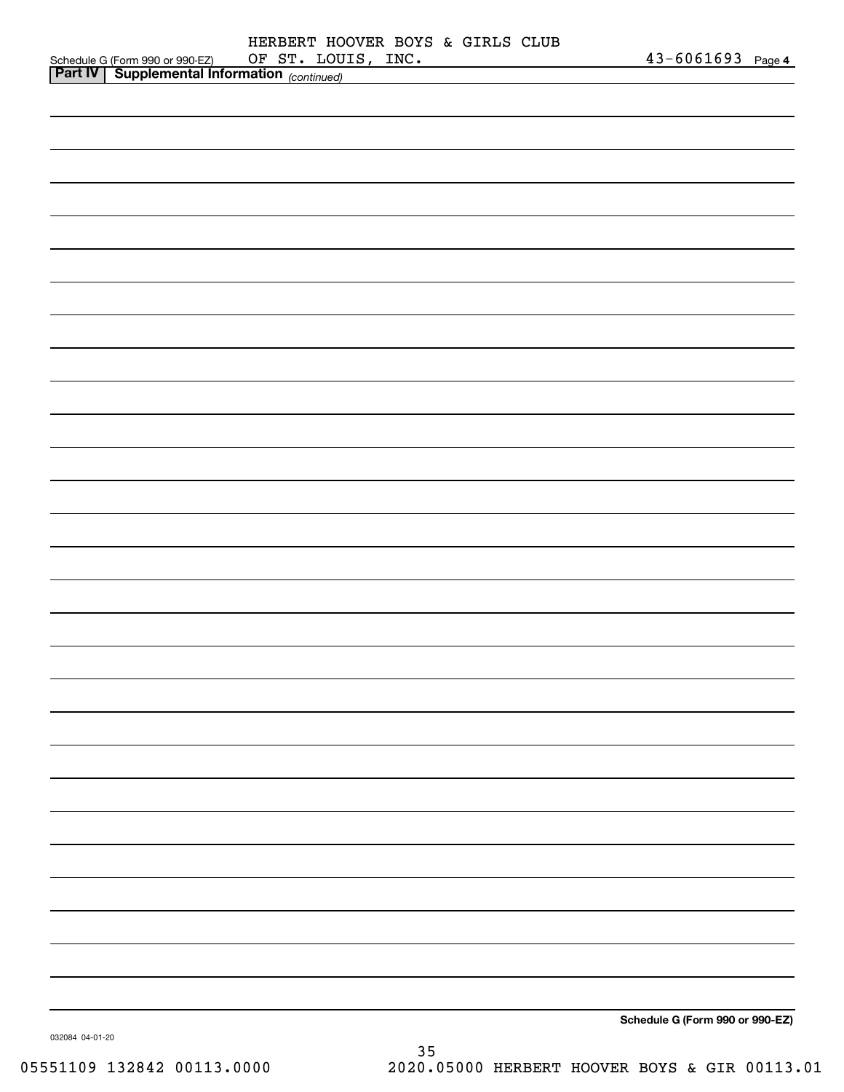|                                                                                             | HERBERT HOOVER BOYS & GIRLS CLUB |  |                    |                                 |  |
|---------------------------------------------------------------------------------------------|----------------------------------|--|--------------------|---------------------------------|--|
| Schedule G (Form 990 or 990-EZ) OF ST. LOU.<br>Part IV Supplemental Information (continued) |                                  |  | OF ST. LOUIS, INC. | 43-6061693 Page 4               |  |
|                                                                                             |                                  |  |                    |                                 |  |
|                                                                                             |                                  |  |                    |                                 |  |
|                                                                                             |                                  |  |                    |                                 |  |
|                                                                                             |                                  |  |                    |                                 |  |
|                                                                                             |                                  |  |                    |                                 |  |
|                                                                                             |                                  |  |                    |                                 |  |
|                                                                                             |                                  |  |                    |                                 |  |
|                                                                                             |                                  |  |                    |                                 |  |
|                                                                                             |                                  |  |                    |                                 |  |
|                                                                                             |                                  |  |                    |                                 |  |
|                                                                                             |                                  |  |                    |                                 |  |
|                                                                                             |                                  |  |                    |                                 |  |
|                                                                                             |                                  |  |                    |                                 |  |
|                                                                                             |                                  |  |                    |                                 |  |
|                                                                                             |                                  |  |                    |                                 |  |
|                                                                                             |                                  |  |                    |                                 |  |
|                                                                                             |                                  |  |                    |                                 |  |
|                                                                                             |                                  |  |                    |                                 |  |
|                                                                                             |                                  |  |                    |                                 |  |
|                                                                                             |                                  |  |                    |                                 |  |
|                                                                                             |                                  |  |                    |                                 |  |
|                                                                                             |                                  |  |                    |                                 |  |
|                                                                                             |                                  |  |                    |                                 |  |
|                                                                                             |                                  |  |                    |                                 |  |
|                                                                                             |                                  |  |                    |                                 |  |
|                                                                                             |                                  |  |                    |                                 |  |
|                                                                                             |                                  |  |                    |                                 |  |
|                                                                                             |                                  |  |                    |                                 |  |
|                                                                                             |                                  |  |                    |                                 |  |
|                                                                                             |                                  |  |                    |                                 |  |
|                                                                                             |                                  |  |                    |                                 |  |
|                                                                                             |                                  |  |                    |                                 |  |
|                                                                                             |                                  |  |                    |                                 |  |
|                                                                                             |                                  |  |                    |                                 |  |
|                                                                                             |                                  |  |                    |                                 |  |
|                                                                                             |                                  |  |                    |                                 |  |
|                                                                                             |                                  |  |                    |                                 |  |
|                                                                                             |                                  |  |                    |                                 |  |
|                                                                                             |                                  |  |                    |                                 |  |
|                                                                                             |                                  |  |                    |                                 |  |
|                                                                                             |                                  |  |                    |                                 |  |
|                                                                                             |                                  |  |                    |                                 |  |
|                                                                                             |                                  |  |                    | Schedule G (Form 990 or 990-EZ) |  |
|                                                                                             |                                  |  |                    |                                 |  |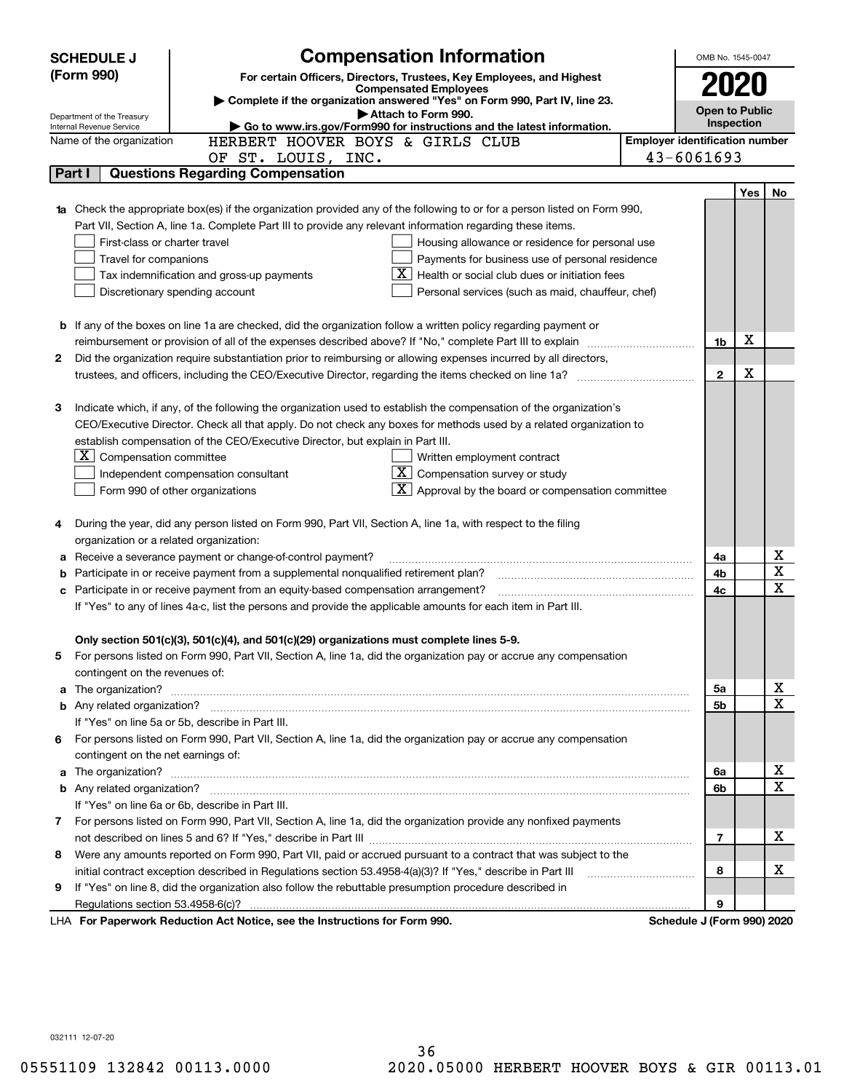|    | <b>SCHEDULE J</b>                       | <b>Compensation Information</b>                                                                                        | OMB No. 1545-0047                     |     |             |
|----|-----------------------------------------|------------------------------------------------------------------------------------------------------------------------|---------------------------------------|-----|-------------|
|    | (Form 990)                              | For certain Officers, Directors, Trustees, Key Employees, and Highest                                                  |                                       |     |             |
|    |                                         | <b>Compensated Employees</b>                                                                                           | 2020                                  |     |             |
|    | Department of the Treasury              | Complete if the organization answered "Yes" on Form 990, Part IV, line 23.<br>Attach to Form 990.                      | <b>Open to Public</b>                 |     |             |
|    | Internal Revenue Service                | Go to www.irs.gov/Form990 for instructions and the latest information.                                                 | Inspection                            |     |             |
|    | Name of the organization                | HERBERT HOOVER BOYS & GIRLS CLUB                                                                                       | <b>Employer identification number</b> |     |             |
|    |                                         | OF ST. LOUIS, INC.                                                                                                     | 43-6061693                            |     |             |
|    | Part I                                  | <b>Questions Regarding Compensation</b>                                                                                |                                       |     |             |
|    |                                         |                                                                                                                        |                                       | Yes | No          |
|    |                                         | Check the appropriate box(es) if the organization provided any of the following to or for a person listed on Form 990, |                                       |     |             |
|    |                                         | Part VII, Section A, line 1a. Complete Part III to provide any relevant information regarding these items.             |                                       |     |             |
|    | First-class or charter travel           | Housing allowance or residence for personal use                                                                        |                                       |     |             |
|    | Travel for companions                   | Payments for business use of personal residence                                                                        |                                       |     |             |
|    |                                         | Health or social club dues or initiation fees<br>Tax indemnification and gross-up payments                             |                                       |     |             |
|    |                                         | Discretionary spending account<br>Personal services (such as maid, chauffeur, chef)                                    |                                       |     |             |
|    |                                         |                                                                                                                        |                                       |     |             |
|    |                                         | <b>b</b> If any of the boxes on line 1a are checked, did the organization follow a written policy regarding payment or |                                       | X   |             |
|    |                                         | reimbursement or provision of all of the expenses described above? If "No," complete Part III to explain               | 1b                                    |     |             |
| 2  |                                         | Did the organization require substantiation prior to reimbursing or allowing expenses incurred by all directors,       | $\mathbf{2}$                          | X   |             |
|    |                                         |                                                                                                                        |                                       |     |             |
| з  |                                         | Indicate which, if any, of the following the organization used to establish the compensation of the organization's     |                                       |     |             |
|    |                                         | CEO/Executive Director. Check all that apply. Do not check any boxes for methods used by a related organization to     |                                       |     |             |
|    |                                         | establish compensation of the CEO/Executive Director, but explain in Part III.                                         |                                       |     |             |
|    | $X$ Compensation committee              | Written employment contract                                                                                            |                                       |     |             |
|    |                                         | $X$ Compensation survey or study<br>Independent compensation consultant                                                |                                       |     |             |
|    |                                         | $\boxed{\textbf{X}}$ Approval by the board or compensation committee<br>Form 990 of other organizations                |                                       |     |             |
|    |                                         |                                                                                                                        |                                       |     |             |
| 4  |                                         | During the year, did any person listed on Form 990, Part VII, Section A, line 1a, with respect to the filing           |                                       |     |             |
|    | organization or a related organization: |                                                                                                                        |                                       |     |             |
| а  |                                         | Receive a severance payment or change-of-control payment?                                                              | 4a                                    |     | х           |
| b  |                                         | Participate in or receive payment from a supplemental nonqualified retirement plan?                                    | 4b                                    |     | X           |
| c  |                                         | Participate in or receive payment from an equity-based compensation arrangement?                                       | 4c                                    |     | X           |
|    |                                         | If "Yes" to any of lines 4a-c, list the persons and provide the applicable amounts for each item in Part III.          |                                       |     |             |
|    |                                         |                                                                                                                        |                                       |     |             |
|    |                                         | Only section 501(c)(3), 501(c)(4), and 501(c)(29) organizations must complete lines 5-9.                               |                                       |     |             |
|    |                                         | For persons listed on Form 990, Part VII, Section A, line 1a, did the organization pay or accrue any compensation      |                                       |     |             |
|    | contingent on the revenues of:          |                                                                                                                        |                                       |     |             |
| a  |                                         |                                                                                                                        | 5a                                    |     | x           |
|    |                                         |                                                                                                                        | 5b                                    |     | X           |
|    |                                         | If "Yes" on line 5a or 5b, describe in Part III.                                                                       |                                       |     |             |
| 6. |                                         | For persons listed on Form 990, Part VII, Section A, line 1a, did the organization pay or accrue any compensation      |                                       |     |             |
|    | contingent on the net earnings of:      |                                                                                                                        |                                       |     |             |
| a  |                                         |                                                                                                                        | 6a                                    |     | x           |
|    |                                         |                                                                                                                        | 6b                                    |     | $\mathbf X$ |
|    |                                         | If "Yes" on line 6a or 6b, describe in Part III.                                                                       |                                       |     |             |
|    |                                         | 7 For persons listed on Form 990, Part VII, Section A, line 1a, did the organization provide any nonfixed payments     |                                       |     |             |
|    |                                         |                                                                                                                        | 7                                     |     | х           |
| 8  |                                         | Were any amounts reported on Form 990, Part VII, paid or accrued pursuant to a contract that was subject to the        |                                       |     |             |
|    |                                         | initial contract exception described in Regulations section 53.4958-4(a)(3)? If "Yes," describe in Part III            | 8                                     |     | х           |
| 9  |                                         | If "Yes" on line 8, did the organization also follow the rebuttable presumption procedure described in                 |                                       |     |             |
|    | Regulations section 53.4958-6(c)?       |                                                                                                                        | 9                                     |     |             |
|    |                                         | LHA For Paperwork Reduction Act Notice, see the Instructions for Form 990.                                             | Schedule J (Form 990) 2020            |     |             |

032111 12-07-20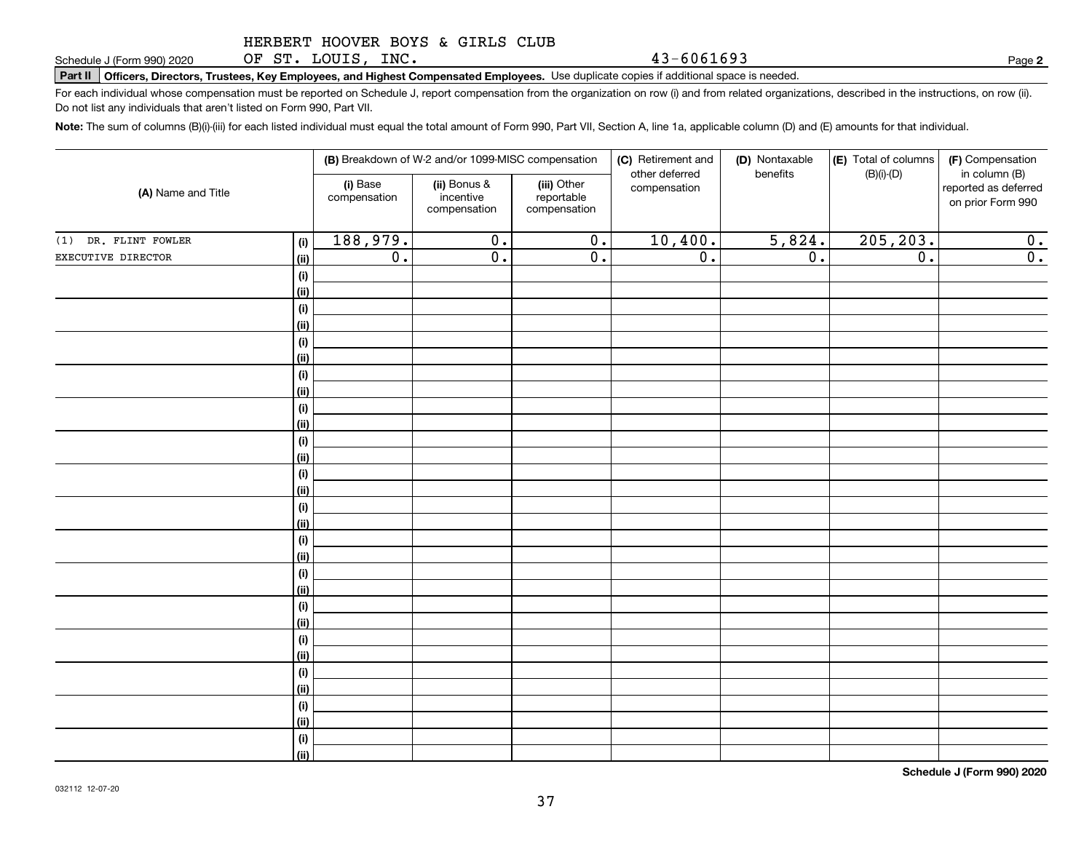OF ST. LOUIS, INC.

**Part II Officers, Directors, Trustees, Key Employees, and Highest Compensated Employees.**  Schedule J (Form 990) 2020 Page Use duplicate copies if additional space is needed.

For each individual whose compensation must be reported on Schedule J, report compensation from the organization on row (i) and from related organizations, described in the instructions, on row (ii). Do not list any individuals that aren't listed on Form 990, Part VII.

**Note:**  The sum of columns (B)(i)-(iii) for each listed individual must equal the total amount of Form 990, Part VII, Section A, line 1a, applicable column (D) and (E) amounts for that individual.

|                      |             |                          | (B) Breakdown of W-2 and/or 1099-MISC compensation |                                           | (C) Retirement and             | (D) Nontaxable<br>benefits | (E) Total of columns | (F) Compensation                                           |
|----------------------|-------------|--------------------------|----------------------------------------------------|-------------------------------------------|--------------------------------|----------------------------|----------------------|------------------------------------------------------------|
| (A) Name and Title   |             | (i) Base<br>compensation | (ii) Bonus &<br>incentive<br>compensation          | (iii) Other<br>reportable<br>compensation | other deferred<br>compensation |                            | $(B)(i)-(D)$         | in column (B)<br>reported as deferred<br>on prior Form 990 |
| (1) DR. FLINT FOWLER | (i)         | 188,979.                 | $\overline{0}$ .                                   | $\overline{0}$ .                          | 10,400.                        | 5,824.                     | 205, 203.            | 0.                                                         |
| EXECUTIVE DIRECTOR   | (ii)        | $\overline{0}$ .         | $\overline{\mathfrak{0}}$ .                        | $\overline{\mathfrak{0}}$ .               | $\overline{0}$ .               | $\overline{0}$ .           | $\overline{0}$ .     | $\overline{0}$ .                                           |
|                      | (i)         |                          |                                                    |                                           |                                |                            |                      |                                                            |
|                      | (ii)        |                          |                                                    |                                           |                                |                            |                      |                                                            |
|                      | (i)         |                          |                                                    |                                           |                                |                            |                      |                                                            |
|                      | (ii)        |                          |                                                    |                                           |                                |                            |                      |                                                            |
|                      | (i)         |                          |                                                    |                                           |                                |                            |                      |                                                            |
|                      | (ii)        |                          |                                                    |                                           |                                |                            |                      |                                                            |
|                      | (i)         |                          |                                                    |                                           |                                |                            |                      |                                                            |
|                      | (ii)        |                          |                                                    |                                           |                                |                            |                      |                                                            |
|                      | (i)         |                          |                                                    |                                           |                                |                            |                      |                                                            |
|                      | (ii)        |                          |                                                    |                                           |                                |                            |                      |                                                            |
|                      | (i)         |                          |                                                    |                                           |                                |                            |                      |                                                            |
|                      | (ii)        |                          |                                                    |                                           |                                |                            |                      |                                                            |
|                      | $(\sf{i})$  |                          |                                                    |                                           |                                |                            |                      |                                                            |
|                      | (ii)        |                          |                                                    |                                           |                                |                            |                      |                                                            |
|                      | (i)         |                          |                                                    |                                           |                                |                            |                      |                                                            |
|                      | (ii)<br>(i) |                          |                                                    |                                           |                                |                            |                      |                                                            |
|                      | (ii)        |                          |                                                    |                                           |                                |                            |                      |                                                            |
|                      | (i)         |                          |                                                    |                                           |                                |                            |                      |                                                            |
|                      | (ii)        |                          |                                                    |                                           |                                |                            |                      |                                                            |
|                      | (i)         |                          |                                                    |                                           |                                |                            |                      |                                                            |
|                      | (ii)        |                          |                                                    |                                           |                                |                            |                      |                                                            |
|                      | (i)         |                          |                                                    |                                           |                                |                            |                      |                                                            |
|                      | (ii)        |                          |                                                    |                                           |                                |                            |                      |                                                            |
|                      | (i)         |                          |                                                    |                                           |                                |                            |                      |                                                            |
|                      | (ii)        |                          |                                                    |                                           |                                |                            |                      |                                                            |
|                      | (i)         |                          |                                                    |                                           |                                |                            |                      |                                                            |
|                      | (ii)        |                          |                                                    |                                           |                                |                            |                      |                                                            |
|                      | (i)         |                          |                                                    |                                           |                                |                            |                      |                                                            |
|                      | (ii)        |                          |                                                    |                                           |                                |                            |                      |                                                            |

**Schedule J (Form 990) 2020**

**2**

43-6061693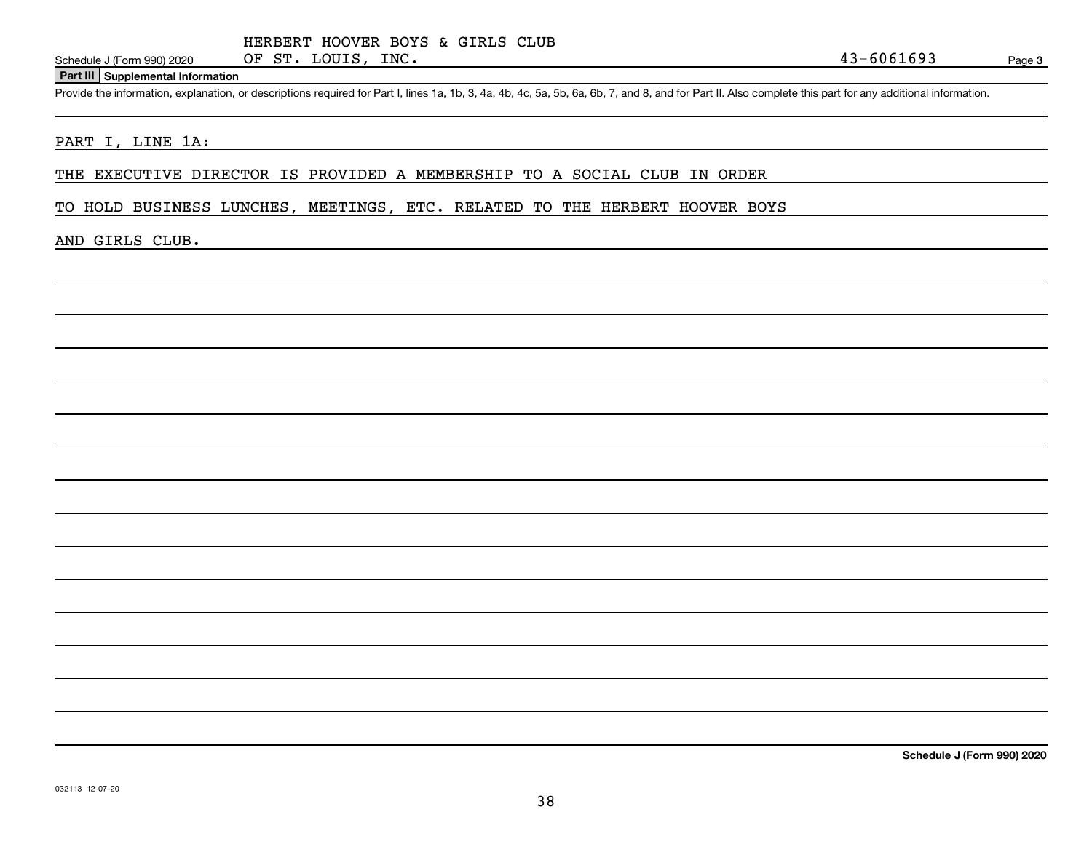### **Part III Supplemental Information**

Schedule J (Form 990) 2020 OF ST. LOUIS, INC.<br>Part III Supplemental Information<br>Provide the information, explanation, or descriptions required for Part I, lines 1a, 1b, 3, 4a, 4b, 4c, 5a, 5b, 6a, 6b, 7, and 8, and for Part

### PART I, LINE 1A:

THE EXECUTIVE DIRECTOR IS PROVIDED A MEMBERSHIP TO A SOCIAL CLUB IN ORDER

TO HOLD BUSINESS LUNCHES, MEETINGS, ETC. RELATED TO THE HERBERT HOOVER BOYS

### AND GIRLS CLUB.

**Schedule J (Form 990) 2020**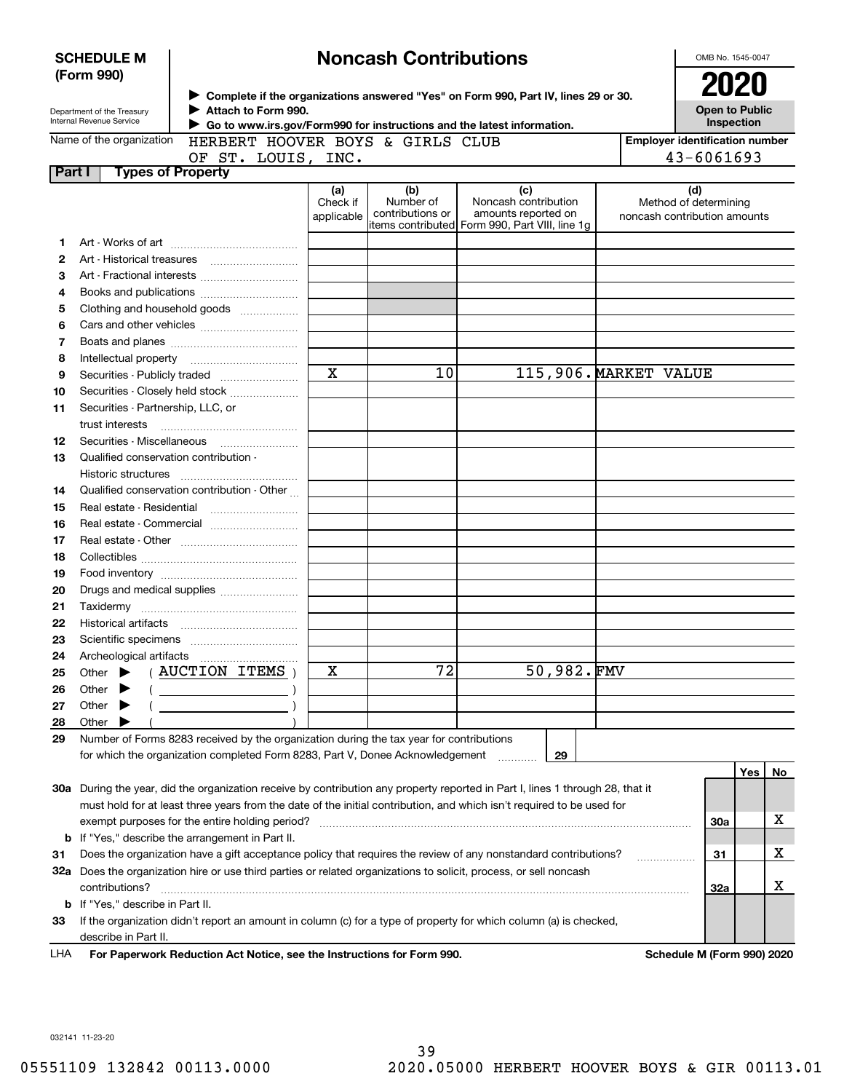| > Complete if the organizations answered "Yes" on Form 990, Part IV, lines 29 or 30.<br>Attach to Form 990.<br>Department of the Treasury<br>Internal Revenue Service<br>Go to www.irs.gov/Form990 for instructions and the latest information.<br>Name of the organization<br>HERBERT HOOVER BOYS & GIRLS CLUB<br>OF ST. LOUIS, INC. | <b>2020</b><br><b>Open to Public</b><br>Inspection<br><b>Employer identification number</b><br>43-6061693<br>(d)<br>Method of determining |     |    |
|---------------------------------------------------------------------------------------------------------------------------------------------------------------------------------------------------------------------------------------------------------------------------------------------------------------------------------------|-------------------------------------------------------------------------------------------------------------------------------------------|-----|----|
|                                                                                                                                                                                                                                                                                                                                       |                                                                                                                                           |     |    |
|                                                                                                                                                                                                                                                                                                                                       |                                                                                                                                           |     |    |
|                                                                                                                                                                                                                                                                                                                                       |                                                                                                                                           |     |    |
| <b>Types of Property</b><br>Part I                                                                                                                                                                                                                                                                                                    |                                                                                                                                           |     |    |
| (c)<br>(a)<br>(b)<br>Noncash contribution<br>Number of<br>Check if<br>amounts reported on<br>contributions or<br>applicable<br>items contributed Form 990, Part VIII, line 1g                                                                                                                                                         | noncash contribution amounts                                                                                                              |     |    |
| 1                                                                                                                                                                                                                                                                                                                                     |                                                                                                                                           |     |    |
| 2<br>Art - Historical treasures                                                                                                                                                                                                                                                                                                       |                                                                                                                                           |     |    |
| 3                                                                                                                                                                                                                                                                                                                                     |                                                                                                                                           |     |    |
| 4                                                                                                                                                                                                                                                                                                                                     |                                                                                                                                           |     |    |
| Clothing and household goods<br>5                                                                                                                                                                                                                                                                                                     |                                                                                                                                           |     |    |
| 6                                                                                                                                                                                                                                                                                                                                     |                                                                                                                                           |     |    |
| 7                                                                                                                                                                                                                                                                                                                                     |                                                                                                                                           |     |    |
| 8                                                                                                                                                                                                                                                                                                                                     |                                                                                                                                           |     |    |
| $\mathbf X$<br>115,906. MARKET VALUE<br>10<br>9                                                                                                                                                                                                                                                                                       |                                                                                                                                           |     |    |
| Securities - Closely held stock<br>10                                                                                                                                                                                                                                                                                                 |                                                                                                                                           |     |    |
| Securities - Partnership, LLC, or<br>11                                                                                                                                                                                                                                                                                               |                                                                                                                                           |     |    |
| trust interests                                                                                                                                                                                                                                                                                                                       |                                                                                                                                           |     |    |
| 12                                                                                                                                                                                                                                                                                                                                    |                                                                                                                                           |     |    |
| Qualified conservation contribution -<br>13                                                                                                                                                                                                                                                                                           |                                                                                                                                           |     |    |
| Historic structures                                                                                                                                                                                                                                                                                                                   |                                                                                                                                           |     |    |
| Qualified conservation contribution - Other<br>14                                                                                                                                                                                                                                                                                     |                                                                                                                                           |     |    |
| Real estate - Residential<br>15                                                                                                                                                                                                                                                                                                       |                                                                                                                                           |     |    |
| Real estate - Commercial<br>16                                                                                                                                                                                                                                                                                                        |                                                                                                                                           |     |    |
| 17                                                                                                                                                                                                                                                                                                                                    |                                                                                                                                           |     |    |
| 18                                                                                                                                                                                                                                                                                                                                    |                                                                                                                                           |     |    |
| 19                                                                                                                                                                                                                                                                                                                                    |                                                                                                                                           |     |    |
| 20                                                                                                                                                                                                                                                                                                                                    |                                                                                                                                           |     |    |
| 21                                                                                                                                                                                                                                                                                                                                    |                                                                                                                                           |     |    |
| 22                                                                                                                                                                                                                                                                                                                                    |                                                                                                                                           |     |    |
| 23                                                                                                                                                                                                                                                                                                                                    |                                                                                                                                           |     |    |
| 24<br>Archeological artifacts                                                                                                                                                                                                                                                                                                         |                                                                                                                                           |     |    |
| 50,982.FMV<br>72<br>X<br><b>AUCTION ITEMS</b><br>Other<br>25                                                                                                                                                                                                                                                                          |                                                                                                                                           |     |    |
| Other<br>26                                                                                                                                                                                                                                                                                                                           |                                                                                                                                           |     |    |
| Other<br>27<br>▸                                                                                                                                                                                                                                                                                                                      |                                                                                                                                           |     |    |
| Other<br>28                                                                                                                                                                                                                                                                                                                           |                                                                                                                                           |     |    |
| Number of Forms 8283 received by the organization during the tax year for contributions<br>29                                                                                                                                                                                                                                         |                                                                                                                                           |     |    |
| for which the organization completed Form 8283, Part V, Donee Acknowledgement<br>29                                                                                                                                                                                                                                                   |                                                                                                                                           |     |    |
|                                                                                                                                                                                                                                                                                                                                       |                                                                                                                                           | Yes | No |
| 30a During the year, did the organization receive by contribution any property reported in Part I, lines 1 through 28, that it                                                                                                                                                                                                        |                                                                                                                                           |     |    |
| must hold for at least three years from the date of the initial contribution, and which isn't required to be used for                                                                                                                                                                                                                 |                                                                                                                                           |     |    |
| exempt purposes for the entire holding period?                                                                                                                                                                                                                                                                                        | <b>30a</b>                                                                                                                                |     | х  |
| <b>b</b> If "Yes," describe the arrangement in Part II.                                                                                                                                                                                                                                                                               |                                                                                                                                           |     |    |
| Does the organization have a gift acceptance policy that requires the review of any nonstandard contributions?<br>31                                                                                                                                                                                                                  | 31                                                                                                                                        |     | х  |
| 32a Does the organization hire or use third parties or related organizations to solicit, process, or sell noncash                                                                                                                                                                                                                     |                                                                                                                                           |     |    |
| contributions?                                                                                                                                                                                                                                                                                                                        | 32a                                                                                                                                       |     | x  |
| <b>b</b> If "Yes," describe in Part II.                                                                                                                                                                                                                                                                                               |                                                                                                                                           |     |    |
| If the organization didn't report an amount in column (c) for a type of property for which column (a) is checked,<br>33                                                                                                                                                                                                               |                                                                                                                                           |     |    |
| describe in Part II.                                                                                                                                                                                                                                                                                                                  |                                                                                                                                           |     |    |
| For Paperwork Reduction Act Notice, see the Instructions for Form 990.<br>LHA                                                                                                                                                                                                                                                         | Schedule M (Form 990) 2020                                                                                                                |     |    |

032141 11-23-20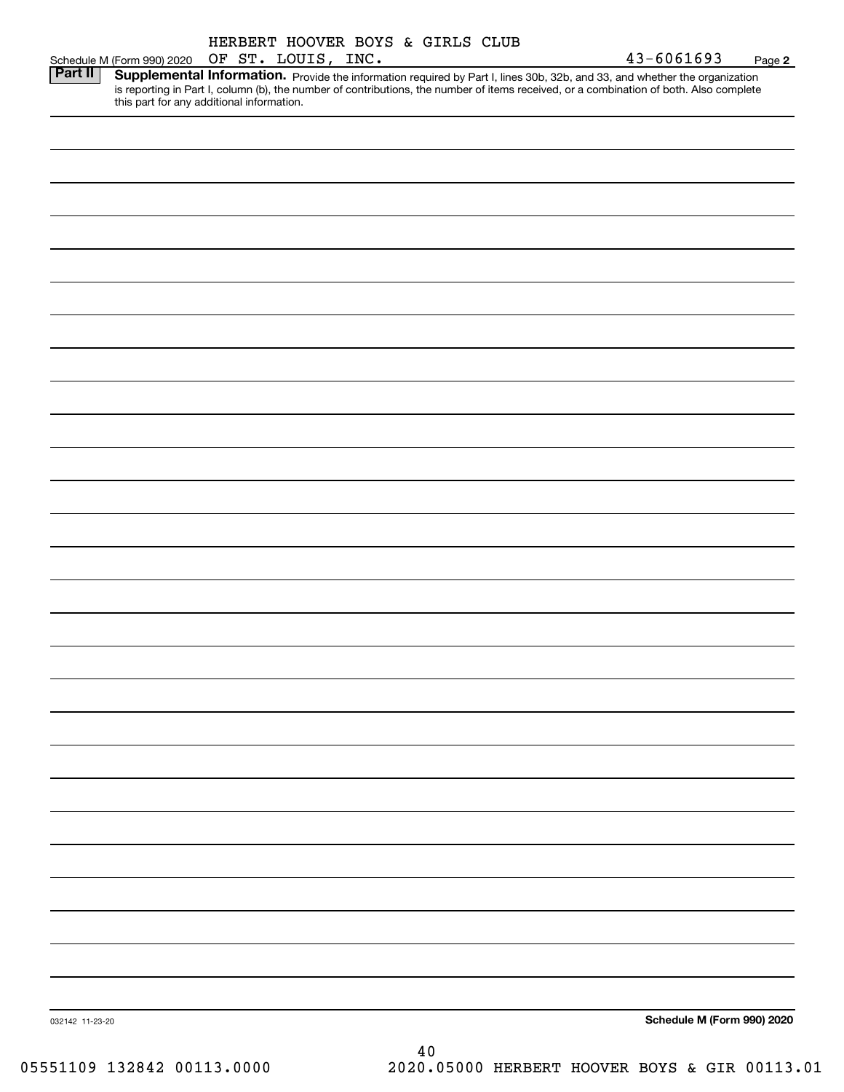|                 |                            | HERBERT HOOVER BOYS & GIRLS CLUB<br>OF ST. LOUIS, INC. |  |  | 43-6061693                                                                                                                                                                       |        |
|-----------------|----------------------------|--------------------------------------------------------|--|--|----------------------------------------------------------------------------------------------------------------------------------------------------------------------------------|--------|
| <b>Part II</b>  | Schedule M (Form 990) 2020 |                                                        |  |  | Supplemental Information. Provide the information required by Part I, lines 30b, 32b, and 33, and whether the organization                                                       | Page 2 |
|                 |                            |                                                        |  |  |                                                                                                                                                                                  |        |
|                 |                            |                                                        |  |  | is reporting in Part I, column (b), the number of contributions, the number of items received, or a combination of both. Also complete this part for any additional information. |        |
|                 |                            |                                                        |  |  |                                                                                                                                                                                  |        |
|                 |                            |                                                        |  |  |                                                                                                                                                                                  |        |
|                 |                            |                                                        |  |  |                                                                                                                                                                                  |        |
|                 |                            |                                                        |  |  |                                                                                                                                                                                  |        |
|                 |                            |                                                        |  |  |                                                                                                                                                                                  |        |
|                 |                            |                                                        |  |  |                                                                                                                                                                                  |        |
|                 |                            |                                                        |  |  |                                                                                                                                                                                  |        |
|                 |                            |                                                        |  |  |                                                                                                                                                                                  |        |
|                 |                            |                                                        |  |  |                                                                                                                                                                                  |        |
|                 |                            |                                                        |  |  |                                                                                                                                                                                  |        |
|                 |                            |                                                        |  |  |                                                                                                                                                                                  |        |
|                 |                            |                                                        |  |  |                                                                                                                                                                                  |        |
|                 |                            |                                                        |  |  |                                                                                                                                                                                  |        |
|                 |                            |                                                        |  |  |                                                                                                                                                                                  |        |
|                 |                            |                                                        |  |  |                                                                                                                                                                                  |        |
|                 |                            |                                                        |  |  |                                                                                                                                                                                  |        |
|                 |                            |                                                        |  |  |                                                                                                                                                                                  |        |
|                 |                            |                                                        |  |  |                                                                                                                                                                                  |        |
|                 |                            |                                                        |  |  |                                                                                                                                                                                  |        |
|                 |                            |                                                        |  |  |                                                                                                                                                                                  |        |
|                 |                            |                                                        |  |  |                                                                                                                                                                                  |        |
|                 |                            |                                                        |  |  |                                                                                                                                                                                  |        |
|                 |                            |                                                        |  |  |                                                                                                                                                                                  |        |
|                 |                            |                                                        |  |  |                                                                                                                                                                                  |        |
|                 |                            |                                                        |  |  |                                                                                                                                                                                  |        |
|                 |                            |                                                        |  |  |                                                                                                                                                                                  |        |
|                 |                            |                                                        |  |  |                                                                                                                                                                                  |        |
|                 |                            |                                                        |  |  |                                                                                                                                                                                  |        |
|                 |                            |                                                        |  |  |                                                                                                                                                                                  |        |
|                 |                            |                                                        |  |  |                                                                                                                                                                                  |        |
|                 |                            |                                                        |  |  |                                                                                                                                                                                  |        |
|                 |                            |                                                        |  |  |                                                                                                                                                                                  |        |
|                 |                            |                                                        |  |  |                                                                                                                                                                                  |        |
|                 |                            |                                                        |  |  |                                                                                                                                                                                  |        |
|                 |                            |                                                        |  |  |                                                                                                                                                                                  |        |
|                 |                            |                                                        |  |  |                                                                                                                                                                                  |        |
|                 |                            |                                                        |  |  |                                                                                                                                                                                  |        |
|                 |                            |                                                        |  |  |                                                                                                                                                                                  |        |
|                 |                            |                                                        |  |  |                                                                                                                                                                                  |        |
|                 |                            |                                                        |  |  |                                                                                                                                                                                  |        |
|                 |                            |                                                        |  |  |                                                                                                                                                                                  |        |
|                 |                            |                                                        |  |  |                                                                                                                                                                                  |        |
|                 |                            |                                                        |  |  |                                                                                                                                                                                  |        |
|                 |                            |                                                        |  |  |                                                                                                                                                                                  |        |
|                 |                            |                                                        |  |  |                                                                                                                                                                                  |        |
|                 |                            |                                                        |  |  |                                                                                                                                                                                  |        |
|                 |                            |                                                        |  |  |                                                                                                                                                                                  |        |
|                 |                            |                                                        |  |  |                                                                                                                                                                                  |        |
|                 |                            |                                                        |  |  |                                                                                                                                                                                  |        |
|                 |                            |                                                        |  |  |                                                                                                                                                                                  |        |
|                 |                            |                                                        |  |  |                                                                                                                                                                                  |        |
|                 |                            |                                                        |  |  |                                                                                                                                                                                  |        |
|                 |                            |                                                        |  |  |                                                                                                                                                                                  |        |
|                 |                            |                                                        |  |  |                                                                                                                                                                                  |        |
|                 |                            |                                                        |  |  |                                                                                                                                                                                  |        |
|                 |                            |                                                        |  |  |                                                                                                                                                                                  |        |
|                 |                            |                                                        |  |  |                                                                                                                                                                                  |        |
|                 |                            |                                                        |  |  |                                                                                                                                                                                  |        |
|                 |                            |                                                        |  |  |                                                                                                                                                                                  |        |
|                 |                            |                                                        |  |  |                                                                                                                                                                                  |        |
| 032142 11-23-20 |                            |                                                        |  |  | Schedule M (Form 990) 2020                                                                                                                                                       |        |

05551109 132842 00113.0000 2020.05000 HERBERT HOOVER BOYS & GIR 00113.01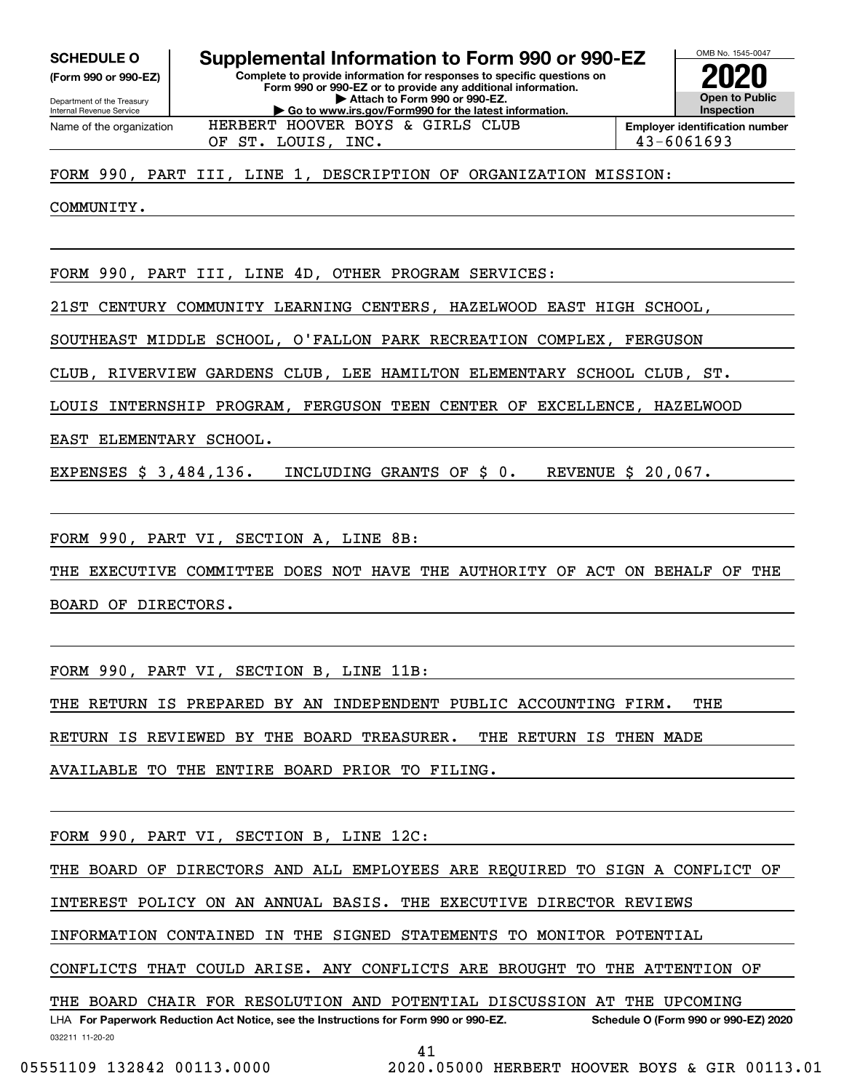**(Form 990 or 990-EZ)**

Department of the Treasury Internal Revenue Service Name of the organization

### OMB No. 1545-0047 **Complete to provide information for responses to specific questions on Form 990 or 990-EZ or to provide any additional information. | Attach to Form 990 or 990-EZ. | Go to www.irs.gov/Form990 for the latest information. SCHEDULE O Supplemental Information to Form 990 or 990-EZ**



OF ST. LOUIS, INC. 43-6061693 HERBERT HOOVER BOYS & GIRLS CLUB

FORM 990, PART III, LINE 1, DESCRIPTION OF ORGANIZATION MISSION:

COMMUNITY.

FORM 990, PART III, LINE 4D, OTHER PROGRAM SERVICES:

21ST CENTURY COMMUNITY LEARNING CENTERS, HAZELWOOD EAST HIGH SCHOOL,

SOUTHEAST MIDDLE SCHOOL, O'FALLON PARK RECREATION COMPLEX, FERGUSON

CLUB, RIVERVIEW GARDENS CLUB, LEE HAMILTON ELEMENTARY SCHOOL CLUB, ST.

LOUIS INTERNSHIP PROGRAM, FERGUSON TEEN CENTER OF EXCELLENCE, HAZELWOOD

EAST ELEMENTARY SCHOOL.

EXPENSES \$ 3,484,136. INCLUDING GRANTS OF \$ 0. REVENUE \$ 20,067.

FORM 990, PART VI, SECTION A, LINE 8B:

THE EXECUTIVE COMMITTEE DOES NOT HAVE THE AUTHORITY OF ACT ON BEHALF OF THE BOARD OF DIRECTORS.

FORM 990, PART VI, SECTION B, LINE 11B:

THE RETURN IS PREPARED BY AN INDEPENDENT PUBLIC ACCOUNTING FIRM. THE

RETURN IS REVIEWED BY THE BOARD TREASURER. THE RETURN IS THEN MADE

AVAILABLE TO THE ENTIRE BOARD PRIOR TO FILING.

FORM 990, PART VI, SECTION B, LINE 12C:

THE BOARD OF DIRECTORS AND ALL EMPLOYEES ARE REQUIRED TO SIGN A CONFLICT OF

INTEREST POLICY ON AN ANNUAL BASIS. THE EXECUTIVE DIRECTOR REVIEWS

INFORMATION CONTAINED IN THE SIGNED STATEMENTS TO MONITOR POTENTIAL

CONFLICTS THAT COULD ARISE. ANY CONFLICTS ARE BROUGHT TO THE ATTENTION OF

THE BOARD CHAIR FOR RESOLUTION AND POTENTIAL DISCUSSION AT THE UPCOMING

032211 11-20-20 LHA For Paperwork Reduction Act Notice, see the Instructions for Form 990 or 990-EZ. Schedule O (Form 990 or 990-EZ) 2020

41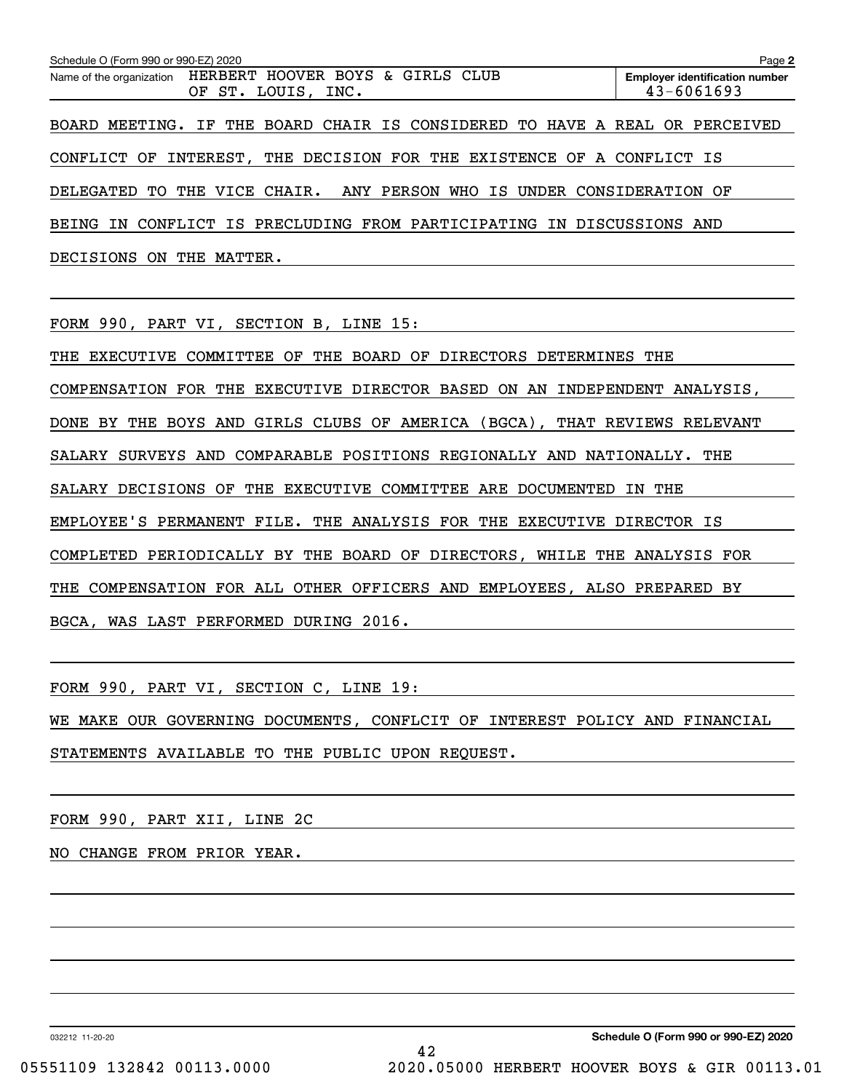| Schedule O (Form 990 or 990-EZ) 2020<br>Page 2                                     |                                                         |  |  |  |  |  |  |  |
|------------------------------------------------------------------------------------|---------------------------------------------------------|--|--|--|--|--|--|--|
| Name of the organization HERBERT HOOVER BOYS & GIRLS CLUB<br>OF ST.<br>LOUIS, INC. | <b>Employer identification number</b><br>$43 - 6061693$ |  |  |  |  |  |  |  |
| BOARD MEETING. IF THE BOARD CHAIR IS CONSIDERED TO HAVE A REAL OR PERCEIVED        |                                                         |  |  |  |  |  |  |  |
| THE DECISION FOR THE EXISTENCE OF A CONFLICT IS<br>INTEREST,<br>CONFLICT OF        |                                                         |  |  |  |  |  |  |  |
| DELEGATED TO THE VICE CHAIR. ANY PERSON WHO IS UNDER CONSIDERATION OF              |                                                         |  |  |  |  |  |  |  |
| CONFLICT IS PRECLUDING FROM PARTICIPATING IN DISCUSSIONS AND<br>BEING<br>IN        |                                                         |  |  |  |  |  |  |  |
| DECISIONS<br>THE<br>MATTER.<br>0N                                                  |                                                         |  |  |  |  |  |  |  |

FORM 990, PART VI, SECTION B, LINE 15:

THE EXECUTIVE COMMITTEE OF THE BOARD OF DIRECTORS DETERMINES THE COMPENSATION FOR THE EXECUTIVE DIRECTOR BASED ON AN INDEPENDENT ANALYSIS, DONE BY THE BOYS AND GIRLS CLUBS OF AMERICA (BGCA), THAT REVIEWS RELEVANT SALARY SURVEYS AND COMPARABLE POSITIONS REGIONALLY AND NATIONALLY. THE SALARY DECISIONS OF THE EXECUTIVE COMMITTEE ARE DOCUMENTED IN THE EMPLOYEE'S PERMANENT FILE. THE ANALYSIS FOR THE EXECUTIVE DIRECTOR IS COMPLETED PERIODICALLY BY THE BOARD OF DIRECTORS, WHILE THE ANALYSIS FOR THE COMPENSATION FOR ALL OTHER OFFICERS AND EMPLOYEES, ALSO PREPARED BY BGCA, WAS LAST PERFORMED DURING 2016.

FORM 990, PART VI, SECTION C, LINE 19:

WE MAKE OUR GOVERNING DOCUMENTS, CONFLCIT OF INTEREST POLICY AND FINANCIAL

STATEMENTS AVAILABLE TO THE PUBLIC UPON REQUEST.

FORM 990, PART XII, LINE 2C

NO CHANGE FROM PRIOR YEAR.

032212 11-20-20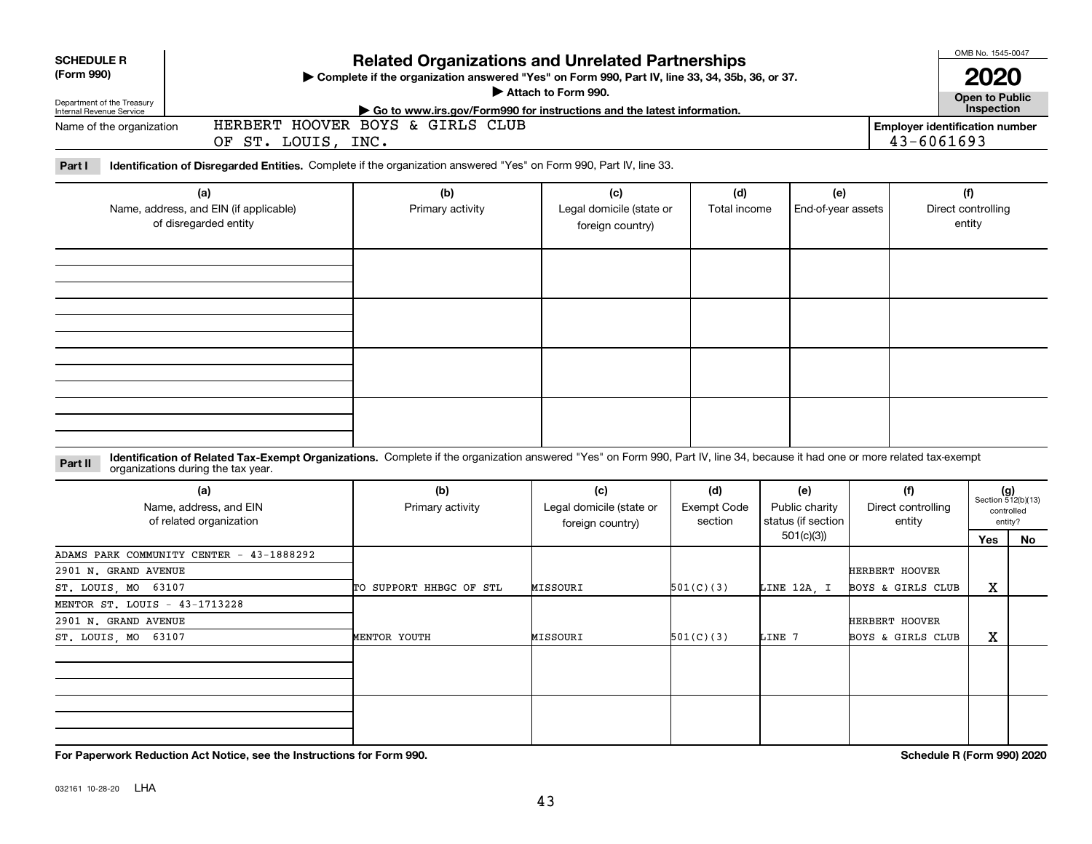| <b>SCHEDULE R</b><br>(Form 990)<br>Department of the Treasury                |                                                                                                                                                                                                                    | <b>Related Organizations and Unrelated Partnerships</b><br>Complete if the organization answered "Yes" on Form 990, Part IV, line 33, 34, 35b, 36, or 37.<br>Attach to Form 990. | OMB No. 1545-0047<br>2020<br>Open to Public         |                                                                   |                                                          |                                            |                                     |                                                            |
|------------------------------------------------------------------------------|--------------------------------------------------------------------------------------------------------------------------------------------------------------------------------------------------------------------|----------------------------------------------------------------------------------------------------------------------------------------------------------------------------------|-----------------------------------------------------|-------------------------------------------------------------------|----------------------------------------------------------|--------------------------------------------|-------------------------------------|------------------------------------------------------------|
| Internal Revenue Service<br>Name of the organization                         | OF ST. LOUIS, INC.                                                                                                                                                                                                 | Go to www.irs.gov/Form990 for instructions and the latest information.<br>HERBERT HOOVER BOYS & GIRLS CLUB                                                                       |                                                     | Inspection<br><b>Employer identification number</b><br>43-6061693 |                                                          |                                            |                                     |                                                            |
| Part I                                                                       | Identification of Disregarded Entities. Complete if the organization answered "Yes" on Form 990, Part IV, line 33.                                                                                                 |                                                                                                                                                                                  |                                                     |                                                                   |                                                          |                                            |                                     |                                                            |
|                                                                              | (a)<br>Name, address, and EIN (if applicable)<br>of disregarded entity                                                                                                                                             | (b)<br>Primary activity                                                                                                                                                          | (c)<br>Legal domicile (state or<br>foreign country) | (d)<br>Total income                                               | (e)<br>End-of-year assets                                |                                            | (f)<br>Direct controlling<br>entity |                                                            |
|                                                                              |                                                                                                                                                                                                                    |                                                                                                                                                                                  |                                                     |                                                                   |                                                          |                                            |                                     |                                                            |
|                                                                              |                                                                                                                                                                                                                    |                                                                                                                                                                                  |                                                     |                                                                   |                                                          |                                            |                                     |                                                            |
| Part II                                                                      | Identification of Related Tax-Exempt Organizations. Complete if the organization answered "Yes" on Form 990, Part IV, line 34, because it had one or more related tax-exempt<br>organizations during the tax year. |                                                                                                                                                                                  |                                                     |                                                                   |                                                          |                                            |                                     |                                                            |
|                                                                              | (a)<br>Name, address, and EIN<br>of related organization                                                                                                                                                           | (b)<br>Primary activity                                                                                                                                                          | (c)<br>Legal domicile (state or<br>foreign country) | (d)<br><b>Exempt Code</b><br>section                              | (e)<br>Public charity<br>status (if section<br>501(c)(3) | (f)<br>Direct controlling<br>entity        | Yes                                 | $(g)$<br>Section 512(b)(13)<br>controlled<br>entity?<br>No |
| 2901 N. GRAND AVENUE<br>ST. LOUIS, MO 63107                                  | ADAMS PARK COMMUNITY CENTER - 43-1888292                                                                                                                                                                           | TO SUPPORT HHBGC OF STL                                                                                                                                                          | MISSOURI                                            | 501(C)(3)                                                         | LINE 12A. I                                              | <b>HERBERT HOOVER</b><br>BOYS & GIRLS CLUB | x                                   |                                                            |
| MENTOR ST. LOUIS - 43-1713228<br>2901 N. GRAND AVENUE<br>ST. LOUIS, MO 63107 |                                                                                                                                                                                                                    | MENTOR YOUTH                                                                                                                                                                     | MISSOURI                                            | 501(C)(3)                                                         | LINE 7                                                   | <b>HERBERT HOOVER</b><br>BOYS & GIRLS CLUB | X                                   |                                                            |
|                                                                              |                                                                                                                                                                                                                    |                                                                                                                                                                                  |                                                     |                                                                   |                                                          |                                            |                                     |                                                            |
|                                                                              |                                                                                                                                                                                                                    |                                                                                                                                                                                  |                                                     |                                                                   |                                                          |                                            |                                     |                                                            |

**For Paperwork Reduction Act Notice, see the Instructions for Form 990. Schedule R (Form 990) 2020**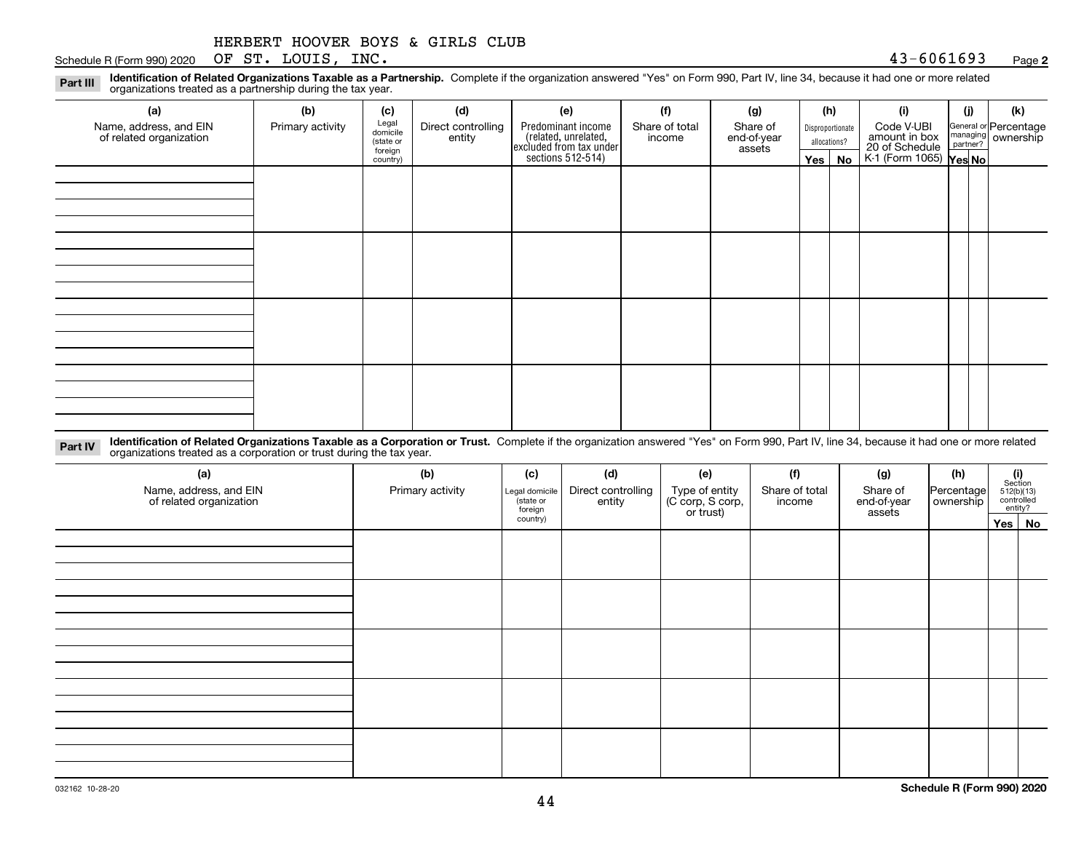|  | HERBERT HOOVER BOYS & GIRLS CLUB |  |  |  |  |  |
|--|----------------------------------|--|--|--|--|--|
|--|----------------------------------|--|--|--|--|--|

Schedule R (Form 990) 2020 Page OF ST. LOUIS, INC. 43-6061693

**2**

**Identification of Related Organizations Taxable as a Partnership.** Complete if the organization answered "Yes" on Form 990, Part IV, line 34, because it had one or more related **Part III** organizations treated as a partnership during the tax year.

| (a)                                               | (b)              | (c)                  | (d)                | (e)                                                                 | (f)            | (g)                   |         | (h)              | (i)                                                       | (i) | (k)                                                       |
|---------------------------------------------------|------------------|----------------------|--------------------|---------------------------------------------------------------------|----------------|-----------------------|---------|------------------|-----------------------------------------------------------|-----|-----------------------------------------------------------|
| Name, address, and EIN<br>of related organization | Primary activity | Legal<br>domicile    | Direct controlling | Predominant income                                                  | Share of total | Share of              |         | Disproportionate | Code V-UBI                                                |     | General or Percentage<br>managing<br>partner?<br>partner? |
|                                                   |                  | (state or<br>foreign | entity             | related, unrelated,<br>excluded from tax under<br>sections 512-514) | income         | end-of-year<br>assets |         | allocations?     | amount in box<br>20 of Schedule<br>K-1 (Form 1065) Yes No |     |                                                           |
|                                                   |                  | country)             |                    |                                                                     |                |                       | Yes $ $ | No               |                                                           |     |                                                           |
|                                                   |                  |                      |                    |                                                                     |                |                       |         |                  |                                                           |     |                                                           |
|                                                   |                  |                      |                    |                                                                     |                |                       |         |                  |                                                           |     |                                                           |
|                                                   |                  |                      |                    |                                                                     |                |                       |         |                  |                                                           |     |                                                           |
|                                                   |                  |                      |                    |                                                                     |                |                       |         |                  |                                                           |     |                                                           |
|                                                   |                  |                      |                    |                                                                     |                |                       |         |                  |                                                           |     |                                                           |
|                                                   |                  |                      |                    |                                                                     |                |                       |         |                  |                                                           |     |                                                           |
|                                                   |                  |                      |                    |                                                                     |                |                       |         |                  |                                                           |     |                                                           |
|                                                   |                  |                      |                    |                                                                     |                |                       |         |                  |                                                           |     |                                                           |
|                                                   |                  |                      |                    |                                                                     |                |                       |         |                  |                                                           |     |                                                           |
|                                                   |                  |                      |                    |                                                                     |                |                       |         |                  |                                                           |     |                                                           |
|                                                   |                  |                      |                    |                                                                     |                |                       |         |                  |                                                           |     |                                                           |
|                                                   |                  |                      |                    |                                                                     |                |                       |         |                  |                                                           |     |                                                           |
|                                                   |                  |                      |                    |                                                                     |                |                       |         |                  |                                                           |     |                                                           |
|                                                   |                  |                      |                    |                                                                     |                |                       |         |                  |                                                           |     |                                                           |
|                                                   |                  |                      |                    |                                                                     |                |                       |         |                  |                                                           |     |                                                           |
|                                                   |                  |                      |                    |                                                                     |                |                       |         |                  |                                                           |     |                                                           |
|                                                   |                  |                      |                    |                                                                     |                |                       |         |                  |                                                           |     |                                                           |

**Identification of Related Organizations Taxable as a Corporation or Trust.** Complete if the organization answered "Yes" on Form 990, Part IV, line 34, because it had one or more related **Part IV** organizations treated as a corporation or trust during the tax year.

| (a)<br>Name, address, and EIN<br>of related organization | (b)<br>Primary activity | (c)<br>Legal domicile<br>(state or<br>foreign | (d)<br>Direct controlling<br>entity | (e)<br>Type of entity<br>(C corp, S corp,<br>or trust) | (f)<br>Share of total<br>income | (g)<br>Share of<br>end-of-year<br>assets | (h)<br>Percentage<br>ownership | $\begin{array}{c} \textbf{(i)}\\ \text{Section}\\ 512 \text{(b)} \text{(13)}\\ \text{controlled}\\ \text{entity?} \end{array}$ |  |
|----------------------------------------------------------|-------------------------|-----------------------------------------------|-------------------------------------|--------------------------------------------------------|---------------------------------|------------------------------------------|--------------------------------|--------------------------------------------------------------------------------------------------------------------------------|--|
|                                                          |                         | country)                                      |                                     |                                                        |                                 |                                          |                                | Yes No                                                                                                                         |  |
|                                                          |                         |                                               |                                     |                                                        |                                 |                                          |                                |                                                                                                                                |  |
|                                                          |                         |                                               |                                     |                                                        |                                 |                                          |                                |                                                                                                                                |  |
|                                                          |                         |                                               |                                     |                                                        |                                 |                                          |                                |                                                                                                                                |  |
|                                                          |                         |                                               |                                     |                                                        |                                 |                                          |                                |                                                                                                                                |  |
|                                                          |                         |                                               |                                     |                                                        |                                 |                                          |                                |                                                                                                                                |  |
|                                                          |                         |                                               |                                     |                                                        |                                 |                                          |                                |                                                                                                                                |  |
|                                                          |                         |                                               |                                     |                                                        |                                 |                                          |                                |                                                                                                                                |  |
|                                                          |                         |                                               |                                     |                                                        |                                 |                                          |                                |                                                                                                                                |  |
|                                                          |                         |                                               |                                     |                                                        |                                 |                                          |                                |                                                                                                                                |  |
|                                                          |                         |                                               |                                     |                                                        |                                 |                                          |                                |                                                                                                                                |  |
|                                                          |                         |                                               |                                     |                                                        |                                 |                                          |                                |                                                                                                                                |  |
|                                                          |                         |                                               |                                     |                                                        |                                 |                                          |                                |                                                                                                                                |  |
|                                                          |                         |                                               |                                     |                                                        |                                 |                                          |                                |                                                                                                                                |  |
|                                                          |                         |                                               |                                     |                                                        |                                 |                                          |                                |                                                                                                                                |  |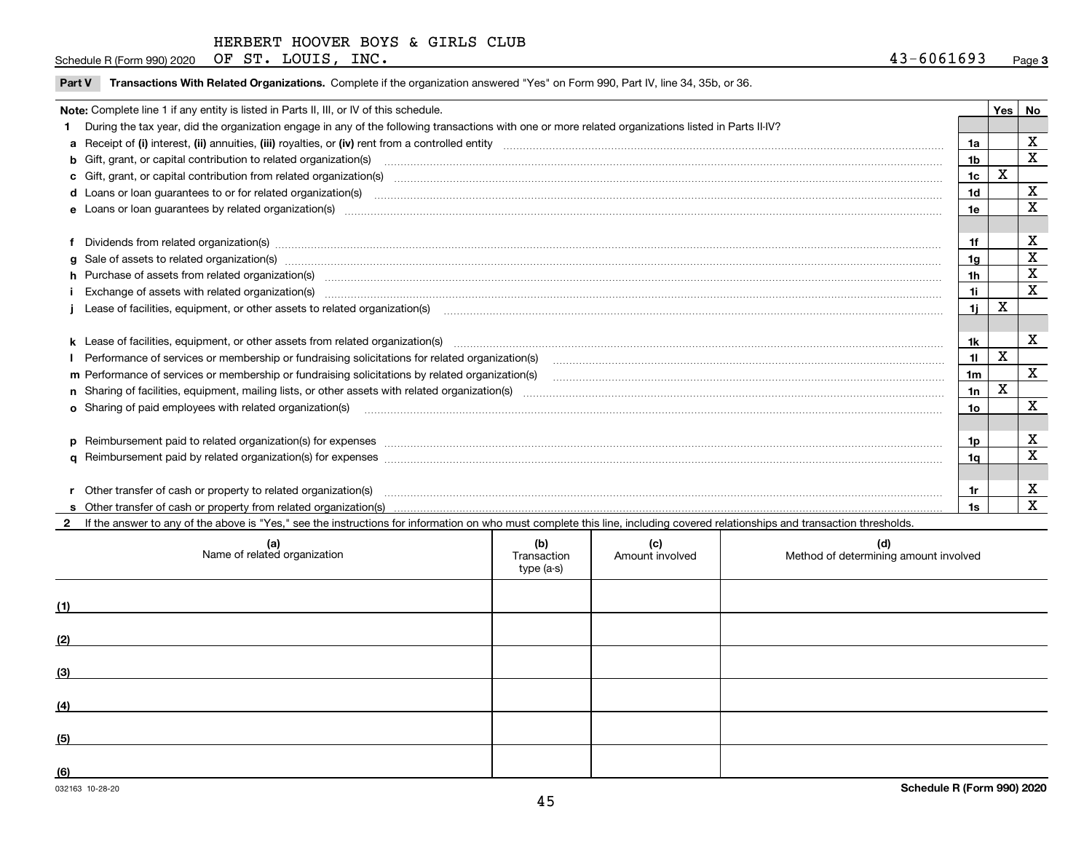Schedule R (Form 990) 2020 Page OF ST. LOUIS, INC. 43-6061693

|  |  | Part V Transactions With Related Organizations. Complete if the organization answered "Yes" on Form 990, Part IV, line 34, 35b, or 36. |  |  |  |
|--|--|----------------------------------------------------------------------------------------------------------------------------------------|--|--|--|
|--|--|----------------------------------------------------------------------------------------------------------------------------------------|--|--|--|

| Note: Complete line 1 if any entity is listed in Parts II, III, or IV of this schedule.                                                                                                                                        |                | Yes | <b>No</b> |
|--------------------------------------------------------------------------------------------------------------------------------------------------------------------------------------------------------------------------------|----------------|-----|-----------|
| 1 During the tax year, did the organization engage in any of the following transactions with one or more related organizations listed in Parts II-IV?                                                                          |                |     |           |
|                                                                                                                                                                                                                                | 1a             |     | X         |
|                                                                                                                                                                                                                                | 1b             |     | X         |
| c Gift, grant, or capital contribution from related organization(s) matches contains and content and contribution from related organization(s) matches contains and contribution from related organization(s) matches contains | 1c             | x   |           |
| d Loans or loan guarantees to or for related organization(s) committion contracts are constructed as a control or contract or contract or contract or contract or contract or contract or contract or contract or contract or  | 1 <sub>d</sub> |     | X         |
|                                                                                                                                                                                                                                | 1e             |     | X         |
|                                                                                                                                                                                                                                |                |     |           |
| f Dividends from related organization(s) manufactured contains and contained a series of the contact of the contact of the contact of the contact of the contact of the contact of the contact of the contact of the contact o | 1f             |     | X         |
| g Sale of assets to related organization(s) www.assettion.com/www.assettion.com/www.assettion.com/www.assettion.com/www.assettion.com/www.assettion.com/www.assettion.com/www.assettion.com/www.assettion.com/www.assettion.co | 1a             |     | X         |
| h Purchase of assets from related organization(s) manufactured and content and content and content and content and content and content and content and content and content and content and content and content and content and | 1 <sub>h</sub> |     | X         |
| Exchange of assets with related organization(s) www.assettion.com/www.assettion.com/www.assettion.com/www.assettion.com/www.assettion.com/www.assettion.com/www.assettion.com/www.assettion.com/www.assettion.com/www.assettio | 1i.            |     | X         |
|                                                                                                                                                                                                                                | 1i.            | х   |           |
|                                                                                                                                                                                                                                |                |     |           |
| k Lease of facilities, equipment, or other assets from related organization(s) manufaction content and content to the content of facilities, equipment, or other assets from related organization(s) manufaction content and c | 1k             |     | X         |
| Performance of services or membership or fundraising solicitations for related organization(s)                                                                                                                                 | 11             | X   |           |
| m Performance of services or membership or fundraising solicitations by related organization(s)                                                                                                                                | 1 <sub>m</sub> |     | X         |
|                                                                                                                                                                                                                                | 1n             | X   |           |
| <b>o</b> Sharing of paid employees with related organization(s)                                                                                                                                                                | 1o             |     | X         |
|                                                                                                                                                                                                                                |                |     |           |
|                                                                                                                                                                                                                                | 1p             |     | X         |
|                                                                                                                                                                                                                                | 1a             |     | X         |
|                                                                                                                                                                                                                                |                |     |           |
| r Other transfer of cash or property to related organization(s)                                                                                                                                                                | 1r             |     | х         |
|                                                                                                                                                                                                                                |                |     | X         |

**2**If the answer to any of the above is "Yes," see the instructions for information on who must complete this line, including covered relationships and transaction thresholds.

| (a)<br>Name of related organization | (b)<br>Transaction<br>type (a-s) | (c)<br>Amount involved | (d)<br>Method of determining amount involved |
|-------------------------------------|----------------------------------|------------------------|----------------------------------------------|
| (1)                                 |                                  |                        |                                              |
| (2)                                 |                                  |                        |                                              |
| (3)                                 |                                  |                        |                                              |
| (4)                                 |                                  |                        |                                              |
| (5)                                 |                                  |                        |                                              |
| (6)                                 |                                  |                        |                                              |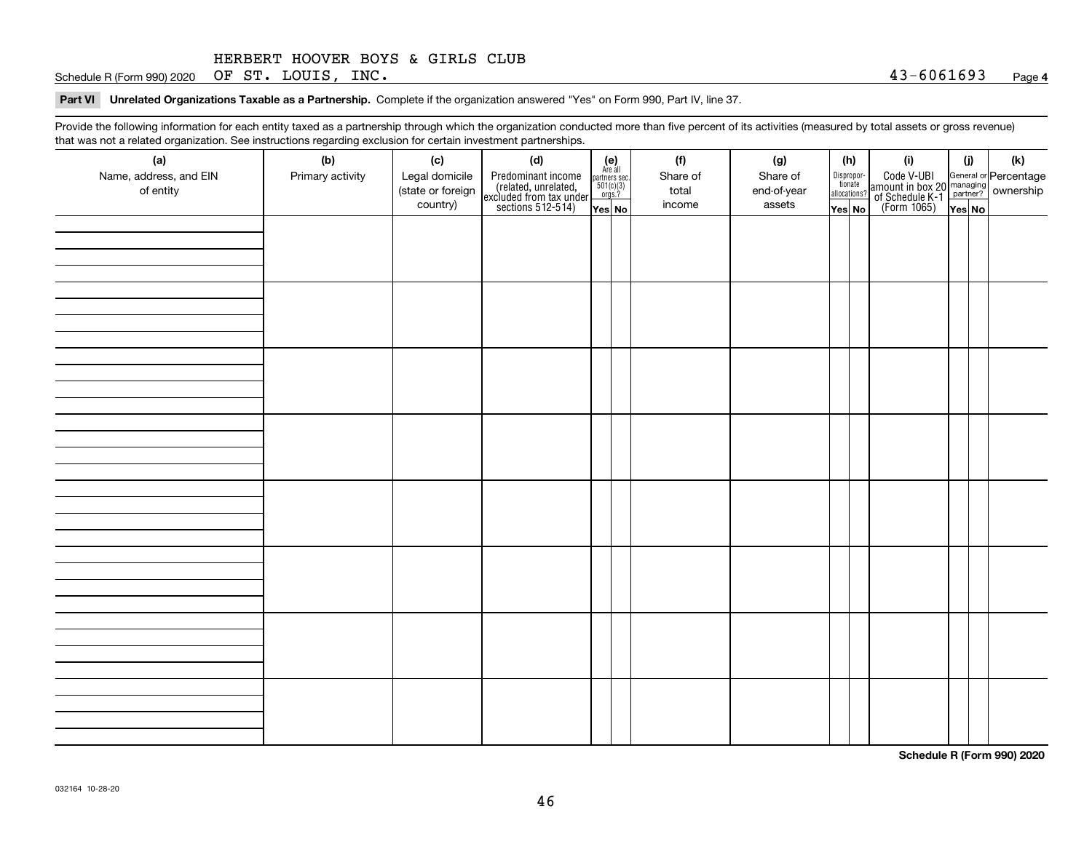Schedule R (Form 990) 2020 Page OF ST. LOUIS, INC. 43-6061693

**Part VI Unrelated Organizations Taxable as a Partnership. Complete if the organization answered "Yes" on Form 990, Part IV, line 37.** 

Provide the following information for each entity taxed as a partnership through which the organization conducted more than five percent of its activities (measured by total assets or gross revenue) that was not a related organization. See instructions regarding exclusion for certain investment partnerships.

| (a)<br>Name, address, and EIN<br>of entity | (b)<br>Primary activity | (c)<br>Legal domicile<br>(state or foreign<br>country) | (d)<br>Predominant income<br>(related, unrelated,<br>excluded from tax under<br>sections 512-514) | $\begin{array}{c} \textbf{(e)}\\ \text{Are all} \\ \text{partners sec.}\\ 501(c)(3)\\ \text{orgs.?} \end{array}$<br>$Yes$ No | (f)<br>Share of<br>total<br>income | (g)<br>Share of<br>end-of-year<br>assets | (h)<br>Dispropor-<br>tionate<br>allocations?<br>Yes No | (i)<br>Code V-UBI<br>amount in box 20 managing<br>of Schedule K-1 partner? ownership<br>(Form 1065)<br>ves No | (i)<br>Yes No | (k) |
|--------------------------------------------|-------------------------|--------------------------------------------------------|---------------------------------------------------------------------------------------------------|------------------------------------------------------------------------------------------------------------------------------|------------------------------------|------------------------------------------|--------------------------------------------------------|---------------------------------------------------------------------------------------------------------------|---------------|-----|
|                                            |                         |                                                        |                                                                                                   |                                                                                                                              |                                    |                                          |                                                        |                                                                                                               |               |     |
|                                            |                         |                                                        |                                                                                                   |                                                                                                                              |                                    |                                          |                                                        |                                                                                                               |               |     |
|                                            |                         |                                                        |                                                                                                   |                                                                                                                              |                                    |                                          |                                                        |                                                                                                               |               |     |
|                                            |                         |                                                        |                                                                                                   |                                                                                                                              |                                    |                                          |                                                        |                                                                                                               |               |     |
|                                            |                         |                                                        |                                                                                                   |                                                                                                                              |                                    |                                          |                                                        |                                                                                                               |               |     |
|                                            |                         |                                                        |                                                                                                   |                                                                                                                              |                                    |                                          |                                                        |                                                                                                               |               |     |
|                                            |                         |                                                        |                                                                                                   |                                                                                                                              |                                    |                                          |                                                        |                                                                                                               |               |     |
|                                            |                         |                                                        |                                                                                                   |                                                                                                                              |                                    |                                          |                                                        |                                                                                                               |               |     |

**Schedule R (Form 990) 2020**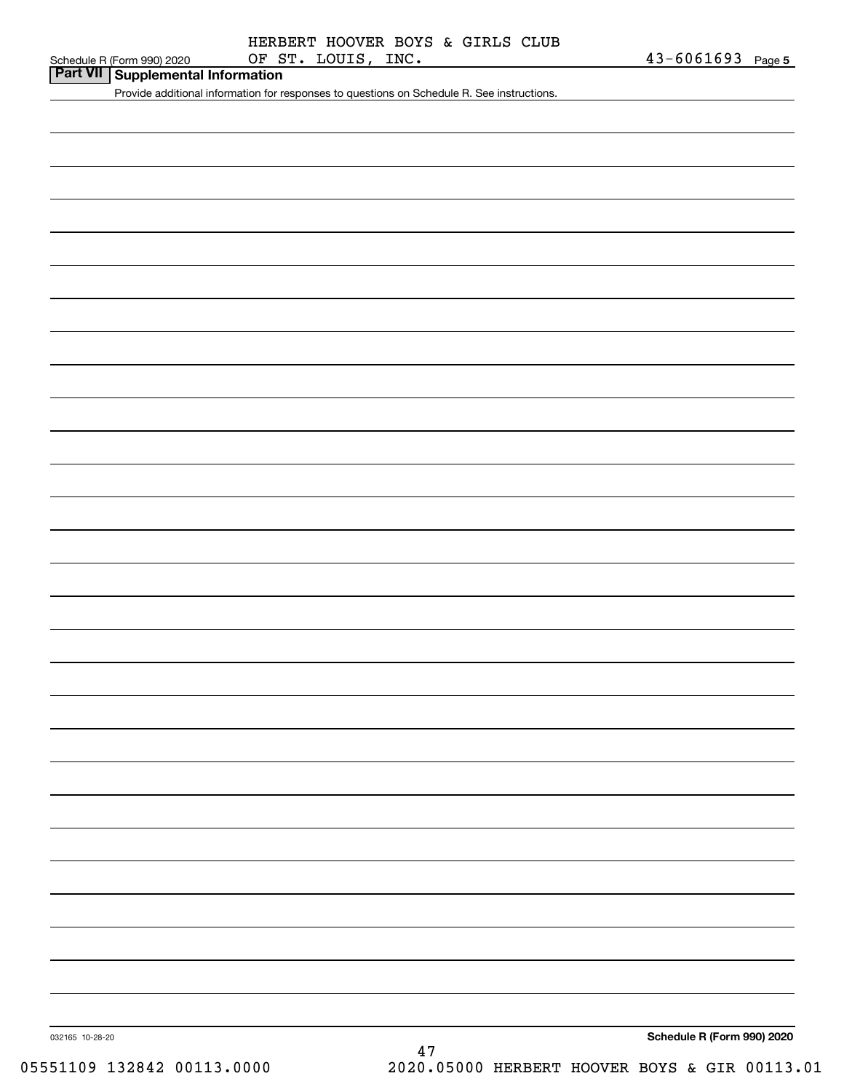**Part VII Supplemental Information**

Provide additional information for responses to questions on Schedule R. See instructions.

**Schedule R (Form 990) 2020**

032165 10-28-20